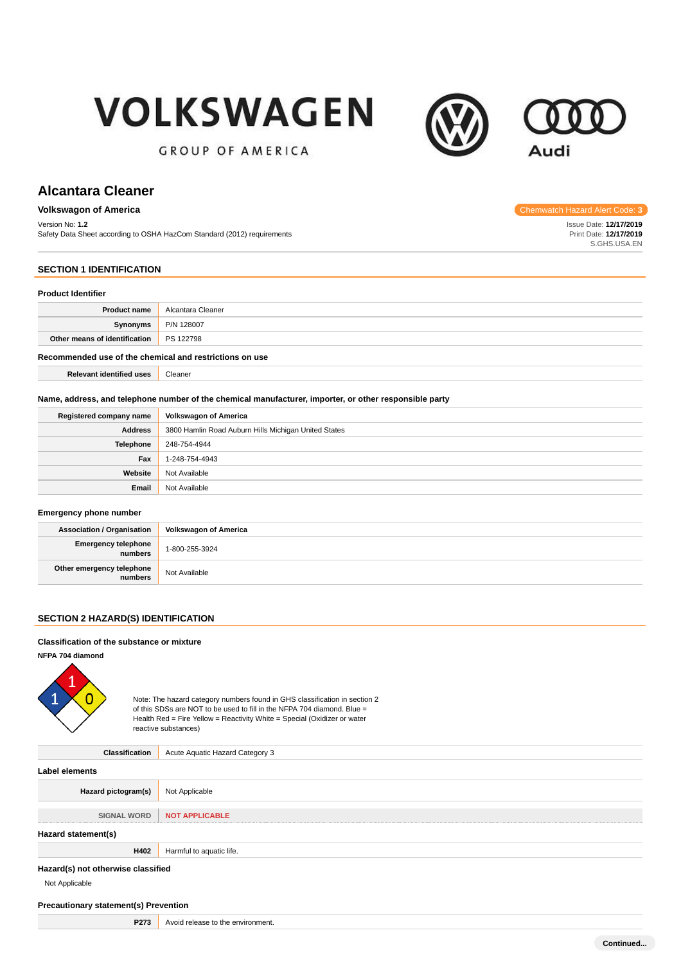# **VOLKSWAGEN**



**GROUP OF AMERICA** 

# **Alcantara Cleaner**

#### **Volkswagon of America Chemwatch Hazard Alert Code:** 3<br> **3 Chemwatch Hazard Alert Code:** 3

Version No: **1.2**

Safety Data Sheet according to OSHA HazCom Standard (2012) requirements

# Issue Date: **12/17/2019**

Print Date: **12/17/2019** S.GHS.USA.EN

### **SECTION 1 IDENTIFICATION**

#### **Product Identifier**

| FIUUUL IUEIIIIIEI                                       |                   |  |  |  |  |
|---------------------------------------------------------|-------------------|--|--|--|--|
| <b>Product name</b>                                     | Alcantara Cleaner |  |  |  |  |
| Synonyms                                                | P/N 128007        |  |  |  |  |
| Other means of identification                           | PS 122798         |  |  |  |  |
| Recommended use of the chemical and restrictions on use |                   |  |  |  |  |

**Relevant identified uses** Cleaner

#### **Name, address, and telephone number of the chemical manufacturer, importer, or other responsible party**

| Registered company name | <b>Volkswagon of America</b>                         |
|-------------------------|------------------------------------------------------|
| <b>Address</b>          | 3800 Hamlin Road Auburn Hills Michigan United States |
| <b>Telephone</b>        | 248-754-4944                                         |
| Fax                     | 1-248-754-4943                                       |
| Website                 | Not Available                                        |
| Email                   | Not Available                                        |

#### **Emergency phone number**

| <b>Association / Organisation</b>    | Volkswagon of America |
|--------------------------------------|-----------------------|
| Emergency telephone<br>numbers       | 1-800-255-3924        |
| Other emergency telephone<br>numbers | Not Available         |

#### **SECTION 2 HAZARD(S) IDENTIFICATION**

#### **Classification of the substance or mixture**

**NFPA 704 diamond**



Note: The hazard category numbers found in GHS classification in section 2 of this SDSs are NOT to be used to fill in the NFPA 704 diamond. Blue = Health Red = Fire Yellow = Reactivity White = Special (Oxidizer or water reactive substances)

**Classification** Acute Aquatic Hazard Category 3 **Label elements Hazard pictogram(s)** Not Applicable **SIGNAL WORD NOT APPLICABLE Hazard statement(s) H402** Harmful to aquatic life. **Hazard(s) not otherwise classified** Not Applicable

#### **Precautionary statement(s) Prevention**

**P273** Avoid release to the environment.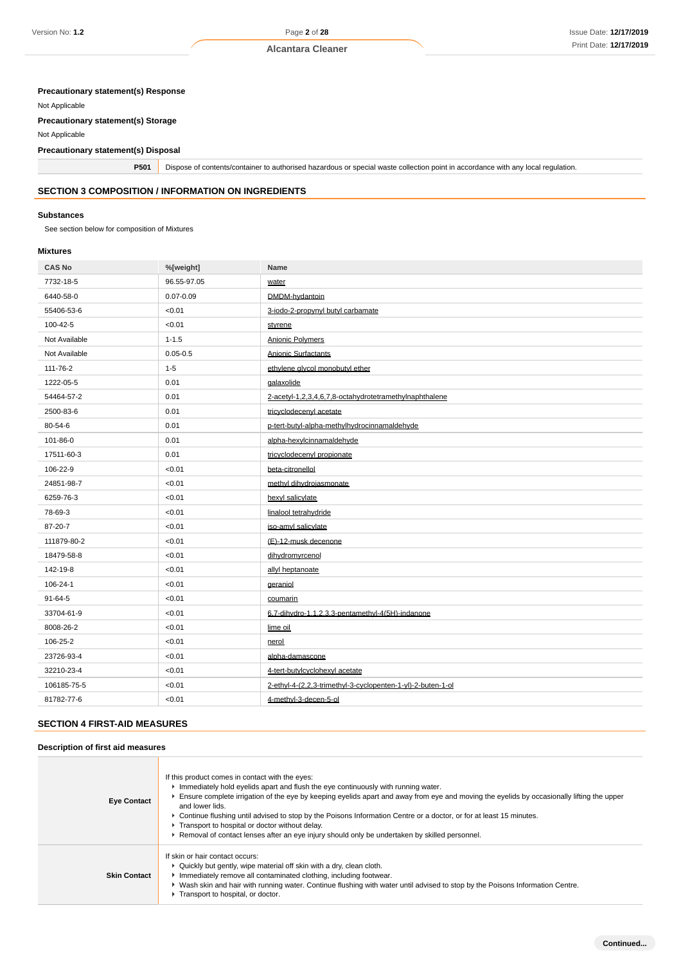# **Precautionary statement(s) Response**

Not Applicable

#### **Precautionary statement(s) Storage**

Not Applicable

#### **Precautionary statement(s) Disposal**

**P501** Dispose of contents/container to authorised hazardous or special waste collection point in accordance with any local regulation.

# **SECTION 3 COMPOSITION / INFORMATION ON INGREDIENTS**

#### **Substances**

See section below for composition of Mixtures

#### **Mixtures**

| <b>CAS No</b> | %[weight]     | Name                                                        |
|---------------|---------------|-------------------------------------------------------------|
| 7732-18-5     | 96.55-97.05   | water                                                       |
| 6440-58-0     | $0.07 - 0.09$ | DMDM-hydantoin                                              |
| 55406-53-6    | < 0.01        | 3-iodo-2-propynyl butyl carbamate                           |
| 100-42-5      | < 0.01        | stvrene                                                     |
| Not Available | $1 - 1.5$     | Anionic Polymers                                            |
| Not Available | $0.05 - 0.5$  | Anionic Surfactants                                         |
| 111-76-2      | $1 - 5$       | ethvlene alvcol monobutyl ether                             |
| 1222-05-5     | 0.01          | galaxolide                                                  |
| 54464-57-2    | 0.01          | 2-acetyl-1,2,3,4,6,7,8-octahydrotetramethylnaphthalene      |
| 2500-83-6     | 0.01          | tricyclodecenyl acetate                                     |
| 80-54-6       | 0.01          | p-tert-butyl-alpha-methylhydrocinnamaldehyde                |
| 101-86-0      | 0.01          | alpha-hexylcinnamaldehyde                                   |
| 17511-60-3    | 0.01          | tricyclodecenyl propionate                                  |
| 106-22-9      | < 0.01        | beta-citronellol                                            |
| 24851-98-7    | < 0.01        | methyl dihydrojasmonate                                     |
| 6259-76-3     | < 0.01        | hexyl salicylate                                            |
| 78-69-3       | < 0.01        | linalool tetrahydride                                       |
| 87-20-7       | < 0.01        | iso-amyl salicylate                                         |
| 111879-80-2   | < 0.01        | (E)-12-musk decenone                                        |
| 18479-58-8    | < 0.01        | dihydromyrcenol                                             |
| 142-19-8      | < 0.01        | allyl heptanoate                                            |
| 106-24-1      | < 0.01        | geraniol                                                    |
| $91 - 64 - 5$ | < 0.01        | coumarin                                                    |
| 33704-61-9    | < 0.01        | 6.7-dihydro-1.1.2.3.3-pentamethyl-4(5H)-indanone            |
| 8008-26-2     | < 0.01        | lime oil                                                    |
| 106-25-2      | < 0.01        | nerol                                                       |
| 23726-93-4    | < 0.01        | alpha-damascone                                             |
| 32210-23-4    | < 0.01        | 4-tert-butylcyclohexyl acetate                              |
| 106185-75-5   | < 0.01        | 2-ethyl-4-(2,2,3-trimethyl-3-cyclopenten-1-yl)-2-buten-1-ol |
| 81782-77-6    | < 0.01        | 4-methyl-3-decen-5-ol                                       |

#### **SECTION 4 FIRST-AID MEASURES**

#### **Description of first aid measures**

| <b>Eye Contact</b>  | If this product comes in contact with the eyes:<br>In Immediately hold eyelids apart and flush the eye continuously with running water.<br>Ensure complete irrigation of the eye by keeping eyelids apart and away from eye and moving the eyelids by occasionally lifting the upper<br>and lower lids.<br>► Continue flushing until advised to stop by the Poisons Information Centre or a doctor, or for at least 15 minutes.<br>F Transport to hospital or doctor without delay.<br>► Removal of contact lenses after an eye injury should only be undertaken by skilled personnel. |
|---------------------|----------------------------------------------------------------------------------------------------------------------------------------------------------------------------------------------------------------------------------------------------------------------------------------------------------------------------------------------------------------------------------------------------------------------------------------------------------------------------------------------------------------------------------------------------------------------------------------|
| <b>Skin Contact</b> | If skin or hair contact occurs:<br>• Quickly but gently, wipe material off skin with a dry, clean cloth.<br>Inmediately remove all contaminated clothing, including footwear.<br>► Wash skin and hair with running water. Continue flushing with water until advised to stop by the Poisons Information Centre.<br>Transport to hospital, or doctor.                                                                                                                                                                                                                                   |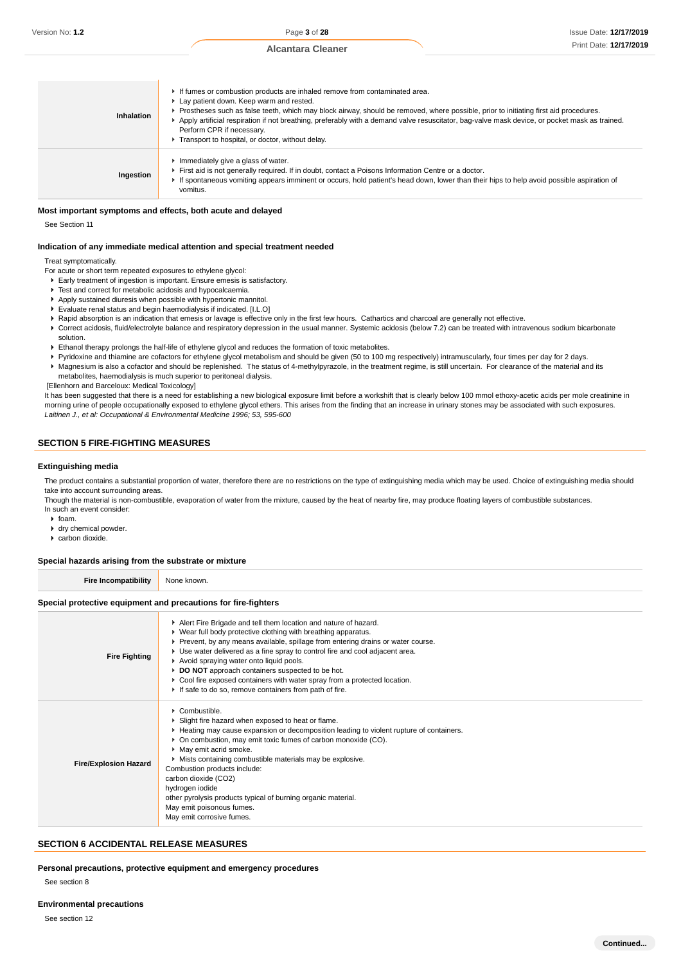| Inhalation | If fumes or combustion products are inhaled remove from contaminated area.<br>Lay patient down. Keep warm and rested.<br>▶ Prostheses such as false teeth, which may block airway, should be removed, where possible, prior to initiating first aid procedures.<br>Apply artificial respiration if not breathing, preferably with a demand valve resuscitator, bag-valve mask device, or pocket mask as trained.<br>Perform CPR if necessary.<br>Transport to hospital, or doctor, without delay. |
|------------|---------------------------------------------------------------------------------------------------------------------------------------------------------------------------------------------------------------------------------------------------------------------------------------------------------------------------------------------------------------------------------------------------------------------------------------------------------------------------------------------------|
| Ingestion  | Immediately give a glass of water.<br>First aid is not generally required. If in doubt, contact a Poisons Information Centre or a doctor.<br>If spontaneous vomiting appears imminent or occurs, hold patient's head down, lower than their hips to help avoid possible aspiration of<br>vomitus.                                                                                                                                                                                                 |

#### **Most important symptoms and effects, both acute and delayed**

See Section 11

#### **Indication of any immediate medical attention and special treatment needed**

Treat symptomatically.

- For acute or short term repeated exposures to ethylene glycol:
- Early treatment of ingestion is important. Ensure emesis is satisfactory.
- Test and correct for metabolic acidosis and hypocalcaemia.
- Apply sustained diuresis when possible with hypertonic mannitol. Evaluate renal status and begin haemodialysis if indicated. [I.L.O]
- ▶ Rapid absorption is an indication that emesis or lavage is effective only in the first few hours. Cathartics and charcoal are generally not effective.
- ▶ Correct acidosis, fluid/electrolyte balance and respiratory depression in the usual manner. Systemic acidosis (below 7.2) can be treated with intravenous sodium bicarbonate solution.
- Ethanol therapy prolongs the half-life of ethylene glycol and reduces the formation of toxic metabolites.
- Pyridoxine and thiamine are cofactors for ethylene glycol metabolism and should be given (50 to 100 mg respectively) intramuscularly, four times per day for 2 days. Magnesium is also a cofactor and should be replenished. The status of 4-methylpyrazole, in the treatment regime, is still uncertain. For clearance of the material and its
- metabolites, haemodialysis is much superior to peritoneal dialysis.

[Ellenhorn and Barceloux: Medical Toxicology]

It has been suggested that there is a need for establishing a new biological exposure limit before a workshift that is clearly below 100 mmol ethoxy-acetic acids per mole creatinine in morning urine of people occupationally exposed to ethylene glycol ethers. This arises from the finding that an increase in urinary stones may be associated with such exposures. Laitinen J., et al: Occupational & Environmental Medicine 1996; 53, 595-600

#### **SECTION 5 FIRE-FIGHTING MEASURES**

#### **Extinguishing media**

The product contains a substantial proportion of water, therefore there are no restrictions on the type of extinguishing media which may be used. Choice of extinguishing media should take into account surrounding areas.

Though the material is non-combustible, evaporation of water from the mixture, caused by the heat of nearby fire, may produce floating layers of combustible substances. In such an event consider:

 $\blacktriangleright$  foam.

- dry chemical powder.
- carbon dioxide.

#### **Special hazards arising from the substrate or mixture**

**Fire Incompatibility** None known.

#### **Special protective equipment and precautions for fire-fighters**

| <b>Fire Fighting</b>         | Alert Fire Brigade and tell them location and nature of hazard.<br>• Wear full body protective clothing with breathing apparatus.<br>▶ Prevent, by any means available, spillage from entering drains or water course.<br>► Use water delivered as a fine spray to control fire and cool adjacent area.<br>Avoid spraying water onto liquid pools.<br>DO NOT approach containers suspected to be hot.<br>▶ Cool fire exposed containers with water spray from a protected location.<br>If safe to do so, remove containers from path of fire. |
|------------------------------|-----------------------------------------------------------------------------------------------------------------------------------------------------------------------------------------------------------------------------------------------------------------------------------------------------------------------------------------------------------------------------------------------------------------------------------------------------------------------------------------------------------------------------------------------|
| <b>Fire/Explosion Hazard</b> | $\cdot$ Combustible.<br>Slight fire hazard when exposed to heat or flame.<br>► Heating may cause expansion or decomposition leading to violent rupture of containers.<br>• On combustion, may emit toxic fumes of carbon monoxide (CO).<br>May emit acrid smoke.<br>Mists containing combustible materials may be explosive.<br>Combustion products include:<br>carbon dioxide (CO2)<br>hydrogen iodide<br>other pyrolysis products typical of burning organic material.<br>May emit poisonous fumes.<br>May emit corrosive fumes.            |

#### **SECTION 6 ACCIDENTAL RELEASE MEASURES**

**Personal precautions, protective equipment and emergency procedures**

See section 8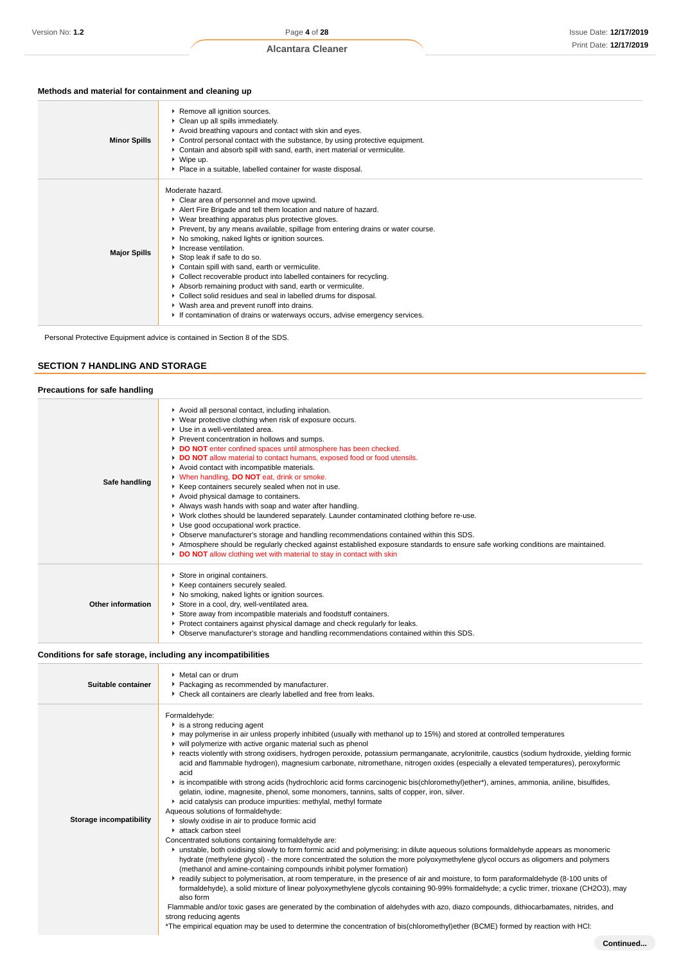# **Methods and material for containment and cleaning up**

| Moderate hazard.<br>Clear area of personnel and move upwind.                                                                                                                                                                                                                                                                                                                                                                                                                                                                                                                                                                                                        | <b>Minor Spills</b> | Remove all ignition sources.<br>• Clean up all spills immediately.<br>Avoid breathing vapours and contact with skin and eyes.<br>► Control personal contact with the substance, by using protective equipment.<br>• Contain and absorb spill with sand, earth, inert material or vermiculite.<br>$\triangleright$ Wipe up.<br>• Place in a suitable, labelled container for waste disposal. |
|---------------------------------------------------------------------------------------------------------------------------------------------------------------------------------------------------------------------------------------------------------------------------------------------------------------------------------------------------------------------------------------------------------------------------------------------------------------------------------------------------------------------------------------------------------------------------------------------------------------------------------------------------------------------|---------------------|---------------------------------------------------------------------------------------------------------------------------------------------------------------------------------------------------------------------------------------------------------------------------------------------------------------------------------------------------------------------------------------------|
| ▶ Wear breathing apparatus plus protective gloves.<br>▶ Prevent, by any means available, spillage from entering drains or water course.<br>▶ No smoking, naked lights or ignition sources.<br>Increase ventilation.<br><b>Major Spills</b><br>Stop leak if safe to do so.<br>Contain spill with sand, earth or vermiculite.<br>• Collect recoverable product into labelled containers for recycling.<br>Absorb remaining product with sand, earth or vermiculite.<br>• Collect solid residues and seal in labelled drums for disposal.<br>▶ Wash area and prevent runoff into drains.<br>If contamination of drains or waterways occurs, advise emergency services. |                     | Alert Fire Brigade and tell them location and nature of hazard.                                                                                                                                                                                                                                                                                                                             |

Personal Protective Equipment advice is contained in Section 8 of the SDS.

#### **SECTION 7 HANDLING AND STORAGE**

| Precautions for safe handling |                                                                                                                                                                                                                                                                                                                                                                                                                                                                                                                                                                                                                                                                                                                                                                                                                                                                                                                                                                                                                                                 |
|-------------------------------|-------------------------------------------------------------------------------------------------------------------------------------------------------------------------------------------------------------------------------------------------------------------------------------------------------------------------------------------------------------------------------------------------------------------------------------------------------------------------------------------------------------------------------------------------------------------------------------------------------------------------------------------------------------------------------------------------------------------------------------------------------------------------------------------------------------------------------------------------------------------------------------------------------------------------------------------------------------------------------------------------------------------------------------------------|
| Safe handling                 | Avoid all personal contact, including inhalation.<br>▶ Wear protective clothing when risk of exposure occurs.<br>Use in a well-ventilated area.<br>Prevent concentration in hollows and sumps.<br>DO NOT enter confined spaces until atmosphere has been checked.<br>DO NOT allow material to contact humans, exposed food or food utensils.<br>Avoid contact with incompatible materials.<br>V When handling, DO NOT eat, drink or smoke.<br>▶ Keep containers securely sealed when not in use.<br>Avoid physical damage to containers.<br>Always wash hands with soap and water after handling.<br>▶ Work clothes should be laundered separately. Launder contaminated clothing before re-use.<br>Use good occupational work practice.<br>▶ Observe manufacturer's storage and handling recommendations contained within this SDS.<br>Atmosphere should be regularly checked against established exposure standards to ensure safe working conditions are maintained.<br>DO NOT allow clothing wet with material to stay in contact with skin |
| Other information             | Store in original containers.<br>▶ Keep containers securely sealed.<br>▶ No smoking, naked lights or ignition sources.<br>Store in a cool, dry, well-ventilated area.<br>Store away from incompatible materials and foodstuff containers.<br>Protect containers against physical damage and check regularly for leaks.<br>▶ Observe manufacturer's storage and handling recommendations contained within this SDS.                                                                                                                                                                                                                                                                                                                                                                                                                                                                                                                                                                                                                              |

#### **Conditions for safe storage, including any incompatibilities**

| Suitable container      | • Metal can or drum<br>Packaging as recommended by manufacturer.<br>• Check all containers are clearly labelled and free from leaks.                                                                                                                                                                                                                                                                                                                                                                                                                                                                                                                                                                                                                                                                                                                                                                                                                                                                                                                                                                                                                                                                                                                                                                                                                                                                                                                                                                                                                                                                                                                                                                                                                                                                                                                                                                                                                                                                                                   |
|-------------------------|----------------------------------------------------------------------------------------------------------------------------------------------------------------------------------------------------------------------------------------------------------------------------------------------------------------------------------------------------------------------------------------------------------------------------------------------------------------------------------------------------------------------------------------------------------------------------------------------------------------------------------------------------------------------------------------------------------------------------------------------------------------------------------------------------------------------------------------------------------------------------------------------------------------------------------------------------------------------------------------------------------------------------------------------------------------------------------------------------------------------------------------------------------------------------------------------------------------------------------------------------------------------------------------------------------------------------------------------------------------------------------------------------------------------------------------------------------------------------------------------------------------------------------------------------------------------------------------------------------------------------------------------------------------------------------------------------------------------------------------------------------------------------------------------------------------------------------------------------------------------------------------------------------------------------------------------------------------------------------------------------------------------------------------|
| Storage incompatibility | Formaldehyde:<br>$\blacktriangleright$ is a strong reducing agent<br>► may polymerise in air unless properly inhibited (usually with methanol up to 15%) and stored at controlled temperatures<br>▶ will polymerize with active organic material such as phenol<br>F reacts violently with strong oxidisers, hydrogen peroxide, potassium permanganate, acrylonitrile, caustics (sodium hydroxide, yielding formic<br>acid and flammable hydrogen), magnesium carbonate, nitromethane, nitrogen oxides (especially a elevated temperatures), peroxyformic<br>acid<br>► is incompatible with strong acids (hydrochloric acid forms carcinogenic bis(chloromethyl)ether*), amines, ammonia, aniline, bisulfides,<br>gelatin, iodine, magnesite, phenol, some monomers, tannins, salts of copper, iron, silver.<br>acid catalysis can produce impurities: methylal, methyl formate<br>Aqueous solutions of formaldehyde:<br>slowly oxidise in air to produce formic acid<br>$\blacktriangleright$ attack carbon steel<br>Concentrated solutions containing formaldehyde are:<br>unstable, both oxidising slowly to form formic acid and polymerising; in dilute aqueous solutions formaldehyde appears as monomeric<br>hydrate (methylene glycol) - the more concentrated the solution the more polyoxymethylene glycol occurs as oligomers and polymers<br>(methanol and amine-containing compounds inhibit polymer formation)<br>Freadily subject to polymerisation, at room temperature, in the presence of air and moisture, to form paraformaldehyde (8-100 units of<br>formaldehyde), a solid mixture of linear polyoxymethylene glycols containing 90-99% formaldehyde; a cyclic trimer, trioxane (CH2O3), may<br>also form<br>Flammable and/or toxic gases are generated by the combination of aldehydes with azo, diazo compounds, dithiocarbamates, nitrides, and<br>strong reducing agents<br>*The empirical equation may be used to determine the concentration of bis(chloromethyl)ether (BCME) formed by reaction with HCI: |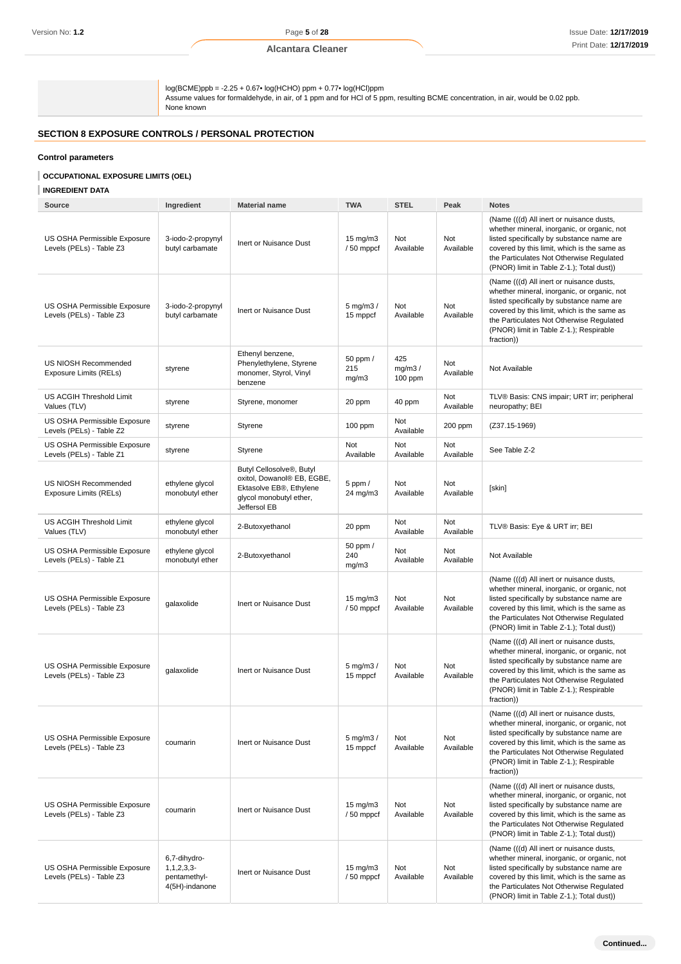log(BCME)ppb = -2.25 + 0.67• log(HCHO) ppm + 0.77• log(HCl)ppm Assume values for formaldehyde, in air, of 1 ppm and for HCl of 5 ppm, resulting BCME concentration, in air, would be 0.02 ppb. None known

# **SECTION 8 EXPOSURE CONTROLS / PERSONAL PROTECTION**

#### **Control parameters**

#### **OCCUPATIONAL EXPOSURE LIMITS (OEL)**

#### **INGREDIENT DATA**

| <b>Source</b>                                            | Ingredient                                                      | <b>Material name</b>                                                                                                                      | <b>TWA</b>                     | <b>STEL</b>              | Peak             | <b>Notes</b>                                                                                                                                                                                                                                                                             |
|----------------------------------------------------------|-----------------------------------------------------------------|-------------------------------------------------------------------------------------------------------------------------------------------|--------------------------------|--------------------------|------------------|------------------------------------------------------------------------------------------------------------------------------------------------------------------------------------------------------------------------------------------------------------------------------------------|
| US OSHA Permissible Exposure<br>Levels (PELs) - Table Z3 | 3-iodo-2-propynyl<br>butyl carbamate                            | Inert or Nuisance Dust                                                                                                                    | $15 \text{ mg/m}$<br>/50 mppcf | Not<br>Available         | Not<br>Available | (Name (((d) All inert or nuisance dusts,<br>whether mineral, inorganic, or organic, not<br>listed specifically by substance name are<br>covered by this limit, which is the same as<br>the Particulates Not Otherwise Regulated<br>(PNOR) limit in Table Z-1.); Total dust))             |
| US OSHA Permissible Exposure<br>Levels (PELs) - Table Z3 | 3-iodo-2-propynyl<br>butyl carbamate                            | Inert or Nuisance Dust                                                                                                                    | $5$ mg/m $3/$<br>15 mppcf      | Not<br>Available         | Not<br>Available | (Name (((d) All inert or nuisance dusts,<br>whether mineral, inorganic, or organic, not<br>listed specifically by substance name are<br>covered by this limit, which is the same as<br>the Particulates Not Otherwise Regulated<br>(PNOR) limit in Table Z-1.); Respirable<br>fraction)) |
| US NIOSH Recommended<br>Exposure Limits (RELs)           | styrene                                                         | Ethenyl benzene,<br>Phenylethylene, Styrene<br>monomer, Styrol, Vinyl<br>benzene                                                          | 50 ppm /<br>215<br>mg/m3       | 425<br>mg/m3/<br>100 ppm | Not<br>Available | Not Available                                                                                                                                                                                                                                                                            |
| US ACGIH Threshold Limit<br>Values (TLV)                 | styrene                                                         | Styrene, monomer                                                                                                                          | 20 ppm                         | 40 ppm                   | Not<br>Available | TLV® Basis: CNS impair; URT irr; peripheral<br>neuropathy; BEI                                                                                                                                                                                                                           |
| US OSHA Permissible Exposure<br>Levels (PELs) - Table Z2 | styrene                                                         | Styrene                                                                                                                                   | $100$ ppm                      | Not<br>Available         | 200 ppm          | $(Z37.15-1969)$                                                                                                                                                                                                                                                                          |
| US OSHA Permissible Exposure<br>Levels (PELs) - Table Z1 | styrene                                                         | Styrene                                                                                                                                   | Not<br>Available               | Not<br>Available         | Not<br>Available | See Table Z-2                                                                                                                                                                                                                                                                            |
| US NIOSH Recommended<br><b>Exposure Limits (RELs)</b>    | ethylene glycol<br>monobutyl ether                              | Butyl Cellosolve <sup>®</sup> , Butyl<br>oxitol, Dowanol® EB, EGBE,<br>Ektasolve EB®, Ethylene<br>glycol monobutyl ether,<br>Jeffersol EB | $5$ ppm $/$<br>24 mg/m3        | <b>Not</b><br>Available  | Not<br>Available | [skin]                                                                                                                                                                                                                                                                                   |
| US ACGIH Threshold Limit<br>Values (TLV)                 | ethylene glycol<br>monobutyl ether                              | 2-Butoxyethanol                                                                                                                           | 20 ppm                         | Not<br>Available         | Not<br>Available | TLV® Basis: Eye & URT irr; BEI                                                                                                                                                                                                                                                           |
| US OSHA Permissible Exposure<br>Levels (PELs) - Table Z1 | ethylene glycol<br>monobutyl ether                              | 2-Butoxyethanol                                                                                                                           | 50 ppm /<br>240<br>mg/m3       | Not<br>Available         | Not<br>Available | Not Available                                                                                                                                                                                                                                                                            |
| US OSHA Permissible Exposure<br>Levels (PELs) - Table Z3 | galaxolide                                                      | Inert or Nuisance Dust                                                                                                                    | $15 \text{ mg/m}$<br>/50 mppcf | Not<br>Available         | Not<br>Available | (Name (((d) All inert or nuisance dusts,<br>whether mineral, inorganic, or organic, not<br>listed specifically by substance name are<br>covered by this limit, which is the same as<br>the Particulates Not Otherwise Regulated<br>(PNOR) limit in Table Z-1.); Total dust))             |
| US OSHA Permissible Exposure<br>Levels (PELs) - Table Z3 | qalaxolide                                                      | Inert or Nuisance Dust                                                                                                                    | $5$ mg/m $3/$<br>15 mppcf      | Not<br>Available         | Not<br>Available | (Name (((d) All inert or nuisance dusts,<br>whether mineral, inorganic, or organic, not<br>listed specifically by substance name are<br>covered by this limit, which is the same as<br>the Particulates Not Otherwise Regulated<br>(PNOR) limit in Table Z-1.); Respirable<br>fraction)) |
| US OSHA Permissible Exposure<br>Levels (PELs) - Table Z3 | coumarin                                                        | Inert or Nuisance Dust                                                                                                                    | $5$ mg/m $3/$<br>15 mppcf      | Not<br>Available         | Not<br>Available | (Name (((d) All inert or nuisance dusts,<br>whether mineral, inorganic, or organic, not<br>listed specifically by substance name are<br>covered by this limit, which is the same as<br>the Particulates Not Otherwise Regulated<br>(PNOR) limit in Table Z-1.); Respirable<br>fraction)) |
| US OSHA Permissible Exposure<br>Levels (PELs) - Table Z3 | coumarin                                                        | Inert or Nuisance Dust                                                                                                                    | $15 \text{ mg/m}$<br>/50 mppcf | Not<br>Available         | Not<br>Available | (Name (((d) All inert or nuisance dusts,<br>whether mineral, inorganic, or organic, not<br>listed specifically by substance name are<br>covered by this limit, which is the same as<br>the Particulates Not Otherwise Regulated<br>(PNOR) limit in Table Z-1.); Total dust))             |
| US OSHA Permissible Exposure<br>Levels (PELs) - Table Z3 | 6,7-dihydro-<br>1, 1, 2, 3, 3<br>pentamethyl-<br>4(5H)-indanone | Inert or Nuisance Dust                                                                                                                    | $15 \text{ mg/m}$<br>/50 mppcf | Not<br>Available         | Not<br>Available | (Name (((d) All inert or nuisance dusts,<br>whether mineral, inorganic, or organic, not<br>listed specifically by substance name are<br>covered by this limit, which is the same as<br>the Particulates Not Otherwise Regulated<br>(PNOR) limit in Table Z-1.); Total dust))             |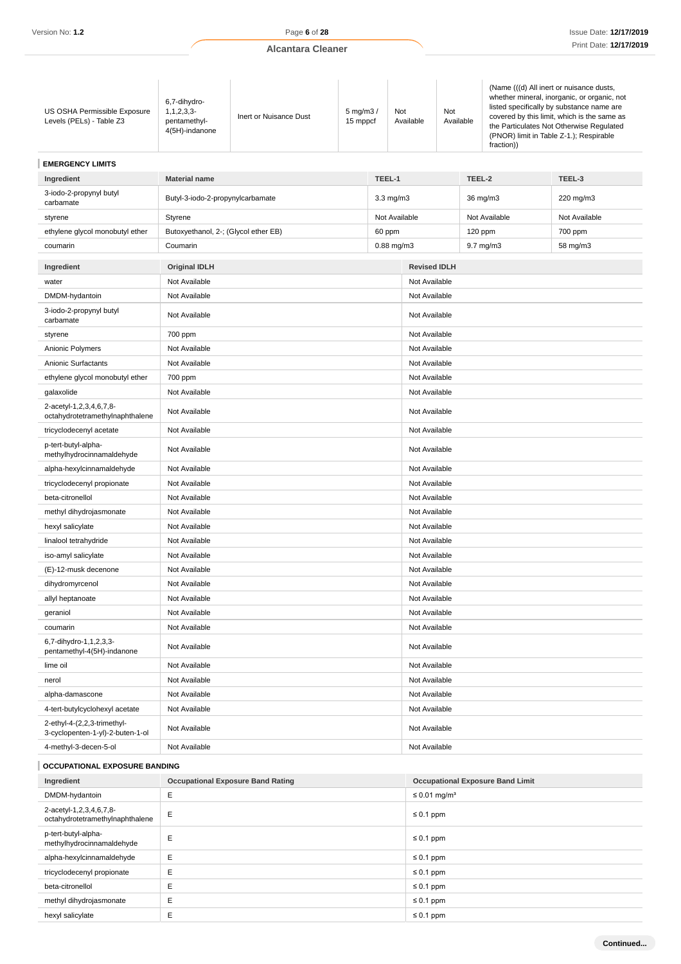| US OSHA Permissible Exposure<br>Levels (PELs) - Table Z3        | 6,7-dihydro-<br>1, 1, 2, 3, 3<br>pentamethyl-<br>4(5H)-indanone | Inert or Nuisance Dust                   | $5$ mg/m $3/$<br>15 mppcf |                | Not<br>Available | Not<br>Available                     |               | (Name (((d) All inert or nuisance dusts,<br>whether mineral, inorganic, or organic, not<br>listed specifically by substance name are<br>covered by this limit, which is the same as<br>the Particulates Not Otherwise Regulated<br>(PNOR) limit in Table Z-1.); Respirable<br>fraction)) |        |  |  |  |
|-----------------------------------------------------------------|-----------------------------------------------------------------|------------------------------------------|---------------------------|----------------|------------------|--------------------------------------|---------------|------------------------------------------------------------------------------------------------------------------------------------------------------------------------------------------------------------------------------------------------------------------------------------------|--------|--|--|--|
| <b>EMERGENCY LIMITS</b>                                         |                                                                 |                                          |                           |                |                  |                                      |               |                                                                                                                                                                                                                                                                                          |        |  |  |  |
| Ingredient                                                      | <b>Material name</b>                                            | TEEL-1                                   |                           |                |                  |                                      | TEEL-2        |                                                                                                                                                                                                                                                                                          | TEEL-3 |  |  |  |
| 3-iodo-2-propynyl butyl<br>carbamate                            | Butyl-3-iodo-2-propynylcarbamate                                |                                          |                           | $3.3$ mg/m $3$ |                  | 36 mg/m3<br>220 mg/m3                |               |                                                                                                                                                                                                                                                                                          |        |  |  |  |
| styrene                                                         | Styrene                                                         |                                          |                           |                | Not Available    | Not Available<br>Not Available       |               |                                                                                                                                                                                                                                                                                          |        |  |  |  |
| ethylene glycol monobutyl ether                                 | Butoxyethanol, 2-; (Glycol ether EB)                            |                                          |                           | 60 ppm         |                  | 120 ppm<br>700 ppm                   |               |                                                                                                                                                                                                                                                                                          |        |  |  |  |
| coumarin                                                        | Coumarin                                                        |                                          |                           |                | $0.88$ mg/m $3$  | 9.7 mg/m3<br>58 mg/m3                |               |                                                                                                                                                                                                                                                                                          |        |  |  |  |
|                                                                 | <b>Original IDLH</b>                                            |                                          |                           |                |                  |                                      |               |                                                                                                                                                                                                                                                                                          |        |  |  |  |
| Ingredient<br>water                                             | Not Available                                                   |                                          |                           |                |                  | <b>Revised IDLH</b><br>Not Available |               |                                                                                                                                                                                                                                                                                          |        |  |  |  |
| DMDM-hydantoin                                                  | Not Available                                                   |                                          |                           |                | Not Available    |                                      |               |                                                                                                                                                                                                                                                                                          |        |  |  |  |
| 3-iodo-2-propynyl butyl                                         |                                                                 |                                          |                           |                |                  |                                      |               |                                                                                                                                                                                                                                                                                          |        |  |  |  |
| carbamate                                                       | Not Available                                                   |                                          |                           |                | Not Available    |                                      |               |                                                                                                                                                                                                                                                                                          |        |  |  |  |
| styrene                                                         | 700 ppm                                                         |                                          |                           |                | Not Available    |                                      |               |                                                                                                                                                                                                                                                                                          |        |  |  |  |
| Anionic Polymers                                                | Not Available                                                   |                                          |                           |                | Not Available    |                                      |               |                                                                                                                                                                                                                                                                                          |        |  |  |  |
| Anionic Surfactants                                             | Not Available                                                   |                                          |                           |                |                  | Not Available                        |               |                                                                                                                                                                                                                                                                                          |        |  |  |  |
| ethylene glycol monobutyl ether                                 | 700 ppm                                                         |                                          |                           |                |                  | Not Available                        |               |                                                                                                                                                                                                                                                                                          |        |  |  |  |
| galaxolide                                                      | Not Available                                                   |                                          |                           |                |                  | Not Available                        |               |                                                                                                                                                                                                                                                                                          |        |  |  |  |
| 2-acetyl-1,2,3,4,6,7,8-<br>octahydrotetramethylnaphthalene      | Not Available                                                   |                                          |                           |                |                  |                                      | Not Available |                                                                                                                                                                                                                                                                                          |        |  |  |  |
| tricyclodecenyl acetate                                         | Not Available                                                   |                                          |                           |                |                  | Not Available                        |               |                                                                                                                                                                                                                                                                                          |        |  |  |  |
| p-tert-butyl-alpha-<br>methylhydrocinnamaldehyde                | Not Available                                                   |                                          |                           |                |                  | Not Available                        |               |                                                                                                                                                                                                                                                                                          |        |  |  |  |
| alpha-hexylcinnamaldehyde                                       | Not Available                                                   |                                          |                           |                | Not Available    |                                      |               |                                                                                                                                                                                                                                                                                          |        |  |  |  |
| tricyclodecenyl propionate                                      | Not Available                                                   |                                          |                           |                |                  | Not Available                        |               |                                                                                                                                                                                                                                                                                          |        |  |  |  |
| beta-citronellol                                                | Not Available                                                   |                                          |                           |                |                  | Not Available                        |               |                                                                                                                                                                                                                                                                                          |        |  |  |  |
| methyl dihydrojasmonate                                         | Not Available                                                   |                                          |                           |                |                  | Not Available                        |               |                                                                                                                                                                                                                                                                                          |        |  |  |  |
| hexyl salicylate                                                | Not Available                                                   |                                          |                           |                | Not Available    |                                      |               |                                                                                                                                                                                                                                                                                          |        |  |  |  |
| linalool tetrahydride                                           | Not Available                                                   |                                          |                           |                |                  | Not Available                        |               |                                                                                                                                                                                                                                                                                          |        |  |  |  |
| iso-amyl salicylate                                             | Not Available                                                   |                                          |                           |                |                  | Not Available                        |               |                                                                                                                                                                                                                                                                                          |        |  |  |  |
| (E)-12-musk decenone                                            | Not Available                                                   |                                          |                           |                |                  | Not Available                        |               |                                                                                                                                                                                                                                                                                          |        |  |  |  |
| dihydromyrcenol                                                 | Not Available                                                   |                                          |                           |                | Not Available    |                                      |               |                                                                                                                                                                                                                                                                                          |        |  |  |  |
| allyl heptanoate                                                | Not Available                                                   |                                          |                           |                |                  | Not Available                        |               |                                                                                                                                                                                                                                                                                          |        |  |  |  |
| geraniol                                                        | Not Available                                                   |                                          |                           |                |                  | Not Available                        |               |                                                                                                                                                                                                                                                                                          |        |  |  |  |
| coumarin                                                        | Not Available                                                   |                                          |                           |                |                  | Not Available                        |               |                                                                                                                                                                                                                                                                                          |        |  |  |  |
| 6,7-dihydro-1,1,2,3,3-<br>pentamethyl-4(5H)-indanone            | Not Available                                                   |                                          |                           |                | Not Available    |                                      |               |                                                                                                                                                                                                                                                                                          |        |  |  |  |
| lime oil                                                        | Not Available                                                   |                                          |                           |                |                  | Not Available                        |               |                                                                                                                                                                                                                                                                                          |        |  |  |  |
| nerol                                                           | Not Available                                                   |                                          |                           |                |                  | Not Available                        |               |                                                                                                                                                                                                                                                                                          |        |  |  |  |
| alpha-damascone                                                 | Not Available                                                   |                                          |                           |                |                  | Not Available                        |               |                                                                                                                                                                                                                                                                                          |        |  |  |  |
| 4-tert-butylcyclohexyl acetate                                  | Not Available                                                   |                                          |                           |                |                  | Not Available                        |               |                                                                                                                                                                                                                                                                                          |        |  |  |  |
| 2-ethyl-4-(2,2,3-trimethyl-<br>3-cyclopenten-1-yl)-2-buten-1-ol | Not Available                                                   |                                          |                           |                | Not Available    |                                      |               |                                                                                                                                                                                                                                                                                          |        |  |  |  |
| 4-methyl-3-decen-5-ol                                           | Not Available                                                   |                                          |                           |                | Not Available    |                                      |               |                                                                                                                                                                                                                                                                                          |        |  |  |  |
| OCCUPATIONAL EXPOSURE BANDING                                   |                                                                 |                                          |                           |                |                  |                                      |               |                                                                                                                                                                                                                                                                                          |        |  |  |  |
| Ingredient                                                      |                                                                 | <b>Occupational Exposure Band Rating</b> |                           |                |                  |                                      |               | <b>Occupational Exposure Band Limit</b>                                                                                                                                                                                                                                                  |        |  |  |  |
| DMDM-hydantoin<br>Ε                                             |                                                                 |                                          |                           |                |                  | $\leq$ 0.01 mg/m <sup>3</sup>        |               |                                                                                                                                                                                                                                                                                          |        |  |  |  |

| DMDM-hydantoin                                             | E | $\leq$ 0.01 mg/m <sup>3</sup> |
|------------------------------------------------------------|---|-------------------------------|
| 2-acetyl-1,2,3,4,6,7,8-<br>octahydrotetramethylnaphthalene | Ε | $\leq 0.1$ ppm                |
| p-tert-butyl-alpha-<br>methylhydrocinnamaldehyde           | E | $\leq 0.1$ ppm                |
| alpha-hexylcinnamaldehyde                                  | Ε | $\leq 0.1$ ppm                |
| tricyclodecenyl propionate                                 | E | $\leq 0.1$ ppm                |
| beta-citronellol                                           |   | $\leq 0.1$ ppm                |
| methyl dihydrojasmonate                                    | E | $\leq 0.1$ ppm                |
| hexyl salicylate                                           |   | $\leq 0.1$ ppm                |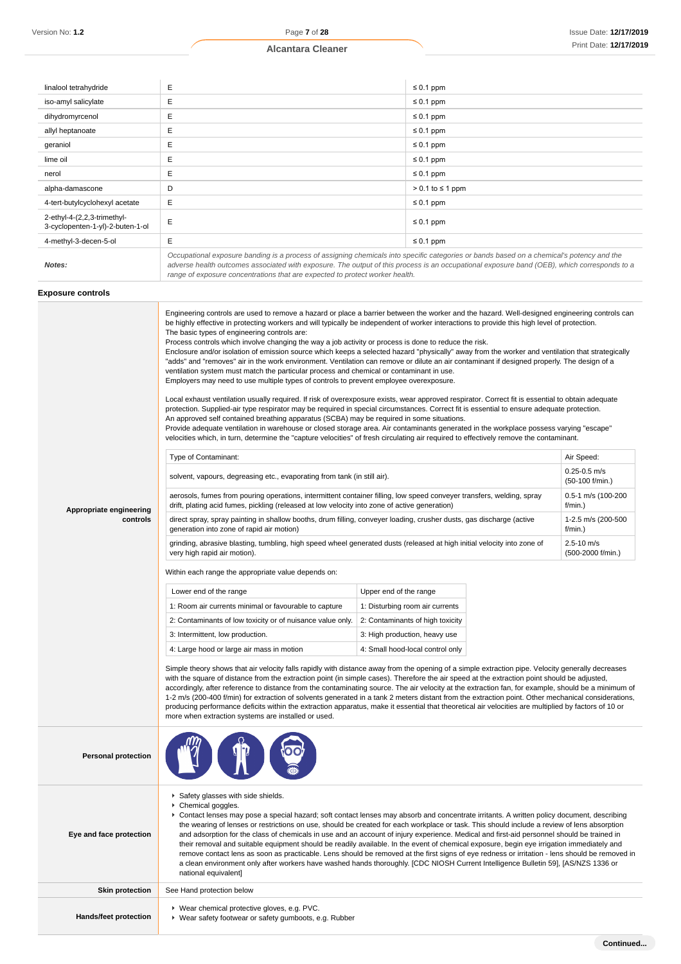| linalool tetrahydride                                           | Е                                                                                                                                                                                                                                                                                                                                                                        | $\leq 0.1$ ppm          |
|-----------------------------------------------------------------|--------------------------------------------------------------------------------------------------------------------------------------------------------------------------------------------------------------------------------------------------------------------------------------------------------------------------------------------------------------------------|-------------------------|
| iso-amyl salicylate                                             | E                                                                                                                                                                                                                                                                                                                                                                        | $\leq 0.1$ ppm          |
| dihydromyrcenol                                                 | E                                                                                                                                                                                                                                                                                                                                                                        | $\leq 0.1$ ppm          |
| allyl heptanoate                                                | E                                                                                                                                                                                                                                                                                                                                                                        | $\leq 0.1$ ppm          |
| geraniol                                                        | E                                                                                                                                                                                                                                                                                                                                                                        | $\leq 0.1$ ppm          |
| lime oil                                                        | E                                                                                                                                                                                                                                                                                                                                                                        | $\leq 0.1$ ppm          |
| nerol                                                           | E                                                                                                                                                                                                                                                                                                                                                                        | $\leq 0.1$ ppm          |
| alpha-damascone                                                 | D                                                                                                                                                                                                                                                                                                                                                                        | $> 0.1$ to $\leq 1$ ppm |
| 4-tert-butylcyclohexyl acetate                                  | E                                                                                                                                                                                                                                                                                                                                                                        | $\leq 0.1$ ppm          |
| 2-ethyl-4-(2,2,3-trimethyl-<br>3-cyclopenten-1-yl)-2-buten-1-ol | E                                                                                                                                                                                                                                                                                                                                                                        | $\leq 0.1$ ppm          |
| 4-methyl-3-decen-5-ol                                           | E                                                                                                                                                                                                                                                                                                                                                                        | $\leq 0.1$ ppm          |
| Notes:                                                          | Occupational exposure banding is a process of assigning chemicals into specific categories or bands based on a chemical's potency and the<br>adverse health outcomes associated with exposure. The output of this process is an occupational exposure band (OEB), which corresponds to a<br>range of exposure concentrations that are expected to protect worker health. |                         |

# **Exposure controls**

|                            | Engineering controls are used to remove a hazard or place a barrier between the worker and the hazard. Well-designed engineering controls can<br>be highly effective in protecting workers and will typically be independent of worker interactions to provide this high level of protection.<br>The basic types of engineering controls are:<br>Process controls which involve changing the way a job activity or process is done to reduce the risk.<br>Enclosure and/or isolation of emission source which keeps a selected hazard "physically" away from the worker and ventilation that strategically<br>"adds" and "removes" air in the work environment. Ventilation can remove or dilute an air contaminant if designed properly. The design of a<br>ventilation system must match the particular process and chemical or contaminant in use.<br>Employers may need to use multiple types of controls to prevent employee overexposure.<br>Local exhaust ventilation usually required. If risk of overexposure exists, wear approved respirator. Correct fit is essential to obtain adequate<br>protection. Supplied-air type respirator may be required in special circumstances. Correct fit is essential to ensure adequate protection.<br>An approved self contained breathing apparatus (SCBA) may be required in some situations.<br>Provide adequate ventilation in warehouse or closed storage area. Air contaminants generated in the workplace possess varying "escape"<br>velocities which, in turn, determine the "capture velocities" of fresh circulating air required to effectively remove the contaminant. |  |  |                                     |
|----------------------------|-------------------------------------------------------------------------------------------------------------------------------------------------------------------------------------------------------------------------------------------------------------------------------------------------------------------------------------------------------------------------------------------------------------------------------------------------------------------------------------------------------------------------------------------------------------------------------------------------------------------------------------------------------------------------------------------------------------------------------------------------------------------------------------------------------------------------------------------------------------------------------------------------------------------------------------------------------------------------------------------------------------------------------------------------------------------------------------------------------------------------------------------------------------------------------------------------------------------------------------------------------------------------------------------------------------------------------------------------------------------------------------------------------------------------------------------------------------------------------------------------------------------------------------------------------------------------------------------------------------------------------------|--|--|-------------------------------------|
|                            | Type of Contaminant:                                                                                                                                                                                                                                                                                                                                                                                                                                                                                                                                                                                                                                                                                                                                                                                                                                                                                                                                                                                                                                                                                                                                                                                                                                                                                                                                                                                                                                                                                                                                                                                                                |  |  | Air Speed:                          |
|                            | solvent, vapours, degreasing etc., evaporating from tank (in still air).                                                                                                                                                                                                                                                                                                                                                                                                                                                                                                                                                                                                                                                                                                                                                                                                                                                                                                                                                                                                                                                                                                                                                                                                                                                                                                                                                                                                                                                                                                                                                            |  |  | $0.25 - 0.5$ m/s<br>(50-100 f/min.) |
| Appropriate engineering    | aerosols, fumes from pouring operations, intermittent container filling, low speed conveyer transfers, welding, spray<br>drift, plating acid fumes, pickling (released at low velocity into zone of active generation)                                                                                                                                                                                                                                                                                                                                                                                                                                                                                                                                                                                                                                                                                                                                                                                                                                                                                                                                                                                                                                                                                                                                                                                                                                                                                                                                                                                                              |  |  | 0.5-1 m/s (100-200<br>f/min.)       |
| controls                   | direct spray, spray painting in shallow booths, drum filling, conveyer loading, crusher dusts, gas discharge (active<br>generation into zone of rapid air motion)                                                                                                                                                                                                                                                                                                                                                                                                                                                                                                                                                                                                                                                                                                                                                                                                                                                                                                                                                                                                                                                                                                                                                                                                                                                                                                                                                                                                                                                                   |  |  | 1-2.5 m/s (200-500<br>f/min.)       |
|                            | grinding, abrasive blasting, tumbling, high speed wheel generated dusts (released at high initial velocity into zone of<br>very high rapid air motion).                                                                                                                                                                                                                                                                                                                                                                                                                                                                                                                                                                                                                                                                                                                                                                                                                                                                                                                                                                                                                                                                                                                                                                                                                                                                                                                                                                                                                                                                             |  |  | 2.5-10 m/s<br>(500-2000 f/min.)     |
|                            | 1: Room air currents minimal or favourable to capture<br>1: Disturbing room air currents<br>2: Contaminants of low toxicity or of nuisance value only.<br>2: Contaminants of high toxicity<br>3: Intermittent, low production.<br>3: High production, heavy use<br>4: Large hood or large air mass in motion<br>4: Small hood-local control only<br>Simple theory shows that air velocity falls rapidly with distance away from the opening of a simple extraction pipe. Velocity generally decreases<br>with the square of distance from the extraction point (in simple cases). Therefore the air speed at the extraction point should be adjusted,<br>accordingly, after reference to distance from the contaminating source. The air velocity at the extraction fan, for example, should be a minimum of<br>1-2 m/s (200-400 f/min) for extraction of solvents generated in a tank 2 meters distant from the extraction point. Other mechanical considerations,<br>producing performance deficits within the extraction apparatus, make it essential that theoretical air velocities are multiplied by factors of 10 or<br>more when extraction systems are installed or used.                                                                                                                                                                                                                                                                                                                                                                                                                                                  |  |  |                                     |
| <b>Personal protection</b> |                                                                                                                                                                                                                                                                                                                                                                                                                                                                                                                                                                                                                                                                                                                                                                                                                                                                                                                                                                                                                                                                                                                                                                                                                                                                                                                                                                                                                                                                                                                                                                                                                                     |  |  |                                     |
| Eye and face protection    | Safety glasses with side shields.<br>Chemical goggles.<br>▶ Contact lenses may pose a special hazard; soft contact lenses may absorb and concentrate irritants. A written policy document, describing<br>the wearing of lenses or restrictions on use, should be created for each workplace or task. This should include a review of lens absorption<br>and adsorption for the class of chemicals in use and an account of injury experience. Medical and first-aid personnel should be trained in<br>their removal and suitable equipment should be readily available. In the event of chemical exposure, begin eye irrigation immediately and<br>remove contact lens as soon as practicable. Lens should be removed at the first signs of eye redness or irritation - lens should be removed in<br>a clean environment only after workers have washed hands thoroughly. [CDC NIOSH Current Intelligence Bulletin 59], [AS/NZS 1336 or<br>national equivalent]                                                                                                                                                                                                                                                                                                                                                                                                                                                                                                                                                                                                                                                                     |  |  |                                     |
| <b>Skin protection</b>     | See Hand protection below                                                                                                                                                                                                                                                                                                                                                                                                                                                                                                                                                                                                                                                                                                                                                                                                                                                                                                                                                                                                                                                                                                                                                                                                                                                                                                                                                                                                                                                                                                                                                                                                           |  |  |                                     |
| Hands/feet protection      | ▶ Wear chemical protective gloves, e.g. PVC.<br>▶ Wear safety footwear or safety gumboots, e.g. Rubber                                                                                                                                                                                                                                                                                                                                                                                                                                                                                                                                                                                                                                                                                                                                                                                                                                                                                                                                                                                                                                                                                                                                                                                                                                                                                                                                                                                                                                                                                                                              |  |  |                                     |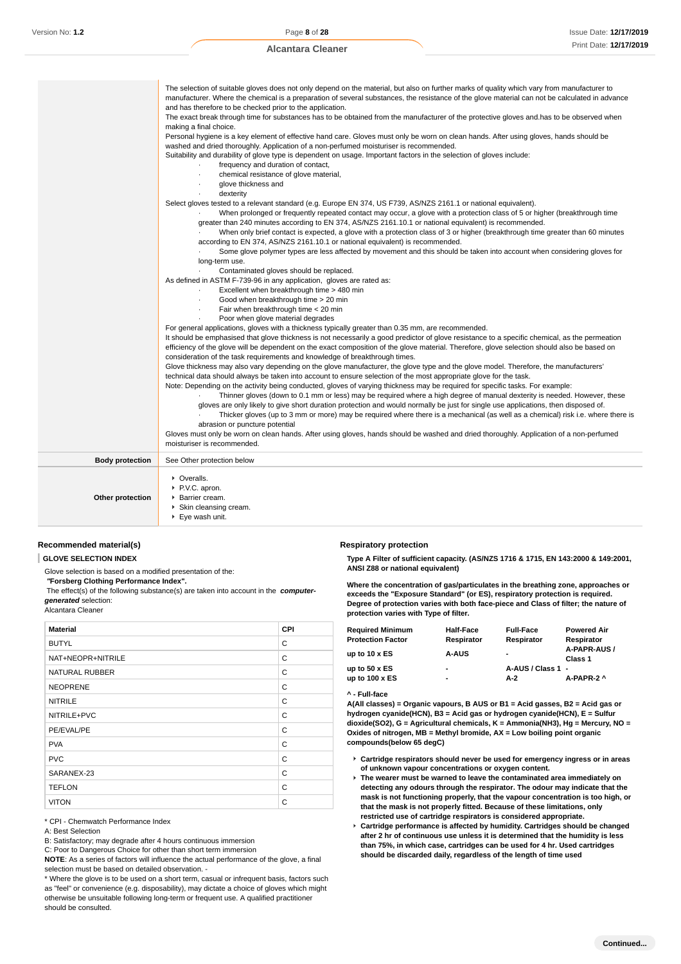|                        | The selection of suitable gloves does not only depend on the material, but also on further marks of quality which vary from manufacturer to<br>manufacturer. Where the chemical is a preparation of several substances, the resistance of the glove material can not be calculated in advance |
|------------------------|-----------------------------------------------------------------------------------------------------------------------------------------------------------------------------------------------------------------------------------------------------------------------------------------------|
|                        | and has therefore to be checked prior to the application.                                                                                                                                                                                                                                     |
|                        | The exact break through time for substances has to be obtained from the manufacturer of the protective gloves and has to be observed when                                                                                                                                                     |
|                        | making a final choice.                                                                                                                                                                                                                                                                        |
|                        | Personal hygiene is a key element of effective hand care. Gloves must only be worn on clean hands. After using gloves, hands should be                                                                                                                                                        |
|                        | washed and dried thoroughly. Application of a non-perfumed moisturiser is recommended.                                                                                                                                                                                                        |
|                        | Suitability and durability of glove type is dependent on usage. Important factors in the selection of gloves include:                                                                                                                                                                         |
|                        | frequency and duration of contact,                                                                                                                                                                                                                                                            |
|                        | chemical resistance of glove material,                                                                                                                                                                                                                                                        |
|                        | glove thickness and                                                                                                                                                                                                                                                                           |
|                        | dexterity                                                                                                                                                                                                                                                                                     |
|                        | Select gloves tested to a relevant standard (e.g. Europe EN 374, US F739, AS/NZS 2161.1 or national equivalent).                                                                                                                                                                              |
|                        | When prolonged or frequently repeated contact may occur, a glove with a protection class of 5 or higher (breakthrough time                                                                                                                                                                    |
|                        | greater than 240 minutes according to EN 374, AS/NZS 2161.10.1 or national equivalent) is recommended.                                                                                                                                                                                        |
|                        | When only brief contact is expected, a glove with a protection class of 3 or higher (breakthrough time greater than 60 minutes                                                                                                                                                                |
|                        | according to EN 374, AS/NZS 2161.10.1 or national equivalent) is recommended.                                                                                                                                                                                                                 |
|                        | Some glove polymer types are less affected by movement and this should be taken into account when considering gloves for                                                                                                                                                                      |
|                        | long-term use.                                                                                                                                                                                                                                                                                |
|                        | Contaminated gloves should be replaced.                                                                                                                                                                                                                                                       |
|                        | As defined in ASTM F-739-96 in any application, gloves are rated as:                                                                                                                                                                                                                          |
|                        | Excellent when breakthrough time > 480 min                                                                                                                                                                                                                                                    |
|                        | Good when breakthrough time > 20 min                                                                                                                                                                                                                                                          |
|                        | Fair when breakthrough time < 20 min                                                                                                                                                                                                                                                          |
|                        | Poor when glove material degrades                                                                                                                                                                                                                                                             |
|                        | For general applications, gloves with a thickness typically greater than 0.35 mm, are recommended.                                                                                                                                                                                            |
|                        | It should be emphasised that glove thickness is not necessarily a good predictor of glove resistance to a specific chemical, as the permeation                                                                                                                                                |
|                        | efficiency of the glove will be dependent on the exact composition of the glove material. Therefore, glove selection should also be based on                                                                                                                                                  |
|                        | consideration of the task requirements and knowledge of breakthrough times.<br>Glove thickness may also vary depending on the glove manufacturer, the glove type and the glove model. Therefore, the manufacturers'                                                                           |
|                        |                                                                                                                                                                                                                                                                                               |
|                        | technical data should always be taken into account to ensure selection of the most appropriate glove for the task.                                                                                                                                                                            |
|                        | Note: Depending on the activity being conducted, gloves of varying thickness may be required for specific tasks. For example:<br>Thinner gloves (down to 0.1 mm or less) may be required where a high degree of manual dexterity is needed. However, these                                    |
|                        | gloves are only likely to give short duration protection and would normally be just for single use applications, then disposed of.                                                                                                                                                            |
|                        | Thicker gloves (up to 3 mm or more) may be required where there is a mechanical (as well as a chemical) risk i.e. where there is                                                                                                                                                              |
|                        | abrasion or puncture potential                                                                                                                                                                                                                                                                |
|                        | Gloves must only be worn on clean hands. After using gloves, hands should be washed and dried thoroughly. Application of a non-perfumed                                                                                                                                                       |
|                        | moisturiser is recommended.                                                                                                                                                                                                                                                                   |
| <b>Body protection</b> | See Other protection below                                                                                                                                                                                                                                                                    |
|                        |                                                                                                                                                                                                                                                                                               |
|                        | • Overalls.                                                                                                                                                                                                                                                                                   |
|                        | P.V.C. apron.                                                                                                                                                                                                                                                                                 |
| Other protection       | Barrier cream.                                                                                                                                                                                                                                                                                |
|                        | Skin cleansing cream.                                                                                                                                                                                                                                                                         |
|                        | $\blacktriangleright$ Eye wash unit.                                                                                                                                                                                                                                                          |

#### **Recommended material(s)**

**GLOVE SELECTION INDEX**

Glove selection is based on a modified presentation of the:

 **"Forsberg Clothing Performance Index".**

 The effect(s) of the following substance(s) are taken into account in the **computergenerated** selection:

#### Alcantara Cleaner

| <b>Material</b>       | <b>CPI</b> |
|-----------------------|------------|
| <b>BUTYL</b>          | C          |
| NAT+NEOPR+NITRILE     | C          |
| <b>NATURAL RUBBER</b> | C          |
| <b>NEOPRENE</b>       | C          |
| <b>NITRILE</b>        | C          |
| NITRILE+PVC           | C          |
| PE/EVAL/PE            | C          |
| <b>PVA</b>            | C          |
| <b>PVC</b>            | C          |
| SARANEX-23            | C          |
| <b>TEFLON</b>         | C          |
| <b>VITON</b>          | C          |

\* CPI - Chemwatch Performance Index

A: Best Selection

B: Satisfactory; may degrade after 4 hours continuous immersion

C: Poor to Dangerous Choice for other than short term immersion

**NOTE**: As a series of factors will influence the actual performance of the glove, a final selection must be based on detailed observation. -

\* Where the glove is to be used on a short term, casual or infrequent basis, factors such as "feel" or convenience (e.g. disposability), may dictate a choice of gloves which might otherwise be unsuitable following long-term or frequent use. A qualified practitioner should be consulted.

#### **Respiratory protection**

**Type A Filter of sufficient capacity. (AS/NZS 1716 & 1715, EN 143:2000 & 149:2001, ANSI Z88 or national equivalent)**

**Where the concentration of gas/particulates in the breathing zone, approaches or exceeds the "Exposure Standard" (or ES), respiratory protection is required. Degree of protection varies with both face-piece and Class of filter; the nature of protection varies with Type of filter.**

| Required Minimum<br><b>Protection Factor</b> | <b>Half-Face</b><br>Respirator | <b>Full-Face</b><br>Respirator | <b>Powered Air</b><br>Respirator |
|----------------------------------------------|--------------------------------|--------------------------------|----------------------------------|
| up to 10 x ES                                | <b>A-AUS</b>                   | $\blacksquare$                 | A-PAPR-AUS /<br>Class 1          |
| up to 50 x ES                                | ٠                              | A-AUS / Class 1 -              |                                  |
| up to 100 x ES                               | $\blacksquare$                 | A-2                            | A-PAPR-2 ^                       |

#### **^ - Full-face**

**A(All classes) = Organic vapours, B AUS or B1 = Acid gasses, B2 = Acid gas or hydrogen cyanide(HCN), B3 = Acid gas or hydrogen cyanide(HCN), E = Sulfur dioxide(SO2), G = Agricultural chemicals, K = Ammonia(NH3), Hg = Mercury, NO = Oxides of nitrogen, MB = Methyl bromide, AX = Low boiling point organic compounds(below 65 degC)**

- **Cartridge respirators should never be used for emergency ingress or in areas of unknown vapour concentrations or oxygen content.**
- **The wearer must be warned to leave the contaminated area immediately on detecting any odours through the respirator. The odour may indicate that the mask is not functioning properly, that the vapour concentration is too high, or that the mask is not properly fitted. Because of these limitations, only restricted use of cartridge respirators is considered appropriate.**
- **Cartridge performance is affected by humidity. Cartridges should be changed after 2 hr of continuous use unless it is determined that the humidity is less than 75%, in which case, cartridges can be used for 4 hr. Used cartridges should be discarded daily, regardless of the length of time used**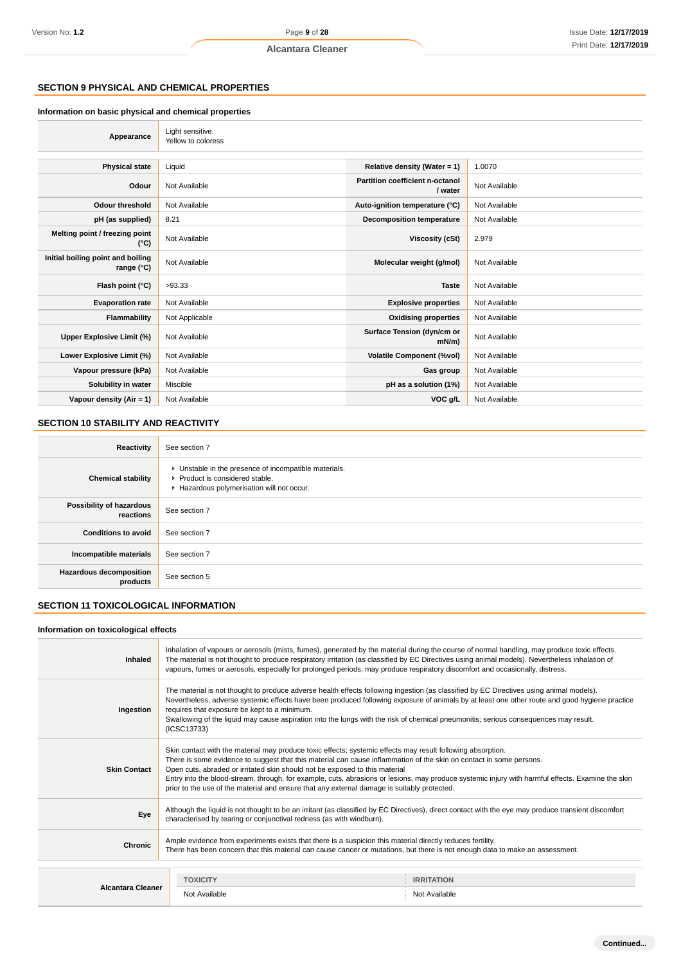# **SECTION 9 PHYSICAL AND CHEMICAL PROPERTIES**

#### **Information on basic physical and chemical properties**

| Appearance                                      | Light sensitive.<br>Yellow to coloress |                                            |               |
|-------------------------------------------------|----------------------------------------|--------------------------------------------|---------------|
| <b>Physical state</b>                           | Liquid                                 | Relative density (Water = $1$ )            | 1.0070        |
| Odour                                           | Not Available                          | Partition coefficient n-octanol<br>/ water | Not Available |
| <b>Odour threshold</b>                          | Not Available                          | Auto-ignition temperature (°C)             | Not Available |
| pH (as supplied)                                | 8.21                                   | <b>Decomposition temperature</b>           | Not Available |
| Melting point / freezing point<br>(°C)          | Not Available                          | Viscosity (cSt)                            | 2.979         |
| Initial boiling point and boiling<br>range (°C) | Not Available                          | Molecular weight (g/mol)                   | Not Available |
| Flash point (°C)                                | >93.33                                 | <b>Taste</b>                               | Not Available |
| <b>Evaporation rate</b>                         | Not Available                          | <b>Explosive properties</b>                | Not Available |
| Flammability                                    | Not Applicable                         | <b>Oxidising properties</b>                | Not Available |
| Upper Explosive Limit (%)                       | Not Available                          | Surface Tension (dyn/cm or<br>$mN/m$ )     | Not Available |
| Lower Explosive Limit (%)                       | Not Available                          | <b>Volatile Component (%vol)</b>           | Not Available |
| Vapour pressure (kPa)                           | Not Available                          | Gas group                                  | Not Available |
| Solubility in water                             | Miscible                               | pH as a solution (1%)                      | Not Available |
| Vapour density (Air = 1)                        | Not Available                          | VOC g/L                                    | Not Available |

# **SECTION 10 STABILITY AND REACTIVITY**

| Reactivity                                 | See section 7                                                                                                                        |
|--------------------------------------------|--------------------------------------------------------------------------------------------------------------------------------------|
| <b>Chemical stability</b>                  | • Unstable in the presence of incompatible materials.<br>▶ Product is considered stable.<br>Hazardous polymerisation will not occur. |
| Possibility of hazardous<br>reactions      | See section 7                                                                                                                        |
| <b>Conditions to avoid</b>                 | See section 7                                                                                                                        |
| Incompatible materials                     | See section 7                                                                                                                        |
| <b>Hazardous decomposition</b><br>products | See section 5                                                                                                                        |

# **SECTION 11 TOXICOLOGICAL INFORMATION**

#### **Information on toxicological effects**

| Inhaled                  | Inhalation of vapours or aerosols (mists, fumes), generated by the material during the course of normal handling, may produce toxic effects.<br>The material is not thought to produce respiratory irritation (as classified by EC Directives using animal models). Nevertheless inhalation of<br>vapours, fumes or aerosols, especially for prolonged periods, may produce respiratory discomfort and occasionally, distress.                                                                                                                                        |                   |  |
|--------------------------|-----------------------------------------------------------------------------------------------------------------------------------------------------------------------------------------------------------------------------------------------------------------------------------------------------------------------------------------------------------------------------------------------------------------------------------------------------------------------------------------------------------------------------------------------------------------------|-------------------|--|
| Ingestion                | The material is not thought to produce adverse health effects following ingestion (as classified by EC Directives using animal models).<br>Nevertheless, adverse systemic effects have been produced following exposure of animals by at least one other route and good hygiene practice<br>requires that exposure be kept to a minimum.<br>Swallowing of the liquid may cause aspiration into the lungs with the risk of chemical pneumonitis; serious consequences may result.<br>(ICSC13733)                                                                       |                   |  |
| <b>Skin Contact</b>      | Skin contact with the material may produce toxic effects; systemic effects may result following absorption.<br>There is some evidence to suggest that this material can cause inflammation of the skin on contact in some persons.<br>Open cuts, abraded or irritated skin should not be exposed to this material<br>Entry into the blood-stream, through, for example, cuts, abrasions or lesions, may produce systemic injury with harmful effects. Examine the skin<br>prior to the use of the material and ensure that any external damage is suitably protected. |                   |  |
| Eye                      | Although the liquid is not thought to be an irritant (as classified by EC Directives), direct contact with the eye may produce transient discomfort<br>characterised by tearing or conjunctival redness (as with windburn).                                                                                                                                                                                                                                                                                                                                           |                   |  |
| Chronic                  | Ample evidence from experiments exists that there is a suspicion this material directly reduces fertility.<br>There has been concern that this material can cause cancer or mutations, but there is not enough data to make an assessment.                                                                                                                                                                                                                                                                                                                            |                   |  |
|                          | <b>TOXICITY</b>                                                                                                                                                                                                                                                                                                                                                                                                                                                                                                                                                       | <b>IRRITATION</b> |  |
| <b>Alcantara Cleaner</b> | Not Available                                                                                                                                                                                                                                                                                                                                                                                                                                                                                                                                                         | Not Available     |  |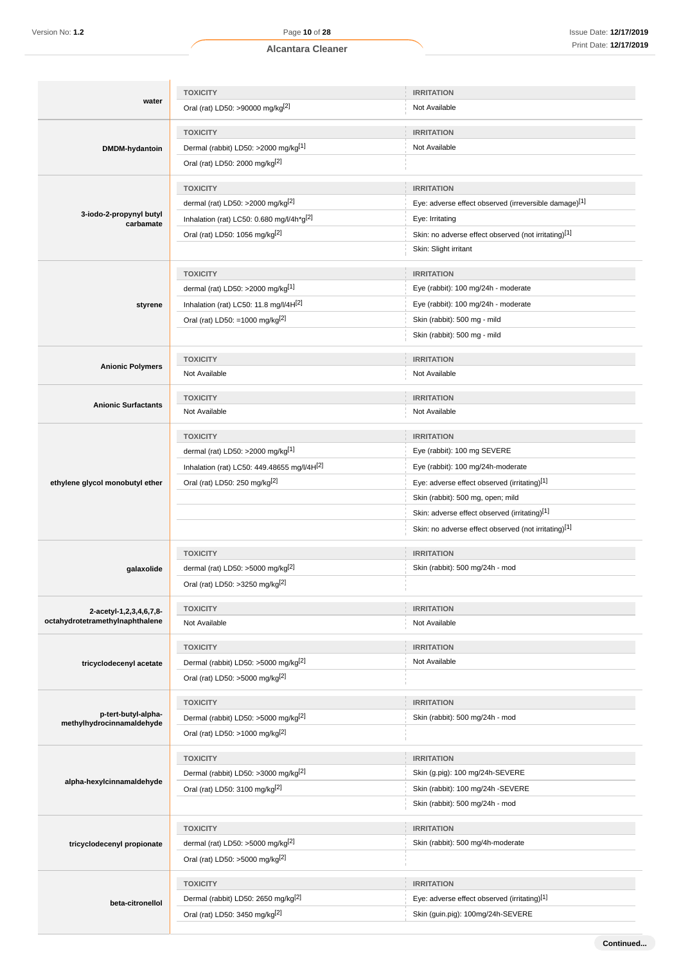$\overline{1}$ 

|                                                  | <b>TOXICITY</b>                                  | <b>IRRITATION</b>                                     |
|--------------------------------------------------|--------------------------------------------------|-------------------------------------------------------|
| water                                            | Oral (rat) LD50: >90000 mg/kg <sup>[2]</sup>     | Not Available                                         |
|                                                  | <b>TOXICITY</b>                                  | <b>IRRITATION</b>                                     |
| DMDM-hydantoin                                   | Dermal (rabbit) LD50: >2000 mg/kg <sup>[1]</sup> | Not Available                                         |
|                                                  | Oral (rat) LD50: 2000 mg/kg[2]                   |                                                       |
|                                                  | <b>TOXICITY</b>                                  | <b>IRRITATION</b>                                     |
|                                                  | dermal (rat) LD50: >2000 mg/kg <sup>[2]</sup>    | Eye: adverse effect observed (irreversible damage)[1] |
| 3-iodo-2-propynyl butyl<br>carbamate             | Inhalation (rat) LC50: 0.680 mg/l/4h*g[2]        | Eye: Irritating                                       |
|                                                  | Oral (rat) LD50: 1056 mg/kg[2]                   | Skin: no adverse effect observed (not irritating)[1]  |
|                                                  |                                                  | Skin: Slight irritant                                 |
|                                                  | <b>TOXICITY</b>                                  | <b>IRRITATION</b>                                     |
|                                                  | dermal (rat) LD50: >2000 mg/kg[1]                | Eye (rabbit): 100 mg/24h - moderate                   |
| styrene                                          | Inhalation (rat) LC50: 11.8 mg/l/4H[2]           | Eye (rabbit): 100 mg/24h - moderate                   |
|                                                  | Oral (rat) LD50: =1000 mg/kg <sup>[2]</sup>      | Skin (rabbit): 500 mg - mild                          |
|                                                  |                                                  | Skin (rabbit): 500 mg - mild                          |
|                                                  | <b>TOXICITY</b>                                  | <b>IRRITATION</b>                                     |
| <b>Anionic Polymers</b>                          | Not Available                                    | Not Available                                         |
|                                                  |                                                  |                                                       |
| <b>Anionic Surfactants</b>                       | <b>TOXICITY</b>                                  | <b>IRRITATION</b>                                     |
|                                                  | Not Available                                    | Not Available                                         |
|                                                  | <b>TOXICITY</b>                                  | <b>IRRITATION</b>                                     |
|                                                  | dermal (rat) LD50: >2000 mg/kg <sup>[1]</sup>    | Eye (rabbit): 100 mg SEVERE                           |
|                                                  | Inhalation (rat) LC50: 449.48655 mg/l/4H[2]      | Eye (rabbit): 100 mg/24h-moderate                     |
| ethylene glycol monobutyl ether                  | Oral (rat) LD50: 250 mg/kg <sup>[2]</sup>        | Eye: adverse effect observed (irritating)[1]          |
|                                                  |                                                  | Skin (rabbit): 500 mg, open; mild                     |
|                                                  |                                                  | Skin: adverse effect observed (irritating)[1]         |
|                                                  |                                                  | Skin: no adverse effect observed (not irritating)[1]  |
|                                                  | <b>TOXICITY</b>                                  | <b>IRRITATION</b>                                     |
| galaxolide                                       | dermal (rat) LD50: >5000 mg/kg $^{2}$            | Skin (rabbit): 500 mg/24h - mod                       |
|                                                  | Oral (rat) LD50: >3250 mg/kg <sup>[2]</sup>      |                                                       |
| 2-acetyl-1,2,3,4,6,7,8-                          | <b>TOXICITY</b>                                  | <b>IRRITATION</b>                                     |
| octahydrotetramethylnaphthalene                  | Not Available                                    | Not Available                                         |
|                                                  | <b>TOXICITY</b>                                  | <b>IRRITATION</b>                                     |
| tricyclodecenyl acetate                          | Dermal (rabbit) LD50: >5000 mg/kg <sup>[2]</sup> | Not Available                                         |
|                                                  | Oral (rat) LD50: >5000 mg/kg <sup>[2]</sup>      |                                                       |
|                                                  |                                                  |                                                       |
|                                                  | <b>TOXICITY</b>                                  | <b>IRRITATION</b>                                     |
| p-tert-butyl-alpha-<br>methylhydrocinnamaldehyde | Dermal (rabbit) LD50: >5000 mg/kg <sup>[2]</sup> | Skin (rabbit): 500 mg/24h - mod                       |
|                                                  | Oral (rat) LD50: >1000 mg/kg <sup>[2]</sup>      |                                                       |
|                                                  | <b>TOXICITY</b>                                  | <b>IRRITATION</b>                                     |
|                                                  | Dermal (rabbit) LD50: >3000 mg/kg[2]             | Skin (g.pig): 100 mg/24h-SEVERE                       |
| alpha-hexylcinnamaldehyde                        | Oral (rat) LD50: 3100 mg/kg <sup>[2]</sup>       | Skin (rabbit): 100 mg/24h -SEVERE                     |
|                                                  |                                                  | Skin (rabbit): 500 mg/24h - mod                       |
|                                                  | <b>TOXICITY</b>                                  | <b>IRRITATION</b>                                     |
| tricyclodecenyl propionate                       | dermal (rat) LD50: >5000 mg/kg <sup>[2]</sup>    | Skin (rabbit): 500 mg/4h-moderate                     |
|                                                  | Oral (rat) LD50: >5000 mg/kg <sup>[2]</sup>      |                                                       |
|                                                  | <b>TOXICITY</b>                                  | <b>IRRITATION</b>                                     |
|                                                  | Dermal (rabbit) LD50: 2650 mg/kg <sup>[2]</sup>  | Eye: adverse effect observed (irritating)[1]          |
| beta-citronellol                                 | Oral (rat) LD50: 3450 mg/kg[2]                   | Skin (guin.pig): 100mg/24h-SEVERE                     |
|                                                  |                                                  |                                                       |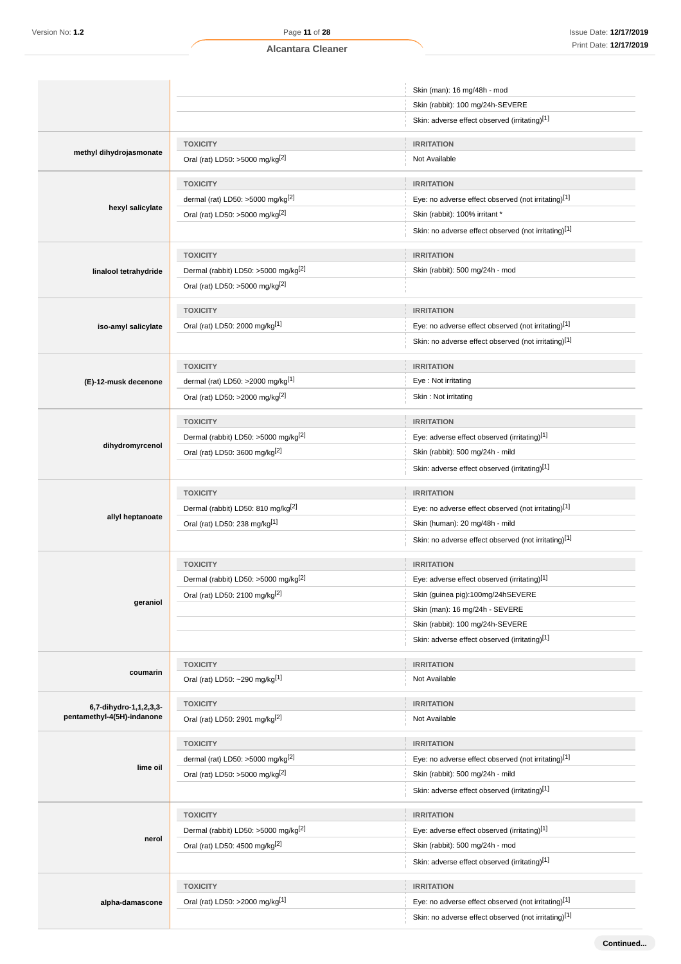|                            |                                                                     | Skin (man): 16 mg/48h - mod                                                      |
|----------------------------|---------------------------------------------------------------------|----------------------------------------------------------------------------------|
|                            |                                                                     | Skin (rabbit): 100 mg/24h-SEVERE                                                 |
|                            |                                                                     | Skin: adverse effect observed (irritating)[1]                                    |
|                            | <b>TOXICITY</b>                                                     | <b>IRRITATION</b>                                                                |
| methyl dihydrojasmonate    | Oral (rat) LD50: >5000 mg/kg <sup>[2]</sup>                         | Not Available                                                                    |
|                            |                                                                     |                                                                                  |
|                            | <b>TOXICITY</b><br>dermal (rat) LD50: $>5000$ mg/kg <sup>[2]</sup>  | <b>IRRITATION</b><br>Eye: no adverse effect observed (not irritating)[1]         |
| hexyl salicylate           | Oral (rat) LD50: >5000 mg/kg <sup>[2]</sup>                         | Skin (rabbit): 100% irritant *                                                   |
|                            |                                                                     | Skin: no adverse effect observed (not irritating)[1]                             |
|                            |                                                                     |                                                                                  |
|                            | <b>TOXICITY</b>                                                     | <b>IRRITATION</b>                                                                |
| linalool tetrahydride      | Dermal (rabbit) LD50: >5000 mg/kg <sup>[2]</sup>                    | Skin (rabbit): 500 mg/24h - mod                                                  |
|                            | Oral (rat) LD50: >5000 mg/kg <sup>[2]</sup>                         |                                                                                  |
|                            | <b>TOXICITY</b>                                                     | <b>IRRITATION</b>                                                                |
| iso-amyl salicylate        | Oral (rat) LD50: 2000 mg/kg[1]                                      | Eye: no adverse effect observed (not irritating)[1]                              |
|                            |                                                                     | Skin: no adverse effect observed (not irritating)[1]                             |
|                            |                                                                     |                                                                                  |
|                            | <b>TOXICITY</b>                                                     | <b>IRRITATION</b>                                                                |
| (E)-12-musk decenone       | dermal (rat) LD50: >2000 mg/kg[1]                                   | Eye: Not irritating                                                              |
|                            | Oral (rat) LD50: >2000 mg/kg <sup>[2]</sup>                         | Skin: Not irritating                                                             |
|                            | <b>TOXICITY</b>                                                     | <b>IRRITATION</b>                                                                |
|                            | Dermal (rabbit) LD50: >5000 mg/kg <sup>[2]</sup>                    | Eye: adverse effect observed (irritating)[1]                                     |
| dihydromyrcenol            | Oral (rat) LD50: 3600 mg/kg <sup>[2]</sup>                          | Skin (rabbit): 500 mg/24h - mild                                                 |
|                            |                                                                     | Skin: adverse effect observed (irritating)[1]                                    |
|                            | <b>TOXICITY</b>                                                     | <b>IRRITATION</b>                                                                |
|                            | Dermal (rabbit) LD50: 810 mg/kg <sup>[2]</sup>                      | Eye: no adverse effect observed (not irritating)[1]                              |
| allyl heptanoate           | Oral (rat) LD50: 238 mg/kg[1]                                       | Skin (human): 20 mg/48h - mild                                                   |
|                            |                                                                     | Skin: no adverse effect observed (not irritating)[1]                             |
|                            | <b>TOXICITY</b>                                                     | <b>IRRITATION</b>                                                                |
|                            | Dermal (rabbit) LD50: >5000 mg/kg <sup>[2]</sup>                    | Eye: adverse effect observed (irritating)[1]                                     |
|                            | Oral (rat) LD50: 2100 mg/kg <sup>[2]</sup>                          | Skin (guinea pig):100mg/24hSEVERE                                                |
| geraniol                   |                                                                     | Skin (man): 16 mg/24h - SEVERE                                                   |
|                            |                                                                     | Skin (rabbit): 100 mg/24h-SEVERE                                                 |
|                            |                                                                     | Skin: adverse effect observed (irritating)[1]                                    |
|                            | <b>TOXICITY</b>                                                     | <b>IRRITATION</b>                                                                |
| coumarin                   | Oral (rat) LD50: ~290 mg/kg[1]                                      | Not Available                                                                    |
| 6,7-dihydro-1,1,2,3,3-     | <b>TOXICITY</b>                                                     | <b>IRRITATION</b>                                                                |
| pentamethyl-4(5H)-indanone | Oral (rat) LD50: 2901 mg/kg <sup>[2]</sup>                          | Not Available                                                                    |
|                            | <b>TOXICITY</b>                                                     | <b>IRRITATION</b>                                                                |
|                            | dermal (rat) LD50: >5000 mg/kg <sup>[2]</sup>                       | Eye: no adverse effect observed (not irritating)[1]                              |
| lime oil                   | Oral (rat) LD50: >5000 mg/kg[2]                                     | Skin (rabbit): 500 mg/24h - mild                                                 |
|                            |                                                                     | Skin: adverse effect observed (irritating)[1]                                    |
|                            |                                                                     |                                                                                  |
|                            | <b>TOXICITY</b><br>Dermal (rabbit) LD50: >5000 mg/kg <sup>[2]</sup> | <b>IRRITATION</b><br>Eye: adverse effect observed (irritating)[1]                |
| nerol                      |                                                                     |                                                                                  |
|                            | Oral (rat) LD50: 4500 mg/kg <sup>[2]</sup>                          | Skin (rabbit): 500 mg/24h - mod<br>Skin: adverse effect observed (irritating)[1] |
|                            |                                                                     |                                                                                  |
|                            | <b>TOXICITY</b>                                                     | <b>IRRITATION</b>                                                                |
| alpha-damascone            | Oral (rat) LD50: >2000 mg/kg[1]                                     | Eye: no adverse effect observed (not irritating)[1]                              |
|                            |                                                                     | Skin: no adverse effect observed (not irritating)[1]                             |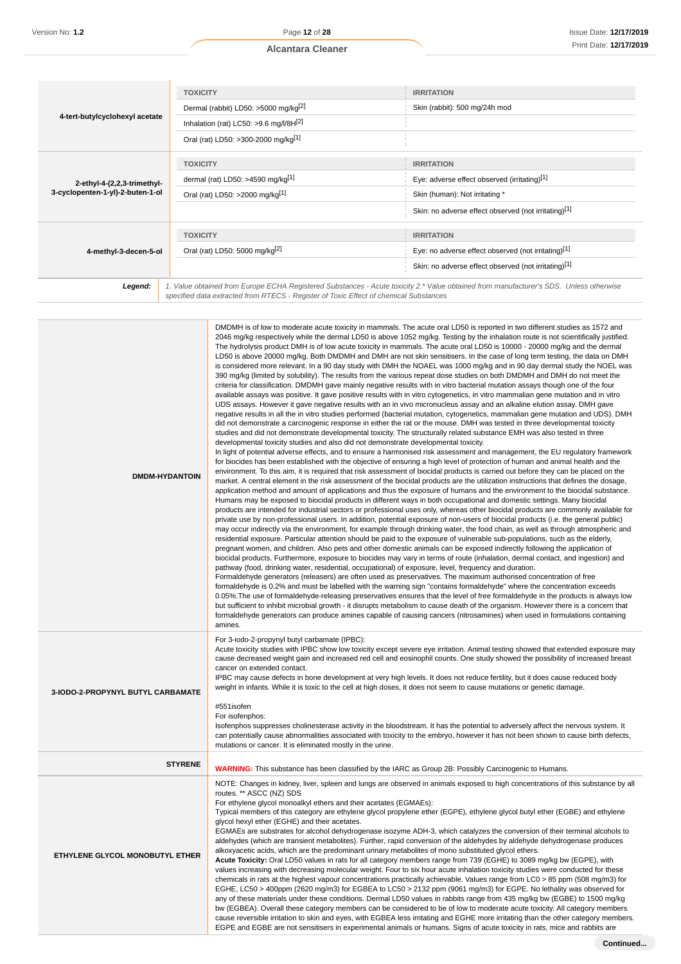|                                  | <b>TOXICITY</b>                                                                                                                                                                                                                 | <b>IRRITATION</b>                                    |
|----------------------------------|---------------------------------------------------------------------------------------------------------------------------------------------------------------------------------------------------------------------------------|------------------------------------------------------|
|                                  | Dermal (rabbit) LD50: >5000 mg/kg <sup>[2]</sup>                                                                                                                                                                                | Skin (rabbit): 500 mg/24h mod                        |
| 4-tert-butylcyclohexyl acetate   | Inhalation (rat) LC50: >9.6 mg/l/8H $^{[2]}$                                                                                                                                                                                    |                                                      |
|                                  | Oral (rat) LD50: >300-2000 mg/kg[1]                                                                                                                                                                                             |                                                      |
|                                  | <b>TOXICITY</b>                                                                                                                                                                                                                 | <b>IRRITATION</b>                                    |
|                                  |                                                                                                                                                                                                                                 |                                                      |
| 2-ethyl-4-(2,2,3-trimethyl-      | dermal (rat) LD50: >4590 mg/kg $[1]$                                                                                                                                                                                            | Eye: adverse effect observed (irritating)[1]         |
| 3-cyclopenten-1-yl)-2-buten-1-ol | Oral (rat) LD50: >2000 mg/kg[1]                                                                                                                                                                                                 | Skin (human): Not irritating *                       |
|                                  |                                                                                                                                                                                                                                 | Skin: no adverse effect observed (not irritating)[1] |
|                                  |                                                                                                                                                                                                                                 |                                                      |
|                                  | <b>TOXICITY</b>                                                                                                                                                                                                                 | <b>IRRITATION</b>                                    |
| 4-methyl-3-decen-5-ol            | Oral (rat) LD50: 5000 mg/kg <sup>[2]</sup>                                                                                                                                                                                      | Eye: no adverse effect observed (not irritating)[1]  |
|                                  |                                                                                                                                                                                                                                 | Skin: no adverse effect observed (not irritating)[1] |
| Legend:                          | 1. Value obtained from Europe ECHA Registered Substances - Acute toxicity 2.* Value obtained from manufacturer's SDS. Unless otherwise<br>specified data extracted from RTECS - Register of Toxic Effect of chemical Substances |                                                      |

| <b>DMDM-HYDANTOIN</b>             | DMDMH is of low to moderate acute toxicity in mammals. The acute oral LD50 is reported in two different studies as 1572 and<br>2046 mg/kg respectively while the dermal LD50 is above 1052 mg/kg. Testing by the inhalation route is not scientifically justified.<br>The hydrolysis product DMH is of low acute toxicity in mammals. The acute oral LD50 is 10000 - 20000 mg/kg and the dermal<br>LD50 is above 20000 mg/kg. Both DMDMH and DMH are not skin sensitisers. In the case of long term testing, the data on DMH<br>is considered more relevant. In a 90 day study with DMH the NOAEL was 1000 mg/kg and in 90 day dermal study the NOEL was<br>390 mg/kg (limited by solubility). The results from the various repeat dose studies on both DMDMH and DMH do not meet the<br>criteria for classification. DMDMH gave mainly negative results with in vitro bacterial mutation assays though one of the four<br>available assays was positive. It gave positive results with in vitro cytogenetics, in vitro mammalian gene mutation and in vitro<br>UDS assays. However it gave negative results with an in vivo micronucleus assay and an alkaline elution assay. DMH gave<br>negative results in all the in vitro studies performed (bacterial mutation, cytogenetics, mammalian gene mutation and UDS). DMH<br>did not demonstrate a carcinogenic response in either the rat or the mouse. DMH was tested in three developmental toxicity<br>studies and did not demonstrate developmental toxicity. The structurally related substance EMH was also tested in three<br>developmental toxicity studies and also did not demonstrate developmental toxicity.<br>In light of potential adverse effects, and to ensure a harmonised risk assessment and management, the EU regulatory framework<br>for biocides has been established with the objective of ensuring a high level of protection of human and animal health and the<br>environment. To this aim, it is required that risk assessment of biocidal products is carried out before they can be placed on the<br>market. A central element in the risk assessment of the biocidal products are the utilization instructions that defines the dosage,<br>application method and amount of applications and thus the exposure of humans and the environment to the biocidal substance.<br>Humans may be exposed to biocidal products in different ways in both occupational and domestic settings. Many biocidal<br>products are intended for industrial sectors or professional uses only, whereas other biocidal products are commonly available for<br>private use by non-professional users. In addition, potential exposure of non-users of biocidal products (i.e. the general public)<br>may occur indirectly via the environment, for example through drinking water, the food chain, as well as through atmospheric and<br>residential exposure. Particular attention should be paid to the exposure of vulnerable sub-populations, such as the elderly,<br>pregnant women, and children. Also pets and other domestic animals can be exposed indirectly following the application of<br>biocidal products. Furthermore, exposure to biocides may vary in terms of route (inhalation, dermal contact, and ingestion) and<br>pathway (food, drinking water, residential, occupational) of exposure, level, frequency and duration.<br>Formaldehyde generators (releasers) are often used as preservatives. The maximum authorised concentration of free<br>formaldehyde is 0.2% and must be labelled with the warning sign "contains formaldehyde" where the concentration exceeds<br>0.05%. The use of formaldehyde-releasing preservatives ensures that the level of free formaldehyde in the products is always low<br>but sufficient to inhibit microbial growth - it disrupts metabolism to cause death of the organism. However there is a concern that<br>formaldehyde generators can produce amines capable of causing cancers (nitrosamines) when used in formulations containing<br>amines. |
|-----------------------------------|-----------------------------------------------------------------------------------------------------------------------------------------------------------------------------------------------------------------------------------------------------------------------------------------------------------------------------------------------------------------------------------------------------------------------------------------------------------------------------------------------------------------------------------------------------------------------------------------------------------------------------------------------------------------------------------------------------------------------------------------------------------------------------------------------------------------------------------------------------------------------------------------------------------------------------------------------------------------------------------------------------------------------------------------------------------------------------------------------------------------------------------------------------------------------------------------------------------------------------------------------------------------------------------------------------------------------------------------------------------------------------------------------------------------------------------------------------------------------------------------------------------------------------------------------------------------------------------------------------------------------------------------------------------------------------------------------------------------------------------------------------------------------------------------------------------------------------------------------------------------------------------------------------------------------------------------------------------------------------------------------------------------------------------------------------------------------------------------------------------------------------------------------------------------------------------------------------------------------------------------------------------------------------------------------------------------------------------------------------------------------------------------------------------------------------------------------------------------------------------------------------------------------------------------------------------------------------------------------------------------------------------------------------------------------------------------------------------------------------------------------------------------------------------------------------------------------------------------------------------------------------------------------------------------------------------------------------------------------------------------------------------------------------------------------------------------------------------------------------------------------------------------------------------------------------------------------------------------------------------------------------------------------------------------------------------------------------------------------------------------------------------------------------------------------------------------------------------------------------------------------------------------------------------------------------------------------------------------------------------------------------------------------------------------------------------------------------------------------------------------------------------------------------------------------------------------------------------------------------------------------------------------------------------------------------------------------------------------------------------------------------------------------------------------------------------------------------------|
| 3-IODO-2-PROPYNYL BUTYL CARBAMATE | For 3-iodo-2-propynyl butyl carbamate (IPBC):<br>Acute toxicity studies with IPBC show low toxicity except severe eye irritation. Animal testing showed that extended exposure may<br>cause decreased weight gain and increased red cell and eosinophil counts. One study showed the possibility of increased breast<br>cancer on extended contact.<br>IPBC may cause defects in bone development at very high levels. It does not reduce fertility, but it does cause reduced body<br>weight in infants. While it is toxic to the cell at high doses, it does not seem to cause mutations or genetic damage.<br>#551isofen<br>For isofenphos:<br>Isofenphos suppresses cholinesterase activity in the bloodstream. It has the potential to adversely affect the nervous system. It<br>can potentially cause abnormalities associated with toxicity to the embryo, however it has not been shown to cause birth defects,<br>mutations or cancer. It is eliminated mostly in the urine.                                                                                                                                                                                                                                                                                                                                                                                                                                                                                                                                                                                                                                                                                                                                                                                                                                                                                                                                                                                                                                                                                                                                                                                                                                                                                                                                                                                                                                                                                                                                                                                                                                                                                                                                                                                                                                                                                                                                                                                                                                                                                                                                                                                                                                                                                                                                                                                                                                                                                                                                                                                                                                                                                                                                                                                                                                                                                                                                                                                                                                                                                            |
| <b>STYRENE</b>                    | <b>WARNING:</b> This substance has been classified by the IARC as Group 2B: Possibly Carcinogenic to Humans.                                                                                                                                                                                                                                                                                                                                                                                                                                                                                                                                                                                                                                                                                                                                                                                                                                                                                                                                                                                                                                                                                                                                                                                                                                                                                                                                                                                                                                                                                                                                                                                                                                                                                                                                                                                                                                                                                                                                                                                                                                                                                                                                                                                                                                                                                                                                                                                                                                                                                                                                                                                                                                                                                                                                                                                                                                                                                                                                                                                                                                                                                                                                                                                                                                                                                                                                                                                                                                                                                                                                                                                                                                                                                                                                                                                                                                                                                                                                                                      |
| ETHYLENE GLYCOL MONOBUTYL ETHER   | NOTE: Changes in kidney, liver, spleen and lungs are observed in animals exposed to high concentrations of this substance by all<br>routes. ** ASCC (NZ) SDS<br>For ethylene glycol monoalkyl ethers and their acetates (EGMAEs):<br>Typical members of this category are ethylene glycol propylene ether (EGPE), ethylene glycol butyl ether (EGBE) and ethylene<br>glycol hexyl ether (EGHE) and their acetates.<br>EGMAEs are substrates for alcohol dehydrogenase isozyme ADH-3, which catalyzes the conversion of their terminal alcohols to<br>aldehydes (which are transient metabolites). Further, rapid conversion of the aldehydes by aldehyde dehydrogenase produces<br>alkoxyacetic acids, which are the predominant urinary metabolites of mono substituted glycol ethers.<br>Acute Toxicity: Oral LD50 values in rats for all category members range from 739 (EGHE) to 3089 mg/kg bw (EGPE), with<br>values increasing with decreasing molecular weight. Four to six hour acute inhalation toxicity studies were conducted for these<br>chemicals in rats at the highest vapour concentrations practically achievable. Values range from LC0 > 85 ppm (508 mg/m3) for<br>EGHE, LC50 > 400ppm (2620 mg/m3) for EGBEA to LC50 > 2132 ppm (9061 mg/m3) for EGPE. No lethality was observed for<br>any of these materials under these conditions. Dermal LD50 values in rabbits range from 435 mg/kg bw (EGBE) to 1500 mg/kg<br>bw (EGBEA). Overall these category members can be considered to be of low to moderate acute toxicity. All category members<br>cause reversible irritation to skin and eyes, with EGBEA less irritating and EGHE more irritating than the other category members.<br>EGPE and EGBE are not sensitisers in experimental animals or humans. Signs of acute toxicity in rats, mice and rabbits are                                                                                                                                                                                                                                                                                                                                                                                                                                                                                                                                                                                                                                                                                                                                                                                                                                                                                                                                                                                                                                                                                                                                                                                                                                                                                                                                                                                                                                                                                                                                                                                                                                                                                                                                                                                                                                                                                                                                                                                                                                                                                                                                                                                                                                         |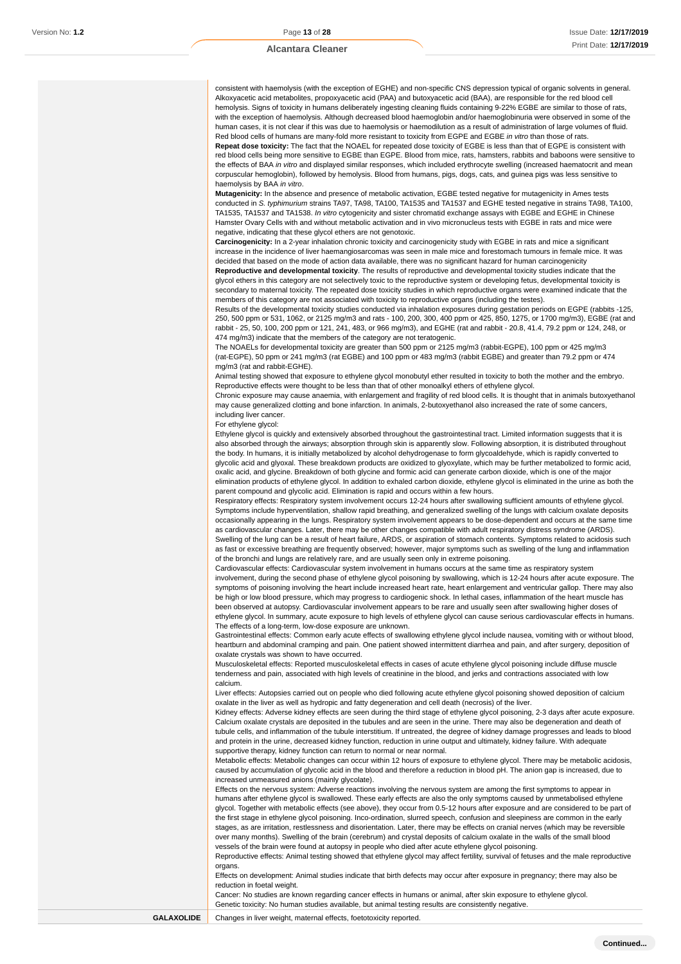consistent with haemolysis (with the exception of EGHE) and non-specific CNS depression typical of organic solvents in general. Alkoxyacetic acid metabolites, propoxyacetic acid (PAA) and butoxyacetic acid (BAA), are responsible for the red blood cell hemolysis. Signs of toxicity in humans deliberately ingesting cleaning fluids containing 9-22% EGBE are similar to those of rats, with the exception of haemolysis. Although decreased blood haemoglobin and/or haemoglobinuria were observed in some of the human cases, it is not clear if this was due to haemolysis or haemodilution as a result of administration of large volumes of fluid. Red blood cells of humans are many-fold more resistant to toxicity from EGPE and EGBE in vitro than those of rats. **Repeat dose toxicity:** The fact that the NOAEL for repeated dose toxicity of EGBE is less than that of EGPE is consistent with red blood cells being more sensitive to EGBE than EGPE. Blood from mice, rats, hamsters, rabbits and baboons were sensitive to the effects of BAA in vitro and displayed similar responses, which included erythrocyte swelling (increased haematocrit and mean

corpuscular hemoglobin), followed by hemolysis. Blood from humans, pigs, dogs, cats, and guinea pigs was less sensitive to haemolysis by BAA in vitro. **Mutagenicity:** In the absence and presence of metabolic activation, EGBE tested negative for mutagenicity in Ames tests conducted in S. typhimurium strains TA97, TA98, TA100, TA1535 and TA1537 and EGHE tested negative in strains TA98, TA100, TA1535, TA1537 and TA1538. In vitro cytogenicity and sister chromatid exchange assays with EGBE and EGHE in Chinese Hamster Ovary Cells with and without metabolic activation and in vivo micronucleus tests with EGBE in rats and mice were

negative, indicating that these glycol ethers are not genotoxic. **Carcinogenicity:** In a 2-year inhalation chronic toxicity and carcinogenicity study with EGBE in rats and mice a significant

increase in the incidence of liver haemangiosarcomas was seen in male mice and forestomach tumours in female mice. It was decided that based on the mode of action data available, there was no significant hazard for human carcinogenicity **Reproductive and developmental toxicity**. The results of reproductive and developmental toxicity studies indicate that the glycol ethers in this category are not selectively toxic to the reproductive system or developing fetus, developmental toxicity is secondary to maternal toxicity. The repeated dose toxicity studies in which reproductive organs were examined indicate that the members of this category are not associated with toxicity to reproductive organs (including the testes).

Results of the developmental toxicity studies conducted via inhalation exposures during gestation periods on EGPE (rabbits -125, 250, 500 ppm or 531, 1062, or 2125 mg/m3 and rats - 100, 200, 300, 400 ppm or 425, 850, 1275, or 1700 mg/m3), EGBE (rat and rabbit - 25, 50, 100, 200 ppm or 121, 241, 483, or 966 mg/m3), and EGHE (rat and rabbit - 20.8, 41.4, 79.2 ppm or 124, 248, or 474 mg/m3) indicate that the members of the category are not teratogenic.

The NOAELs for developmental toxicity are greater than 500 ppm or 2125 mg/m3 (rabbit-EGPE), 100 ppm or 425 mg/m3 (rat-EGPE), 50 ppm or 241 mg/m3 (rat EGBE) and 100 ppm or 483 mg/m3 (rabbit EGBE) and greater than 79.2 ppm or 474 mg/m3 (rat and rabbit-EGHE).

Animal testing showed that exposure to ethylene glycol monobutyl ether resulted in toxicity to both the mother and the embryo. Reproductive effects were thought to be less than that of other monoalkyl ethers of ethylene glycol.

Chronic exposure may cause anaemia, with enlargement and fragility of red blood cells. It is thought that in animals butoxyethanol may cause generalized clotting and bone infarction. In animals, 2-butoxyethanol also increased the rate of some cancers, including liver cancer.

For ethylene glycol:

Ethylene glycol is quickly and extensively absorbed throughout the gastrointestinal tract. Limited information suggests that it is also absorbed through the airways; absorption through skin is apparently slow. Following absorption, it is distributed throughout the body. In humans, it is initially metabolized by alcohol dehydrogenase to form glycoaldehyde, which is rapidly converted to glycolic acid and glyoxal. These breakdown products are oxidized to glyoxylate, which may be further metabolized to formic acid, oxalic acid, and glycine. Breakdown of both glycine and formic acid can generate carbon dioxide, which is one of the major elimination products of ethylene glycol. In addition to exhaled carbon dioxide, ethylene glycol is eliminated in the urine as both the parent compound and glycolic acid. Elimination is rapid and occurs within a few hours.

Respiratory effects: Respiratory system involvement occurs 12-24 hours after swallowing sufficient amounts of ethylene glycol. Symptoms include hyperventilation, shallow rapid breathing, and generalized swelling of the lungs with calcium oxalate deposits occasionally appearing in the lungs. Respiratory system involvement appears to be dose-dependent and occurs at the same time as cardiovascular changes. Later, there may be other changes compatible with adult respiratory distress syndrome (ARDS). Swelling of the lung can be a result of heart failure, ARDS, or aspiration of stomach contents. Symptoms related to acidosis such as fast or excessive breathing are frequently observed; however, major symptoms such as swelling of the lung and inflammation of the bronchi and lungs are relatively rare, and are usually seen only in extreme poisoning.

Cardiovascular effects: Cardiovascular system involvement in humans occurs at the same time as respiratory system involvement, during the second phase of ethylene glycol poisoning by swallowing, which is 12-24 hours after acute exposure. The symptoms of poisoning involving the heart include increased heart rate, heart enlargement and ventricular gallop. There may also be high or low blood pressure, which may progress to cardiogenic shock. In lethal cases, inflammation of the heart muscle has been observed at autopsy. Cardiovascular involvement appears to be rare and usually seen after swallowing higher doses of ethylene glycol. In summary, acute exposure to high levels of ethylene glycol can cause serious cardiovascular effects in humans. The effects of a long-term, low-dose exposure are unknown.

Gastrointestinal effects: Common early acute effects of swallowing ethylene glycol include nausea, vomiting with or without blood, heartburn and abdominal cramping and pain. One patient showed intermittent diarrhea and pain, and after surgery, deposition of oxalate crystals was shown to have occurred.

Musculoskeletal effects: Reported musculoskeletal effects in cases of acute ethylene glycol poisoning include diffuse muscle tenderness and pain, associated with high levels of creatinine in the blood, and jerks and contractions associated with low calcium.

Liver effects: Autopsies carried out on people who died following acute ethylene glycol poisoning showed deposition of calcium oxalate in the liver as well as hydropic and fatty degeneration and cell death (necrosis) of the liver.

Kidney effects: Adverse kidney effects are seen during the third stage of ethylene glycol poisoning, 2-3 days after acute exposure. Calcium oxalate crystals are deposited in the tubules and are seen in the urine. There may also be degeneration and death of tubule cells, and inflammation of the tubule interstitium. If untreated, the degree of kidney damage progresses and leads to blood and protein in the urine, decreased kidney function, reduction in urine output and ultimately, kidney failure. With adequate supportive therapy, kidney function can return to normal or near normal.

Metabolic effects: Metabolic changes can occur within 12 hours of exposure to ethylene glycol. There may be metabolic acidosis, caused by accumulation of glycolic acid in the blood and therefore a reduction in blood pH. The anion gap is increased, due to increased unmeasured anions (mainly glycolate).

Effects on the nervous system: Adverse reactions involving the nervous system are among the first symptoms to appear in humans after ethylene glycol is swallowed. These early effects are also the only symptoms caused by unmetabolised ethylene glycol. Together with metabolic effects (see above), they occur from 0.5-12 hours after exposure and are considered to be part of the first stage in ethylene glycol poisoning. Inco-ordination, slurred speech, confusion and sleepiness are common in the early stages, as are irritation, restlessness and disorientation. Later, there may be effects on cranial nerves (which may be reversible over many months). Swelling of the brain (cerebrum) and crystal deposits of calcium oxalate in the walls of the small blood vessels of the brain were found at autopsy in people who died after acute ethylene glycol poisoning.

Reproductive effects: Animal testing showed that ethylene glycol may affect fertility, survival of fetuses and the male reproductive organs.

Effects on development: Animal studies indicate that birth defects may occur after exposure in pregnancy; there may also be reduction in foetal weight.

Cancer: No studies are known regarding cancer effects in humans or animal, after skin exposure to ethylene glycol. Genetic toxicity: No human studies available, but animal testing results are consistently negative.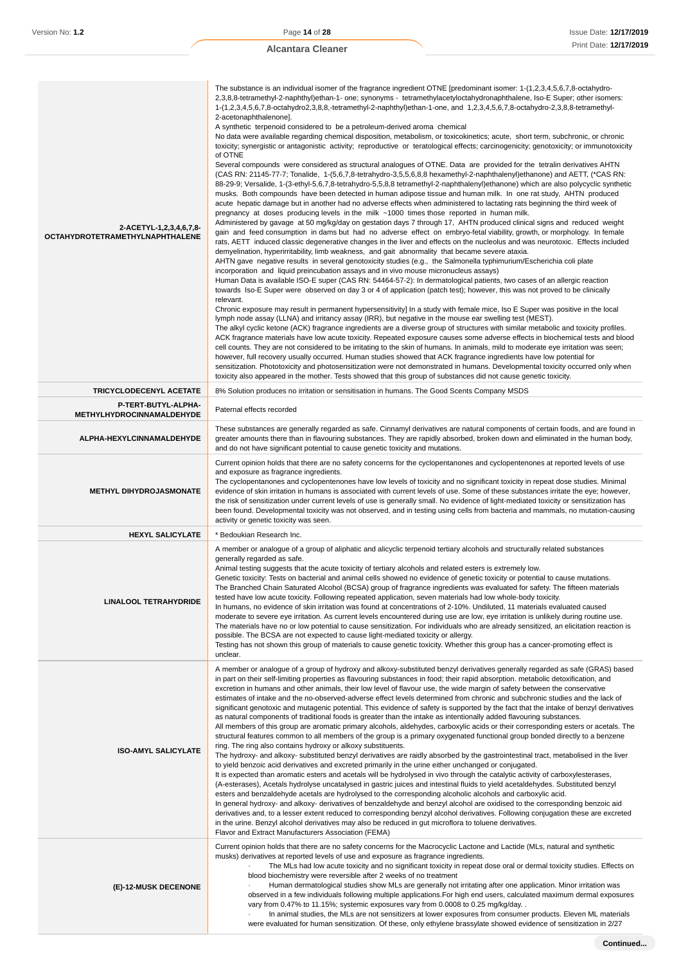| 2-ACETYL-1,2,3,4,6,7,8-<br>OCTAHYDROTETRAMETHYLNAPHTHALENE | The substance is an individual isomer of the fragrance ingredient OTNE [predominant isomer: 1-(1,2,3,4,5,6,7,8-octahydro-<br>2,3,8,8-tetramethyl-2-naphthyl)ethan-1- one; synonyms - tetramethylacetyloctahydronaphthalene, Iso-E Super; other isomers:<br>1-(1,2,3,4,5,6,7,8-octahydro2,3,8,8,-tetramethyl-2-naphthyl)ethan-1-one, and 1,2,3,4,5,6,7,8-octahydro-2,3,8,8-tetramethyl-<br>2-acetonaphthalenone].<br>A synthetic terpenoid considered to be a petroleum-derived aroma chemical<br>No data were available regarding chemical disposition, metabolism, or toxicokinetics; acute, short term, subchronic, or chronic<br>toxicity; synergistic or antagonistic activity; reproductive or teratological effects; carcinogenicity; genotoxicity; or immunotoxicity<br>of OTNE<br>Several compounds were considered as structural analogues of OTNE. Data are provided for the tetralin derivatives AHTN<br>(CAS RN: 21145-77-7; Tonalide, 1-(5,6,7,8-tetrahydro-3,5,5,6,8,8 hexamethyl-2-naphthalenyl)ethanone) and AETT, (*CAS RN:<br>88-29-9; Versalide, 1-(3-ethyl-5,6,7,8-tetrahydro-5,5,8,8 tetramethyl-2-naphthalenyl)ethanone) which are also polycyclic synthetic<br>musks. Both compounds have been detected in human adipose tissue and human milk. In one rat study, AHTN produced<br>acute hepatic damage but in another had no adverse effects when administered to lactating rats beginning the third week of<br>pregnancy at doses producing levels in the milk ~1000 times those reported in human milk.<br>Administered by gavage at 50 mg/kg/day on gestation days 7 through 17, AHTN produced clinical signs and reduced weight<br>gain and feed consumption in dams but had no adverse effect on embryo-fetal viability, growth, or morphology. In female<br>rats, AETT induced classic degenerative changes in the liver and effects on the nucleolus and was neurotoxic. Effects included<br>demyelination, hyperirritability, limb weakness, and gait abnormality that became severe ataxia.<br>AHTN gave negative results in several genotoxicity studies (e.g., the Salmonella typhimurium/Escherichia coli plate<br>incorporation and liquid preincubation assays and in vivo mouse micronucleus assays)<br>Human Data is available ISO-E super (CAS RN: 54464-57-2): In dermatological patients, two cases of an allergic reaction<br>towards Iso-E Super were observed on day 3 or 4 of application (patch test); however, this was not proved to be clinically<br>relevant.<br>Chronic exposure may result in permanent hypersensitivity] In a study with female mice, Iso E Super was positive in the local<br>lymph node assay (LLNA) and irritancy assay (IRR), but negative in the mouse ear swelling test (MEST).<br>The alkyl cyclic ketone (ACK) fragrance ingredients are a diverse group of structures with similar metabolic and toxicity profiles.<br>ACK fragrance materials have low acute toxicity. Repeated exposure causes some adverse effects in biochemical tests and blood<br>cell counts. They are not considered to be irritating to the skin of humans. In animals, mild to moderate eye irritation was seen;<br>however, full recovery usually occurred. Human studies showed that ACK fragrance ingredients have low potential for<br>sensitization. Phototoxicity and photosensitization were not demonstrated in humans. Developmental toxicity occurred only when |
|------------------------------------------------------------|-------------------------------------------------------------------------------------------------------------------------------------------------------------------------------------------------------------------------------------------------------------------------------------------------------------------------------------------------------------------------------------------------------------------------------------------------------------------------------------------------------------------------------------------------------------------------------------------------------------------------------------------------------------------------------------------------------------------------------------------------------------------------------------------------------------------------------------------------------------------------------------------------------------------------------------------------------------------------------------------------------------------------------------------------------------------------------------------------------------------------------------------------------------------------------------------------------------------------------------------------------------------------------------------------------------------------------------------------------------------------------------------------------------------------------------------------------------------------------------------------------------------------------------------------------------------------------------------------------------------------------------------------------------------------------------------------------------------------------------------------------------------------------------------------------------------------------------------------------------------------------------------------------------------------------------------------------------------------------------------------------------------------------------------------------------------------------------------------------------------------------------------------------------------------------------------------------------------------------------------------------------------------------------------------------------------------------------------------------------------------------------------------------------------------------------------------------------------------------------------------------------------------------------------------------------------------------------------------------------------------------------------------------------------------------------------------------------------------------------------------------------------------------------------------------------------------------------------------------------------------------------------------------------------------------------------------------------------------------------------------------------------------------------------------------------------------------------------------------------------------------------------------------------------------------------------------------------------------------------------------------------------------------------------------------------------------------------------------------------------------------------------------------------------------------------|
| TRICYCLODECENYL ACETATE                                    | toxicity also appeared in the mother. Tests showed that this group of substances did not cause genetic toxicity.<br>8% Solution produces no irritation or sensitisation in humans. The Good Scents Company MSDS                                                                                                                                                                                                                                                                                                                                                                                                                                                                                                                                                                                                                                                                                                                                                                                                                                                                                                                                                                                                                                                                                                                                                                                                                                                                                                                                                                                                                                                                                                                                                                                                                                                                                                                                                                                                                                                                                                                                                                                                                                                                                                                                                                                                                                                                                                                                                                                                                                                                                                                                                                                                                                                                                                                                                                                                                                                                                                                                                                                                                                                                                                                                                                                                                     |
| P-TERT-BUTYL-ALPHA-                                        | Paternal effects recorded                                                                                                                                                                                                                                                                                                                                                                                                                                                                                                                                                                                                                                                                                                                                                                                                                                                                                                                                                                                                                                                                                                                                                                                                                                                                                                                                                                                                                                                                                                                                                                                                                                                                                                                                                                                                                                                                                                                                                                                                                                                                                                                                                                                                                                                                                                                                                                                                                                                                                                                                                                                                                                                                                                                                                                                                                                                                                                                                                                                                                                                                                                                                                                                                                                                                                                                                                                                                           |
| METHYLHYDROCINNAMALDEHYDE                                  | These substances are generally regarded as safe. Cinnamyl derivatives are natural components of certain foods, and are found in                                                                                                                                                                                                                                                                                                                                                                                                                                                                                                                                                                                                                                                                                                                                                                                                                                                                                                                                                                                                                                                                                                                                                                                                                                                                                                                                                                                                                                                                                                                                                                                                                                                                                                                                                                                                                                                                                                                                                                                                                                                                                                                                                                                                                                                                                                                                                                                                                                                                                                                                                                                                                                                                                                                                                                                                                                                                                                                                                                                                                                                                                                                                                                                                                                                                                                     |
| ALPHA-HEXYLCINNAMALDEHYDE                                  | greater amounts there than in flavouring substances. They are rapidly absorbed, broken down and eliminated in the human body,<br>and do not have significant potential to cause genetic toxicity and mutations.                                                                                                                                                                                                                                                                                                                                                                                                                                                                                                                                                                                                                                                                                                                                                                                                                                                                                                                                                                                                                                                                                                                                                                                                                                                                                                                                                                                                                                                                                                                                                                                                                                                                                                                                                                                                                                                                                                                                                                                                                                                                                                                                                                                                                                                                                                                                                                                                                                                                                                                                                                                                                                                                                                                                                                                                                                                                                                                                                                                                                                                                                                                                                                                                                     |
| <b>METHYL DIHYDROJASMONATE</b>                             | Current opinion holds that there are no safety concerns for the cyclopentanones and cyclopentenones at reported levels of use<br>and exposure as fragrance ingredients.<br>The cyclopentanones and cyclopentenones have low levels of toxicity and no significant toxicity in repeat dose studies. Minimal<br>evidence of skin irritation in humans is associated with current levels of use. Some of these substances irritate the eye; however,<br>the risk of sensitization under current levels of use is generally small. No evidence of light-mediated toxicity or sensitization has<br>been found. Developmental toxicity was not observed, and in testing using cells from bacteria and mammals, no mutation-causing<br>activity or genetic toxicity was seen.                                                                                                                                                                                                                                                                                                                                                                                                                                                                                                                                                                                                                                                                                                                                                                                                                                                                                                                                                                                                                                                                                                                                                                                                                                                                                                                                                                                                                                                                                                                                                                                                                                                                                                                                                                                                                                                                                                                                                                                                                                                                                                                                                                                                                                                                                                                                                                                                                                                                                                                                                                                                                                                              |
| <b>HEXYL SALICYLATE</b>                                    | Bedoukian Research Inc.                                                                                                                                                                                                                                                                                                                                                                                                                                                                                                                                                                                                                                                                                                                                                                                                                                                                                                                                                                                                                                                                                                                                                                                                                                                                                                                                                                                                                                                                                                                                                                                                                                                                                                                                                                                                                                                                                                                                                                                                                                                                                                                                                                                                                                                                                                                                                                                                                                                                                                                                                                                                                                                                                                                                                                                                                                                                                                                                                                                                                                                                                                                                                                                                                                                                                                                                                                                                             |
| LINALOOL TETRAHYDRIDE                                      | A member or analogue of a group of aliphatic and alicyclic terpenoid tertiary alcohols and structurally related substances<br>generally regarded as safe.<br>Animal testing suggests that the acute toxicity of tertiary alcohols and related esters is extremely low.<br>Genetic toxicity: Tests on bacterial and animal cells showed no evidence of genetic toxicity or potential to cause mutations.<br>The Branched Chain Saturated Alcohol (BCSA) group of fragrance ingredients was evaluated for safety. The fifteen materials<br>tested have low acute toxicity. Following repeated application, seven materials had low whole-body toxicity.<br>In humans, no evidence of skin irritation was found at concentrations of 2-10%. Undiluted, 11 materials evaluated caused<br>moderate to severe eye irritation. As current levels encountered during use are low, eye irritation is unlikely during routine use.<br>The materials have no or low potential to cause sensitization. For individuals who are already sensitized, an elicitation reaction is<br>possible. The BCSA are not expected to cause light-mediated toxicity or allergy.<br>Testing has not shown this group of materials to cause genetic toxicity. Whether this group has a cancer-promoting effect is<br>unclear.                                                                                                                                                                                                                                                                                                                                                                                                                                                                                                                                                                                                                                                                                                                                                                                                                                                                                                                                                                                                                                                                                                                                                                                                                                                                                                                                                                                                                                                                                                                                                                                                                                                                                                                                                                                                                                                                                                                                                                                                                                                                                                                                   |
| <b>ISO-AMYL SALICYLATE</b>                                 | A member or analogue of a group of hydroxy and alkoxy-substituted benzyl derivatives generally regarded as safe (GRAS) based<br>in part on their self-limiting properties as flavouring substances in food; their rapid absorption, metabolic detoxification, and<br>excretion in humans and other animals, their low level of flavour use, the wide margin of safety between the conservative<br>estimates of intake and the no-observed-adverse effect levels determined from chronic and subchronic studies and the lack of<br>significant genotoxic and mutagenic potential. This evidence of safety is supported by the fact that the intake of benzyl derivatives<br>as natural components of traditional foods is greater than the intake as intentionally added flavouring substances.<br>All members of this group are aromatic primary alcohols, aldehydes, carboxylic acids or their corresponding esters or acetals. The<br>structural features common to all members of the group is a primary oxygenated functional group bonded directly to a benzene<br>ring. The ring also contains hydroxy or alkoxy substituents.<br>The hydroxy- and alkoxy- substituted benzyl derivatives are raidly absorbed by the gastrointestinal tract, metabolised in the liver<br>to yield benzoic acid derivatives and excreted primarily in the urine either unchanged or conjugated.<br>It is expected than aromatic esters and acetals will be hydrolysed in vivo through the catalytic activity of carboxylesterases,<br>(A-esterases), Acetals hydrolyse uncatalysed in gastric juices and intestinal fluids to yield acetaldehydes. Substituted benzyl<br>esters and benzaldehyde acetals are hydrolysed to the corresponding alcoholic alcohols and carboxylic acid.<br>In general hydroxy- and alkoxy- derivatives of benzaldehyde and benzyl alcohol are oxidised to the corresponding benzoic aid<br>derivatives and, to a lesser extent reduced to corresponding benzyl alcohol derivatives. Following conjugation these are excreted<br>in the urine. Benzyl alcohol derivatives may also be reduced in gut microflora to toluene derivatives.<br>Flavor and Extract Manufacturers Association (FEMA)                                                                                                                                                                                                                                                                                                                                                                                                                                                                                                                                                                                                                                                                                                                                                                                                                                                                                                                                                                                                                                                                                                                                                                                                                     |
| (E)-12-MUSK DECENONE                                       | Current opinion holds that there are no safety concerns for the Macrocyclic Lactone and Lactide (MLs, natural and synthetic<br>musks) derivatives at reported levels of use and exposure as fragrance ingredients.<br>The MLs had low acute toxicity and no significant toxicity in repeat dose oral or dermal toxicity studies. Effects on<br>blood biochemistry were reversible after 2 weeks of no treatment<br>Human dermatological studies show MLs are generally not irritating after one application. Minor irritation was<br>observed in a few individuals following multiple applications. For high end users, calculated maximum dermal exposures<br>vary from 0.47% to 11.15%; systemic exposures vary from 0.0008 to 0.25 mg/kg/day<br>In animal studies, the MLs are not sensitizers at lower exposures from consumer products. Eleven ML materials<br>were evaluated for human sensitization. Of these, only ethylene brassylate showed evidence of sensitization in 2/27                                                                                                                                                                                                                                                                                                                                                                                                                                                                                                                                                                                                                                                                                                                                                                                                                                                                                                                                                                                                                                                                                                                                                                                                                                                                                                                                                                                                                                                                                                                                                                                                                                                                                                                                                                                                                                                                                                                                                                                                                                                                                                                                                                                                                                                                                                                                                                                                                                             |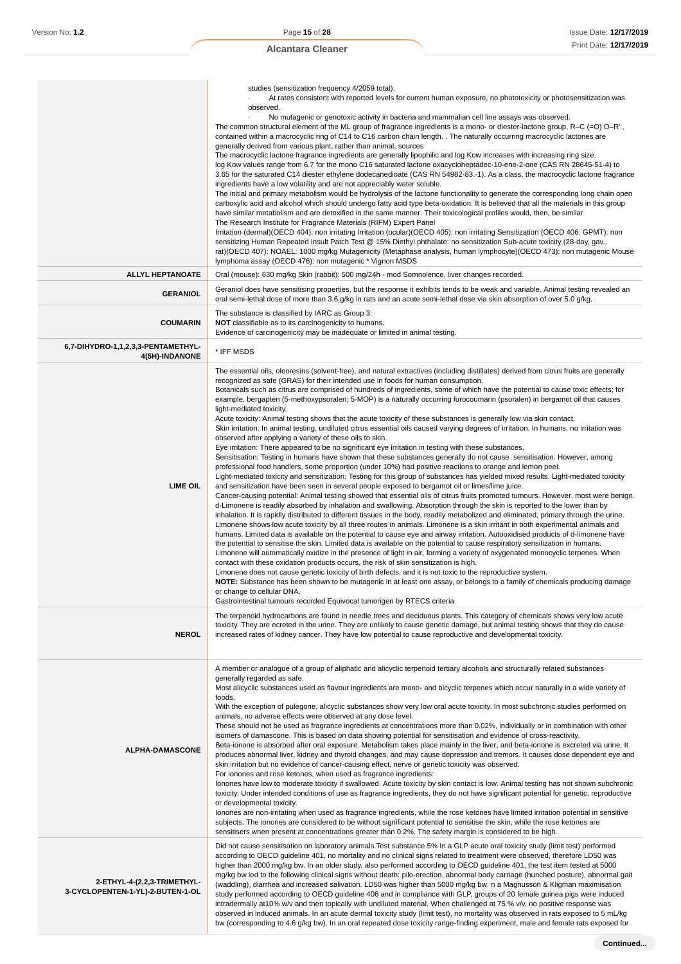| <b>ALLYL HEPTANOATE</b><br><b>GERANIOL</b>                      | studies (sensitization frequency 4/2059 total).<br>At rates consistent with reported levels for current human exposure, no phototoxicity or photosensitization was<br>observed.<br>No mutagenic or genotoxic activity in bacteria and mammalian cell line assays was observed.<br>The common structural element of the ML group of fragrance ingredients is a mono- or diester-lactone group, R–C $(=0)$ O–R',<br>contained within a macrocyclic ring of C14 to C16 carbon chain length. The naturally occurring macrocyclic lactones are<br>generally derived from various plant, rather than animal, sources<br>The macrocyclic lactone fragrance ingredients are generally lipophilic and log Kow increases with increasing ring size.<br>log Kow values range from 6.7 for the mono C16 saturated lactone oxacycloheptadec-10-ene-2-one (CAS RN 28645-51-4) to<br>3.65 for the saturated C14 diester ethylene dodecanedioate (CAS RN 54982-83.-1). As a class, the macrocyclic lactone fragrance<br>ingredients have a low volatility and are not appreciably water soluble.<br>The initial and primary metabolism would be hydrolysis of the lactone functionality to generate the corresponding long chain open<br>carboxylic acid and alcohol which should undergo fatty acid type beta-oxidation. It is believed that all the materials in this group<br>have similar metabolism and are detoxified in the same manner. Their toxicological profiles would, then, be similar<br>The Research Institute for Fragrance Materials (RIFM) Expert Panel<br>Irritation (dermal)(OECD 404): non irritating Irritation (ocular)(OECD 405): non irritating Sensitization (OECD 406: GPMT): non<br>sensitizing Human Repeated Insult Patch Test @ 15% Diethyl phthalate: no sensitization Sub-acute toxicity (28-day, gav.,<br>rat)(OECD 407): NOAEL: 1000 mg/kg Mutagenicity (Metaphase analysis, human lymphocyte)(OECD 473): non mutagenic Mouse<br>lymphoma assay (OECD 476): non mutagenic * Vignon MSDS<br>Oral (mouse): 630 mg/kg Skin (rabbit): 500 mg/24h - mod Somnolence, liver changes recorded.<br>Geraniol does have sensitising properties, but the response it exhibits tends to be weak and variable. Animal testing revealed an<br>oral semi-lethal dose of more than 3.6 g/kg in rats and an acute semi-lethal dose via skin absorption of over 5.0 g/kg.                                                                                                                                                                                                                                                                                                                                                                                                                                                                      |
|-----------------------------------------------------------------|-------------------------------------------------------------------------------------------------------------------------------------------------------------------------------------------------------------------------------------------------------------------------------------------------------------------------------------------------------------------------------------------------------------------------------------------------------------------------------------------------------------------------------------------------------------------------------------------------------------------------------------------------------------------------------------------------------------------------------------------------------------------------------------------------------------------------------------------------------------------------------------------------------------------------------------------------------------------------------------------------------------------------------------------------------------------------------------------------------------------------------------------------------------------------------------------------------------------------------------------------------------------------------------------------------------------------------------------------------------------------------------------------------------------------------------------------------------------------------------------------------------------------------------------------------------------------------------------------------------------------------------------------------------------------------------------------------------------------------------------------------------------------------------------------------------------------------------------------------------------------------------------------------------------------------------------------------------------------------------------------------------------------------------------------------------------------------------------------------------------------------------------------------------------------------------------------------------------------------------------------------------------------------------------------------------------------------------------------------------------------------------------------------------------------------------------------------------------------------------------------------------------------------------------------------------------------------------------------------------------------------------------------------------------------------------------------------------------------------------------------------------------------------------------------------------------------------------------------|
| <b>COUMARIN</b>                                                 | The substance is classified by IARC as Group 3:<br><b>NOT</b> classifiable as to its carcinogenicity to humans.<br>Evidence of carcinogenicity may be inadequate or limited in animal testing.                                                                                                                                                                                                                                                                                                                                                                                                                                                                                                                                                                                                                                                                                                                                                                                                                                                                                                                                                                                                                                                                                                                                                                                                                                                                                                                                                                                                                                                                                                                                                                                                                                                                                                                                                                                                                                                                                                                                                                                                                                                                                                                                                                                                                                                                                                                                                                                                                                                                                                                                                                                                                                                  |
| 6,7-DIHYDRO-1,1,2,3,3-PENTAMETHYL-<br>4(5H)-INDANONE            | * IFF MSDS                                                                                                                                                                                                                                                                                                                                                                                                                                                                                                                                                                                                                                                                                                                                                                                                                                                                                                                                                                                                                                                                                                                                                                                                                                                                                                                                                                                                                                                                                                                                                                                                                                                                                                                                                                                                                                                                                                                                                                                                                                                                                                                                                                                                                                                                                                                                                                                                                                                                                                                                                                                                                                                                                                                                                                                                                                      |
| <b>LIME OIL</b>                                                 | The essential oils, oleoresins (solvent-free), and natural extractives (including distillates) derived from citrus fruits are generally<br>recognized as safe (GRAS) for their intended use in foods for human consumption.<br>Botanicals such as citrus are comprised of hundreds of ingredients, some of which have the potential to cause toxic effects; for<br>example, bergapten (5-methoxypsoralen; 5-MOP) is a naturally occurring furocoumarin (psoralen) in bergamot oil that causes<br>light-mediated toxicity.<br>Acute toxicity: Animal testing shows that the acute toxicity of these substances is generally low via skin contact.<br>Skin irritation: In animal testing, undiluted citrus essential oils caused varying degrees of irritation. In humans, no irritation was<br>observed after applying a variety of these oils to skin.<br>Eye irritation: There appeared to be no significant eye irritation in testing with these substances.<br>Sensitisation: Testing in humans have shown that these substances generally do not cause sensitisation. However, among<br>professional food handlers, some proportion (under 10%) had positive reactions to orange and lemon peel.<br>Light-mediated toxicity and sensitization: Testing for this group of substances has yielded mixed results. Light-mediated toxicity<br>and sensitization have been seen in several people exposed to bergamot oil or limes/lime juice.<br>Cancer-causing potential: Animal testing showed that essential oils of citrus fruits promoted tumours. However, most were benign.<br>d-Limonene is readily absorbed by inhalation and swallowing. Absorption through the skin is reported to the lower than by<br>inhalation. It is rapidly distributed to different tissues in the body, readily metabolized and eliminated, primary through the urine.<br>Limonene shows low acute toxicity by all three routes in animals. Limonene is a skin irritant in both experimental animals and<br>humans. Limited data is available on the potential to cause eye and airway irritation. Autooxidised products of d-limonene have<br>the potential to sensitise the skin. Limited data is available on the potential to cause respiratory sensitization in humans.<br>Limonene will automatically oxidize in the presence of light in air, forming a variety of oxygenated monocyclic terpenes. When<br>contact with these oxidation products occurs, the risk of skin sensitization is high.<br>Limonene does not cause genetic toxicity of birth defects, and it is not toxic to the reproductive system.<br>NOTE: Substance has been shown to be mutagenic in at least one assay, or belongs to a family of chemicals producing damage<br>or change to cellular DNA.<br>Gastrointestinal tumours recorded Equivocal tumorigen by RTECS criteria |
| <b>NEROL</b>                                                    | The terpenoid hydrocarbons are found in needle trees and deciduous plants. This category of chemicals shows very low acute<br>toxicity. They are ecreted in the urine. They are unlikely to cause genetic damage, but animal testing shows that they do cause<br>increased rates of kidney cancer. They have low potential to cause reproductive and developmental toxicity.                                                                                                                                                                                                                                                                                                                                                                                                                                                                                                                                                                                                                                                                                                                                                                                                                                                                                                                                                                                                                                                                                                                                                                                                                                                                                                                                                                                                                                                                                                                                                                                                                                                                                                                                                                                                                                                                                                                                                                                                                                                                                                                                                                                                                                                                                                                                                                                                                                                                    |
| <b>ALPHA-DAMASCONE</b>                                          | A member or analogue of a group of aliphatic and alicyclic terpenoid tertiary alcohols and structurally related substances<br>generally regarded as safe.<br>Most alicyclic substances used as flavour ingredients are mono- and bicyclic terpenes which occur naturally in a wide variety of<br>foods.<br>With the exception of pulegone, alicyclic substances show very low oral acute toxicity. In most subchronic studies performed on<br>animals, no adverse effects were observed at any dose level.<br>These should not be used as fragrance ingredients at concentrations more than 0.02%, individually or in combination with other<br>isomers of damascone. This is based on data showing potential for sensitisation and evidence of cross-reactivity.<br>Beta-ionone is absorbed after oral exposure. Metabolism takes place mainly in the liver, and beta-ionone is excreted via urine. It<br>produces abnormal liver, kidney and thyroid changes, and may cause depression and tremors. It causes dose dependent eye and<br>skin irritation but no evidence of cancer-causing effect, nerve or genetic toxicity was observed.<br>For ionones and rose ketones, when used as fragrance ingredients:<br>Ionones have low to moderate toxicity if swallowed. Acute toxicity by skin contact is low. Animal testing has not shown subchronic<br>toxicity. Under intended conditions of use as fragrance ingredients, they do not have significant potential for genetic, reproductive<br>or developmental toxicity.<br>lonones are non-irritating when used as fragrance ingredients, while the rose ketones have limited irritation potential in sensitive<br>subjects. The ionones are considered to be without significant potential to sensitise the skin, while the rose ketones are<br>sensitisers when present at concentrations greater than 0.2%. The safety margin is considered to be high.                                                                                                                                                                                                                                                                                                                                                                                                                                                                                                                                                                                                                                                                                                                                                                                                                                                                                                                                |
| 2-ETHYL-4-(2,2,3-TRIMETHYL-<br>3-CYCLOPENTEN-1-YL)-2-BUTEN-1-OL | Did not cause sensitisation on laboratory animals. Test substance 5% In a GLP acute oral toxicity study (limit test) performed<br>according to OECD guideline 401, no mortality and no clinical signs related to treatment were observed, therefore LD50 was<br>higher than 2000 mg/kg bw. In an older study, also performed according to OECD guideline 401, the test item tested at 5000<br>mg/kg bw led to the following clinical signs without death: pilo-erection, abnormal body carriage (hunched posture), abnormal gait<br>(waddling), diarrhea and increased salivation. LD50 was higher than 5000 mg/kg bw. n a Magnusson & Kligman maximisation<br>study performed according to OECD guideline 406 and in compliance with GLP, groups of 20 female guinea pigs were induced<br>intradermally at 10% w/v and then topically with undiluted material. When challenged at 75 % v/v, no positive response was<br>observed in induced animals. In an acute dermal toxicity study (limit test), no mortality was observed in rats exposed to 5 mL/kg<br>bw (corresponding to 4.6 g/kg bw). In an oral repeated dose toxicity range-finding experiment, male and female rats exposed for                                                                                                                                                                                                                                                                                                                                                                                                                                                                                                                                                                                                                                                                                                                                                                                                                                                                                                                                                                                                                                                                                                                                                                                                                                                                                                                                                                                                                                                                                                                                                                                                                                                   |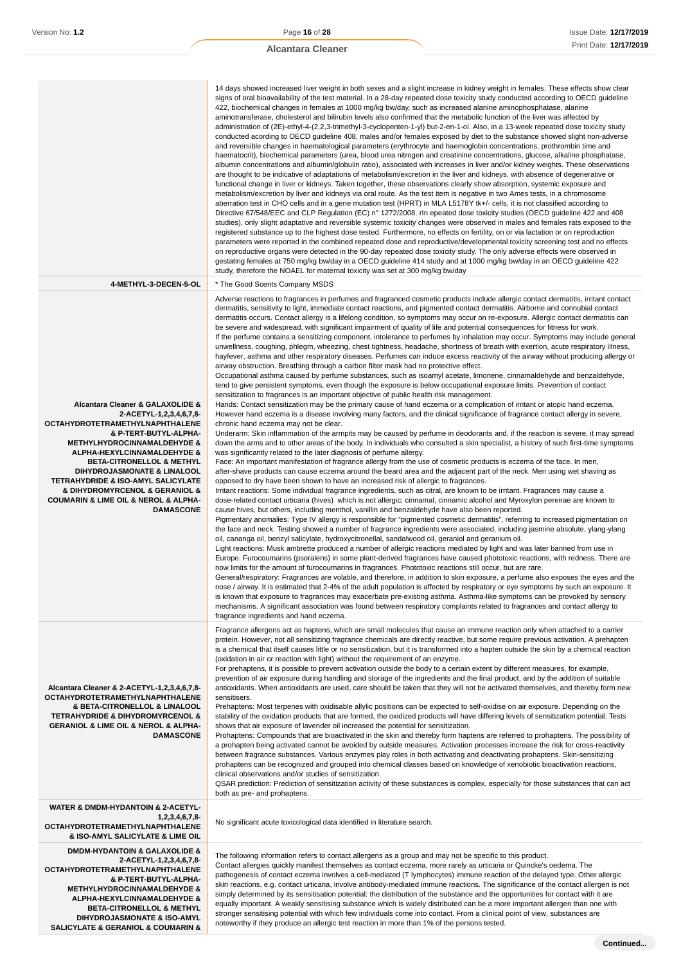**SALICYLATE & GERANIOL & COUMARIN &**

#### **Alcantara Cleaner**

|                                                                                                                                                                                                                                                                                                                                                                                                                               | 14 days showed increased liver weight in both sexes and a slight increase in kidney weight in females. These effects show clear<br>signs of oral bioavailability of the test material. In a 28-day repeated dose toxicity study conducted according to OECD guideline<br>422, biochemical changes in females at 1000 mg/kg bw/day, such as increased alanine aminophosphatase, alanine<br>aminotransferase, cholesterol and bilirubin levels also confirmed that the metabolic function of the liver was affected by<br>administration of (2E)-ethyl-4-(2,2,3-trimethyl-3-cyclopenten-1-yl) but-2-en-1-ol. Also, in a 13-week repeated dose toxicity study<br>conducted acording to OECD guideline 408, males and/or females exposed by diet to the substance showed slight non-adverse<br>and reversible changes in haematological parameters (erythrocyte and haemoglobin concentrations, prothrombin time and<br>haematocrit), biochemical parameters (urea, blood urea nitrogen and creatinine concentrations, glucose, alkaline phosphatase,<br>albumin concentrations and albumin/globulin ratio), associated with increases in liver and/or kidney weights. These observations<br>are thought to be indicative of adaptations of metabolism/excretion in the liver and kidneys, with absence of degenerative or<br>functional change in liver or kidneys. Taken together, these observations clearly show absorption, systemic exposure and<br>metabolism/excretion by liver and kidneys via oral route. As the test item is negative in two Ames tests, in a chromosome<br>aberration test in CHO cells and in a gene mutation test (HPRT) in MLA L5178Y tk+/- cells, it is not classified according to<br>Directive 67/548/EEC and CLP Regulation (EC) n° 1272/2008. rln epeated dose toxicity studies (OECD guideline 422 and 408<br>studies), only slight adaptative and reversible systemic toxicity changes were observed in males and females rats exposed to the<br>registered substance up to the highest dose tested. Furthermore, no effects on fertility, on or via lactation or on reproduction<br>parameters were reported in the combined repeated dose and reproductive/developmental toxicity screening test and no effects<br>on reproductive organs were detected in the 90-day repeated dose toxicity study. The only adverse effects were observed in<br>gestating females at 750 mg/kg bw/day in a OECD guideline 414 study and at 1000 mg/kg bw/day in an OECD guideline 422<br>study, therefore the NOAEL for maternal toxicity was set at 300 mg/kg bw/day                                                                                                                                                                                                                                                                                                                                                                                                                                                                                                                                                                                                                                                                                                                                                                                                                                                                                                                                                                                                                                                                                                                                                                                                                                                                                                                                                                                                                                                                                                              |
|-------------------------------------------------------------------------------------------------------------------------------------------------------------------------------------------------------------------------------------------------------------------------------------------------------------------------------------------------------------------------------------------------------------------------------|---------------------------------------------------------------------------------------------------------------------------------------------------------------------------------------------------------------------------------------------------------------------------------------------------------------------------------------------------------------------------------------------------------------------------------------------------------------------------------------------------------------------------------------------------------------------------------------------------------------------------------------------------------------------------------------------------------------------------------------------------------------------------------------------------------------------------------------------------------------------------------------------------------------------------------------------------------------------------------------------------------------------------------------------------------------------------------------------------------------------------------------------------------------------------------------------------------------------------------------------------------------------------------------------------------------------------------------------------------------------------------------------------------------------------------------------------------------------------------------------------------------------------------------------------------------------------------------------------------------------------------------------------------------------------------------------------------------------------------------------------------------------------------------------------------------------------------------------------------------------------------------------------------------------------------------------------------------------------------------------------------------------------------------------------------------------------------------------------------------------------------------------------------------------------------------------------------------------------------------------------------------------------------------------------------------------------------------------------------------------------------------------------------------------------------------------------------------------------------------------------------------------------------------------------------------------------------------------------------------------------------------------------------------------------------------------------------------------------------------------------------------------------------------------------------------------------------------------------------------------------------------------------------------------------------------------------------------------------------------------------------------------------------------------------------------------------------------------------------------------------------------------------------------------------------------------------------------------------------------------------------------------------------------------------------------------------------------------------------------------------------------------------------------------------------------------------------------------------------------------------------------------------------------------------------------------------------------------------------------------------------------------------------------------------------------------------------------------------------------------------------------------------------------------------------------------------------------------------------------------------------------------------------------------------------------------------------------------------------------------------------------------------------------------------------------------------------------------------------|
| 4-METHYL-3-DECEN-5-OL                                                                                                                                                                                                                                                                                                                                                                                                         | * The Good Scents Company MSDS                                                                                                                                                                                                                                                                                                                                                                                                                                                                                                                                                                                                                                                                                                                                                                                                                                                                                                                                                                                                                                                                                                                                                                                                                                                                                                                                                                                                                                                                                                                                                                                                                                                                                                                                                                                                                                                                                                                                                                                                                                                                                                                                                                                                                                                                                                                                                                                                                                                                                                                                                                                                                                                                                                                                                                                                                                                                                                                                                                                                                                                                                                                                                                                                                                                                                                                                                                                                                                                                                                                                                                                                                                                                                                                                                                                                                                                                                                                                                                                                                                                                          |
| Alcantara Cleaner & GALAXOLIDE &<br>2-ACETYL-1,2,3,4,6,7,8-<br><b>OCTAHYDROTETRAMETHYLNAPHTHALENE</b><br>& P-TERT-BUTYL-ALPHA-<br><b>METHYLHYDROCINNAMALDEHYDE &amp;</b><br>ALPHA-HEXYLCINNAMALDEHYDE &<br><b>BETA-CITRONELLOL &amp; METHYL</b><br>DIHYDROJASMONATE & LINALOOL<br><b>TETRAHYDRIDE &amp; ISO-AMYL SALICYLATE</b><br>& DIHYDROMYRCENOL & GERANIOL &<br>COUMARIN & LIME OIL & NEROL & ALPHA-<br><b>DAMASCONE</b> | Adverse reactions to fragrances in perfumes and fragranced cosmetic products include allergic contact dermatitis, irritant contact<br>dermatitis, sensitivity to light, immediate contact reactions, and pigmented contact dermatitis. Airborne and connubial contact<br>dermatitis occurs. Contact allergy is a lifelong condition, so symptoms may occur on re-exposure. Allergic contact dermatitis can<br>be severe and widespread, with significant impairment of quality of life and potential consequences for fitness for work.<br>If the perfume contains a sensitizing component, intolerance to perfumes by inhalation may occur. Symptoms may include general<br>unwellness, coughing, phlegm, wheezing, chest tightness, headache, shortness of breath with exertion, acute respiratory illness,<br>hayfever, asthma and other respiratory diseases. Perfumes can induce excess reactivity of the airway without producing allergy or<br>airway obstruction. Breathing through a carbon filter mask had no protective effect.<br>Occupational asthma caused by perfume substances, such as isoamyl acetate, limonene, cinnamaldehyde and benzaldehyde,<br>tend to give persistent symptoms, even though the exposure is below occupational exposure limits. Prevention of contact<br>sensitization to fragrances is an important objective of public health risk management.<br>Hands: Contact sensitization may be the primary cause of hand eczema or a complication of irritant or atopic hand eczema.<br>However hand eczema is a disease involving many factors, and the clinical significance of fragrance contact allergy in severe,<br>chronic hand eczema may not be clear.<br>Underarm: Skin inflammation of the armpits may be caused by perfume in deodorants and, if the reaction is severe, it may spread<br>down the arms and to other areas of the body. In individuals who consulted a skin specialist, a history of such first-time symptoms<br>was significantly related to the later diagnosis of perfume allergy.<br>Face: An important manifestation of fragrance allergy from the use of cosmetic products is eczema of the face. In men,<br>after-shave products can cause eczema around the beard area and the adjacent part of the neck. Men using wet shaving as<br>opposed to dry have been shown to have an increased risk of allergic to fragrances.<br>Irritant reactions: Some individual fragrance ingredients, such as citral, are known to be irritant. Fragrances may cause a<br>dose-related contact urticaria (hives) which is not allergic; cinnamal, cinnamic alcohol and Myroxylon pereirae are known to<br>cause hives, but others, including menthol, vanillin and benzaldehyde have also been reported.<br>Pigmentary anomalies: Type IV allergy is responsible for "pigmented cosmetic dermatitis", referring to increased pigmentation on<br>the face and neck. Testing showed a number of fragrance ingredients were associated, including jasmine absolute, ylang-ylang<br>oil, cananga oil, benzyl salicylate, hydroxycitronellal, sandalwood oil, geraniol and geranium oil.<br>Light reactions: Musk ambrette produced a number of allergic reactions mediated by light and was later banned from use in<br>Europe. Furocoumarins (psoralens) in some plant-derived fragrances have caused phototoxic reactions, with redness. There are<br>now limits for the amount of furocoumarins in fragrances. Phototoxic reactions still occur, but are rare.<br>General/respiratory: Fragrances are volatile, and therefore, in addition to skin exposure, a perfume also exposes the eyes and the<br>nose / airway. It is estimated that 2-4% of the adult population is affected by respiratory or eye symptoms by such an exposure. It<br>is known that exposure to fragrances may exacerbate pre-existing asthma. Asthma-like symptoms can be provoked by sensory<br>mechanisms. A significant association was found between respiratory complaints related to fragrances and contact allergy to<br>fragrance ingredients and hand eczema. |
| Alcantara Cleaner & 2-ACETYL-1,2,3,4,6,7,8-<br><b>OCTAHYDROTETRAMETHYLNAPHTHALENE</b><br>& BETA-CITRONELLOL & LINALOOL<br><b>TETRAHYDRIDE &amp; DIHYDROMYRCENOL &amp;</b><br><b>GERANIOL &amp; LIME OIL &amp; NEROL &amp; ALPHA-</b><br><b>DAMASCONE</b>                                                                                                                                                                      | Fragrance allergens act as haptens, which are small molecules that cause an immune reaction only when attached to a carrier<br>protein. However, not all sensitizing fragrance chemicals are directly reactive, but some require previous activation. A prehapten<br>is a chemical that itself causes little or no sensitization, but it is transformed into a hapten outside the skin by a chemical reaction<br>(oxidation in air or reaction with light) without the requirement of an enzyme.<br>For prehaptens, it is possible to prevent activation outside the body to a certain extent by different measures, for example,<br>prevention of air exposure during handling and storage of the ingredients and the final product, and by the addition of suitable<br>antioxidants. When antioxidants are used, care should be taken that they will not be activated themselves, and thereby form new<br>sensitisers.<br>Prehaptens: Most terpenes with oxidisable allylic positions can be expected to self-oxidise on air exposure. Depending on the<br>stability of the oxidation products that are formed, the oxidized products will have differing levels of sensitization potential. Tests<br>shows that air exposure of lavender oil increased the potential for sensitization.<br>Prohaptens: Compounds that are bioactivated in the skin and thereby form haptens are referred to prohaptens. The possibility of<br>a prohapten being activated cannot be avoided by outside measures. Activation processes increase the risk for cross-reactivity<br>between fragrance substances. Various enzymes play roles in both activating and deactivating prohaptens. Skin-sensitizing<br>prohaptens can be recognized and grouped into chemical classes based on knowledge of xenobiotic bioactivation reactions,<br>clinical observations and/or studies of sensitization.<br>QSAR prediction: Prediction of sensitization activity of these substances is complex, especially for those substances that can act<br>both as pre- and prohaptens.                                                                                                                                                                                                                                                                                                                                                                                                                                                                                                                                                                                                                                                                                                                                                                                                                                                                                                                                                                                                                                                                                                                                                                                                                                                                                                                                                                                                                                                                                                                                                                                                                                                                                                                                                                                                                                                                                                                                                                                                                                                |
| WATER & DMDM-HYDANTOIN & 2-ACETYL-<br>1,2,3,4,6,7,8<br><b>OCTAHYDROTETRAMETHYLNAPHTHALENE</b><br>& ISO-AMYL SALICYLATE & LIME OIL                                                                                                                                                                                                                                                                                             | No significant acute toxicological data identified in literature search.                                                                                                                                                                                                                                                                                                                                                                                                                                                                                                                                                                                                                                                                                                                                                                                                                                                                                                                                                                                                                                                                                                                                                                                                                                                                                                                                                                                                                                                                                                                                                                                                                                                                                                                                                                                                                                                                                                                                                                                                                                                                                                                                                                                                                                                                                                                                                                                                                                                                                                                                                                                                                                                                                                                                                                                                                                                                                                                                                                                                                                                                                                                                                                                                                                                                                                                                                                                                                                                                                                                                                                                                                                                                                                                                                                                                                                                                                                                                                                                                                                |
| <b>DMDM-HYDANTOIN &amp; GALAXOLIDE &amp;</b><br>2-ACETYL-1,2,3,4,6,7,8-<br><b>OCTAHYDROTETRAMETHYLNAPHTHALENE</b><br>& P-TERT-BUTYL-ALPHA-<br><b>METHYLHYDROCINNAMALDEHYDE &amp;</b><br>ALPHA-HEXYLCINNAMALDEHYDE &<br><b>BETA-CITRONELLOL &amp; METHYL</b><br>DIHYDROJASMONATE & ISO-AMYL                                                                                                                                    | The following information refers to contact allergens as a group and may not be specific to this product.<br>Contact allergies quickly manifest themselves as contact eczema, more rarely as urticaria or Quincke's oedema. The<br>pathogenesis of contact eczema involves a cell-mediated (T lymphocytes) immune reaction of the delayed type. Other allergic<br>skin reactions, e.g. contact urticaria, involve antibody-mediated immune reactions. The significance of the contact allergen is not<br>simply determined by its sensitisation potential: the distribution of the substance and the opportunities for contact with it are<br>equally important. A weakly sensitising substance which is widely distributed can be a more important allergen than one with<br>stronger sensitising potential with which few individuals come into contact. From a clinical point of view, substances are                                                                                                                                                                                                                                                                                                                                                                                                                                                                                                                                                                                                                                                                                                                                                                                                                                                                                                                                                                                                                                                                                                                                                                                                                                                                                                                                                                                                                                                                                                                                                                                                                                                                                                                                                                                                                                                                                                                                                                                                                                                                                                                                                                                                                                                                                                                                                                                                                                                                                                                                                                                                                                                                                                                                                                                                                                                                                                                                                                                                                                                                                                                                                                                                |

noteworthy if they produce an allergic test reaction in more than 1% of the persons tested.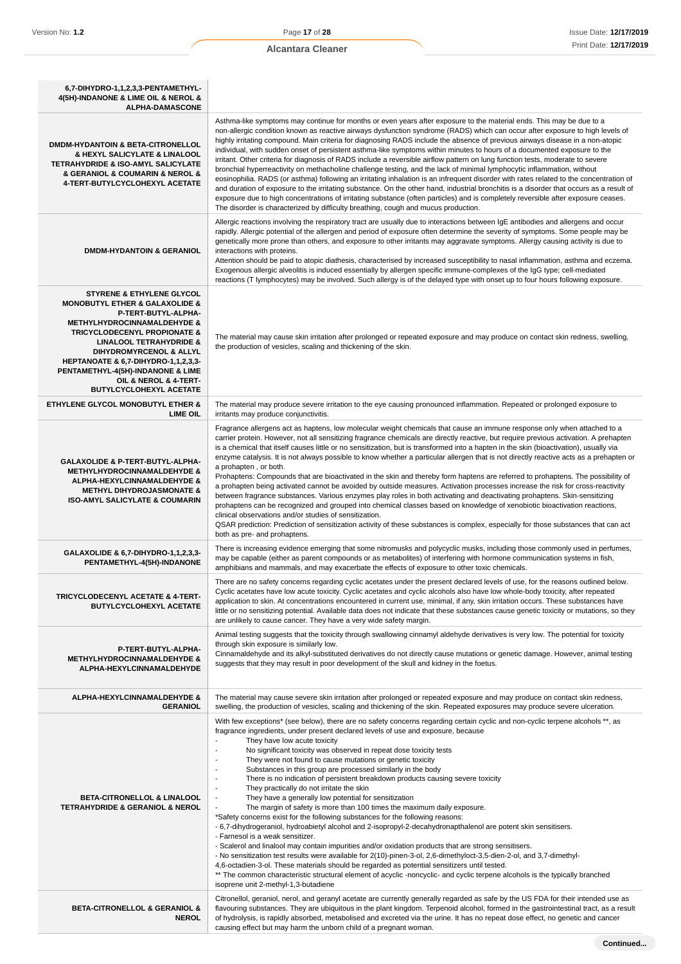| 6,7-DIHYDRO-1,1,2,3,3-PENTAMETHYL-<br>4(5H)-INDANONE & LIME OIL & NEROL &<br><b>ALPHA-DAMASCONE</b>                                                                                                                                                                                                                                                                                                       |                                                                                                                                                                                                                                                                                                                                                                                                                                                                                                                                                                                                                                                                                                                                                                                                                                                                                                                                                                                                                                                                                                                                                                                                                                                                                                                                                                                                                                                                                                                                |
|-----------------------------------------------------------------------------------------------------------------------------------------------------------------------------------------------------------------------------------------------------------------------------------------------------------------------------------------------------------------------------------------------------------|--------------------------------------------------------------------------------------------------------------------------------------------------------------------------------------------------------------------------------------------------------------------------------------------------------------------------------------------------------------------------------------------------------------------------------------------------------------------------------------------------------------------------------------------------------------------------------------------------------------------------------------------------------------------------------------------------------------------------------------------------------------------------------------------------------------------------------------------------------------------------------------------------------------------------------------------------------------------------------------------------------------------------------------------------------------------------------------------------------------------------------------------------------------------------------------------------------------------------------------------------------------------------------------------------------------------------------------------------------------------------------------------------------------------------------------------------------------------------------------------------------------------------------|
| <b>DMDM-HYDANTOIN &amp; BETA-CITRONELLOL</b><br>& HEXYL SALICYLATE & LINALOOL<br><b>TETRAHYDRIDE &amp; ISO-AMYL SALICYLATE</b><br>& GERANIOL & COUMARIN & NEROL &<br>4-TERT-BUTYLCYCLOHEXYL ACETATE                                                                                                                                                                                                       | Asthma-like symptoms may continue for months or even years after exposure to the material ends. This may be due to a<br>non-allergic condition known as reactive airways dysfunction syndrome (RADS) which can occur after exposure to high levels of<br>highly irritating compound. Main criteria for diagnosing RADS include the absence of previous airways disease in a non-atopic<br>individual, with sudden onset of persistent asthma-like symptoms within minutes to hours of a documented exposure to the<br>irritant. Other criteria for diagnosis of RADS include a reversible airflow pattern on lung function tests, moderate to severe<br>bronchial hyperreactivity on methacholine challenge testing, and the lack of minimal lymphocytic inflammation, without<br>eosinophilia. RADS (or asthma) following an irritating inhalation is an infrequent disorder with rates related to the concentration of<br>and duration of exposure to the irritating substance. On the other hand, industrial bronchitis is a disorder that occurs as a result of<br>exposure due to high concentrations of irritating substance (often particles) and is completely reversible after exposure ceases.<br>The disorder is characterized by difficulty breathing, cough and mucus production.                                                                                                                                                                                                                                 |
| <b>DMDM-HYDANTOIN &amp; GERANIOL</b>                                                                                                                                                                                                                                                                                                                                                                      | Allergic reactions involving the respiratory tract are usually due to interactions between IgE antibodies and allergens and occur<br>rapidly. Allergic potential of the allergen and period of exposure often determine the severity of symptoms. Some people may be<br>genetically more prone than others, and exposure to other irritants may aggravate symptoms. Allergy causing activity is due to<br>interactions with proteins.<br>Attention should be paid to atopic diathesis, characterised by increased susceptibility to nasal inflammation, asthma and eczema.<br>Exogenous allergic alveolitis is induced essentially by allergen specific immune-complexes of the IgG type; cell-mediated<br>reactions (T lymphocytes) may be involved. Such allergy is of the delayed type with onset up to four hours following exposure.                                                                                                                                                                                                                                                                                                                                                                                                                                                                                                                                                                                                                                                                                      |
| <b>STYRENE &amp; ETHYLENE GLYCOL</b><br><b>MONOBUTYL ETHER &amp; GALAXOLIDE &amp;</b><br>P-TERT-BUTYL-ALPHA-<br><b>METHYLHYDROCINNAMALDEHYDE &amp;</b><br><b>TRICYCLODECENYL PROPIONATE &amp;</b><br><b>LINALOOL TETRAHYDRIDE &amp;</b><br>DIHYDROMYRCENOL & ALLYL<br>HEPTANOATE & 6,7-DIHYDRO-1,1,2,3,3-<br>PENTAMETHYL-4(5H)-INDANONE & LIME<br>OIL & NEROL & 4-TERT-<br><b>BUTYLCYCLOHEXYL ACETATE</b> | The material may cause skin irritation after prolonged or repeated exposure and may produce on contact skin redness, swelling,<br>the production of vesicles, scaling and thickening of the skin.                                                                                                                                                                                                                                                                                                                                                                                                                                                                                                                                                                                                                                                                                                                                                                                                                                                                                                                                                                                                                                                                                                                                                                                                                                                                                                                              |
| <b>ETHYLENE GLYCOL MONOBUTYL ETHER &amp;</b><br><b>LIME OIL</b>                                                                                                                                                                                                                                                                                                                                           | The material may produce severe irritation to the eye causing pronounced inflammation. Repeated or prolonged exposure to<br>irritants may produce conjunctivitis.                                                                                                                                                                                                                                                                                                                                                                                                                                                                                                                                                                                                                                                                                                                                                                                                                                                                                                                                                                                                                                                                                                                                                                                                                                                                                                                                                              |
| GALAXOLIDE & P-TERT-BUTYL-ALPHA-<br><b>METHYLHYDROCINNAMALDEHYDE &amp;</b><br>ALPHA-HEXYLCINNAMALDEHYDE &<br><b>METHYL DIHYDROJASMONATE &amp;</b><br><b>ISO-AMYL SALICYLATE &amp; COUMARIN</b>                                                                                                                                                                                                            | Fragrance allergens act as haptens, low molecular weight chemicals that cause an immune response only when attached to a<br>carrier protein. However, not all sensitizing fragrance chemicals are directly reactive, but require previous activation. A prehapten<br>is a chemical that itself causes little or no sensitization, but is transformed into a hapten in the skin (bioactivation), usually via<br>enzyme catalysis. It is not always possible to know whether a particular allergen that is not directly reactive acts as a prehapten or<br>a prohapten, or both.<br>Prohaptens: Compounds that are bioactivated in the skin and thereby form haptens are referred to prohaptens. The possibility of<br>a prohapten being activated cannot be avoided by outside measures. Activation processes increase the risk for cross-reactivity<br>between fragrance substances. Various enzymes play roles in both activating and deactivating prohaptens. Skin-sensitizing<br>prohaptens can be recognized and grouped into chemical classes based on knowledge of xenobiotic bioactivation reactions,<br>clinical observations and/or studies of sensitization.<br>QSAR prediction: Prediction of sensitization activity of these substances is complex, especially for those substances that can act<br>both as pre- and prohaptens.                                                                                                                                                                                   |
| GALAXOLIDE & 6,7-DIHYDRO-1,1,2,3,3-<br>PENTAMETHYL-4(5H)-INDANONE                                                                                                                                                                                                                                                                                                                                         | There is increasing evidence emerging that some nitromusks and polycyclic musks, including those commonly used in perfumes,<br>may be capable (either as parent compounds or as metabolites) of interfering with hormone communication systems in fish,<br>amphibians and mammals, and may exacerbate the effects of exposure to other toxic chemicals.                                                                                                                                                                                                                                                                                                                                                                                                                                                                                                                                                                                                                                                                                                                                                                                                                                                                                                                                                                                                                                                                                                                                                                        |
| TRICYCLODECENYL ACETATE & 4-TERT-<br>BUTYLCYCLOHEXYL ACETATE                                                                                                                                                                                                                                                                                                                                              | There are no safety concerns regarding cyclic acetates under the present declared levels of use, for the reasons outlined below.<br>Cyclic acetates have low acute toxicity. Cyclic acetates and cyclic alcohols also have low whole-body toxicity, after repeated<br>application to skin. At concentrations encountered in current use, minimal, if any, skin irritation occurs. These substances have<br>little or no sensitizing potential. Available data does not indicate that these substances cause genetic toxicity or mutations, so they<br>are unlikely to cause cancer. They have a very wide safety margin.                                                                                                                                                                                                                                                                                                                                                                                                                                                                                                                                                                                                                                                                                                                                                                                                                                                                                                       |
| P-TERT-BUTYL-ALPHA-<br><b>METHYLHYDROCINNAMALDEHYDE &amp;</b><br>ALPHA-HEXYLCINNAMALDEHYDE                                                                                                                                                                                                                                                                                                                | Animal testing suggests that the toxicity through swallowing cinnamyl aldehyde derivatives is very low. The potential for toxicity<br>through skin exposure is similarly low.<br>Cinnamaldehyde and its alkyl-substituted derivatives do not directly cause mutations or genetic damage. However, animal testing<br>suggests that they may result in poor development of the skull and kidney in the foetus.                                                                                                                                                                                                                                                                                                                                                                                                                                                                                                                                                                                                                                                                                                                                                                                                                                                                                                                                                                                                                                                                                                                   |
| ALPHA-HEXYLCINNAMALDEHYDE &<br><b>GERANIOL</b>                                                                                                                                                                                                                                                                                                                                                            | The material may cause severe skin irritation after prolonged or repeated exposure and may produce on contact skin redness,<br>swelling, the production of vesicles, scaling and thickening of the skin. Repeated exposures may produce severe ulceration.                                                                                                                                                                                                                                                                                                                                                                                                                                                                                                                                                                                                                                                                                                                                                                                                                                                                                                                                                                                                                                                                                                                                                                                                                                                                     |
| BETA-CITRONELLOL & LINALOOL<br><b>TETRAHYDRIDE &amp; GERANIOL &amp; NEROL</b>                                                                                                                                                                                                                                                                                                                             | With few exceptions* (see below), there are no safety concerns regarding certain cyclic and non-cyclic terpene alcohols **, as<br>fragrance ingredients, under present declared levels of use and exposure, because<br>$\overline{a}$<br>They have low acute toxicity<br>No significant toxicity was observed in repeat dose toxicity tests<br>$\overline{a}$<br>They were not found to cause mutations or genetic toxicity<br>Substances in this group are processed similarly in the body<br>÷,<br>There is no indication of persistent breakdown products causing severe toxicity<br>÷,<br>They practically do not irritate the skin<br>They have a generally low potential for sensitization<br>The margin of safety is more than 100 times the maximum daily exposure.<br>*Safety concerns exist for the following substances for the following reasons:<br>- 6,7-dihydrogeraniol, hydroabietyl alcohol and 2-isopropyl-2-decahydronapthalenol are potent skin sensitisers.<br>- Farnesol is a weak sensitizer.<br>- Scalerol and linalool may contain impurities and/or oxidation products that are strong sensitisers.<br>- No sensitization test results were available for 2(10)-pinen-3-ol, 2,6-dimethyloct-3,5-dien-2-ol, and 3,7-dimethyl-<br>4,6-octadien-3-ol. These materials should be regarded as potential sensitizers until tested.<br>** The common characteristic structural element of acyclic -noncyclic- and cyclic terpene alcohols is the typically branched<br>isoprene unit 2-methyl-1,3-butadiene |
| <b>BETA-CITRONELLOL &amp; GERANIOL &amp;</b><br><b>NEROL</b>                                                                                                                                                                                                                                                                                                                                              | Citronellol, geraniol, nerol, and geranyl acetate are currently generally regarded as safe by the US FDA for their intended use as<br>flavouring substances. They are ubiquitous in the plant kingdom. Terpenoid alcohol, formed in the gastrointestinal tract, as a result<br>of hydrolysis, is rapidly absorbed, metabolised and excreted via the urine. It has no repeat dose effect, no genetic and cancer<br>causing effect but may harm the unborn child of a pregnant woman.                                                                                                                                                                                                                                                                                                                                                                                                                                                                                                                                                                                                                                                                                                                                                                                                                                                                                                                                                                                                                                            |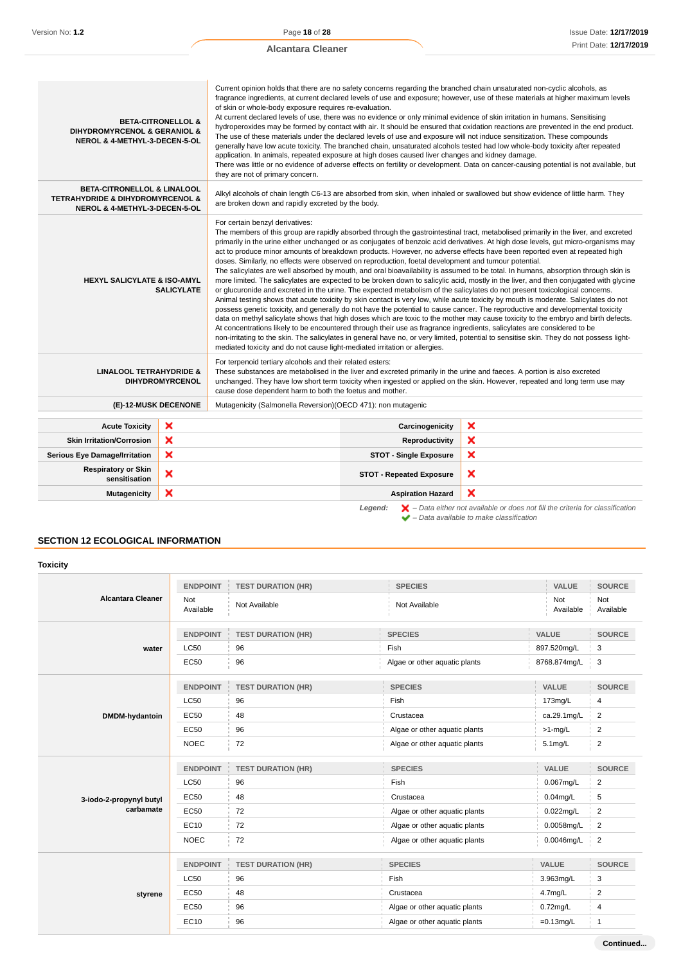Current opinion holds that there are no safety concerns regarding the branched chain unsaturated non-cyclic alcohols, as

| <b>DIHYDROMYRCENOL &amp; GERANIOL &amp;</b><br>NEROL & 4-METHYL-3-DECEN-5-OL                                                                                                                                                                                                                                                                                                                                                                                                                                                                                                                                                                                                                                                                                                                                                                                                                                                                                                                                                                                                                                                                                                                                                                                                                                                                                                                                                                                                                                                                                                                                                                                                                                                                                                                     | <b>BETA-CITRONELLOL &amp;</b> | of skin or whole-body exposure requires re-evaluation.<br>application. In animals, repeated exposure at high doses caused liver changes and kidney damage.<br>they are not of primary concern. |                                 | Current opinion noids that there are no salety concerns regarding the branched chain unsaturated non-cyclic alcohols, as<br>fragrance ingredients, at current declared levels of use and exposure; however, use of these materials at higher maximum levels<br>At current declared levels of use, there was no evidence or only minimal evidence of skin irritation in humans. Sensitising<br>hydroperoxides may be formed by contact with air. It should be ensured that oxidation reactions are prevented in the end product.<br>The use of these materials under the declared levels of use and exposure will not induce sensitization. These compounds<br>generally have low acute toxicity. The branched chain, unsaturated alcohols tested had low whole-body toxicity after repeated<br>There was little or no evidence of adverse effects on fertility or development. Data on cancer-causing potential is not available, but |
|--------------------------------------------------------------------------------------------------------------------------------------------------------------------------------------------------------------------------------------------------------------------------------------------------------------------------------------------------------------------------------------------------------------------------------------------------------------------------------------------------------------------------------------------------------------------------------------------------------------------------------------------------------------------------------------------------------------------------------------------------------------------------------------------------------------------------------------------------------------------------------------------------------------------------------------------------------------------------------------------------------------------------------------------------------------------------------------------------------------------------------------------------------------------------------------------------------------------------------------------------------------------------------------------------------------------------------------------------------------------------------------------------------------------------------------------------------------------------------------------------------------------------------------------------------------------------------------------------------------------------------------------------------------------------------------------------------------------------------------------------------------------------------------------------|-------------------------------|------------------------------------------------------------------------------------------------------------------------------------------------------------------------------------------------|---------------------------------|---------------------------------------------------------------------------------------------------------------------------------------------------------------------------------------------------------------------------------------------------------------------------------------------------------------------------------------------------------------------------------------------------------------------------------------------------------------------------------------------------------------------------------------------------------------------------------------------------------------------------------------------------------------------------------------------------------------------------------------------------------------------------------------------------------------------------------------------------------------------------------------------------------------------------------------|
| <b>BETA-CITRONELLOL &amp; LINALOOL</b><br><b>TETRAHYDRIDE &amp; DIHYDROMYRCENOL &amp;</b><br>NEROL & 4-METHYL-3-DECEN-5-OL                                                                                                                                                                                                                                                                                                                                                                                                                                                                                                                                                                                                                                                                                                                                                                                                                                                                                                                                                                                                                                                                                                                                                                                                                                                                                                                                                                                                                                                                                                                                                                                                                                                                       |                               | are broken down and rapidly excreted by the body.                                                                                                                                              |                                 | Alkyl alcohols of chain length C6-13 are absorbed from skin, when inhaled or swallowed but show evidence of little harm. They                                                                                                                                                                                                                                                                                                                                                                                                                                                                                                                                                                                                                                                                                                                                                                                                         |
| For certain benzyl derivatives:<br>The members of this group are rapidly absorbed through the gastrointestinal tract, metabolised primarily in the liver, and excreted<br>primarily in the urine either unchanged or as conjugates of benzoic acid derivatives. At high dose levels, gut micro-organisms may<br>act to produce minor amounts of breakdown products. However, no adverse effects have been reported even at repeated high<br>doses. Similarly, no effects were observed on reproduction, foetal development and tumour potential.<br>The salicylates are well absorbed by mouth, and oral bioavailability is assumed to be total. In humans, absorption through skin is<br><b>HEXYL SALICYLATE &amp; ISO-AMYL</b><br>more limited. The salicylates are expected to be broken down to salicylic acid, mostly in the liver, and then conjugated with glycine<br>or glucuronide and excreted in the urine. The expected metabolism of the salicylates do not present toxicological concerns.<br><b>SALICYLATE</b><br>Animal testing shows that acute toxicity by skin contact is very low, while acute toxicity by mouth is moderate. Salicylates do not<br>possess genetic toxicity, and generally do not have the potential to cause cancer. The reproductive and developmental toxicity<br>data on methyl salicylate shows that high doses which are toxic to the mother may cause toxicity to the embryo and birth defects.<br>At concentrations likely to be encountered through their use as fragrance ingredients, salicylates are considered to be<br>non-irritating to the skin. The salicylates in general have no, or very limited, potential to sensitise skin. They do not possess light-<br>mediated toxicity and do not cause light-mediated irritation or allergies. |                               |                                                                                                                                                                                                |                                 |                                                                                                                                                                                                                                                                                                                                                                                                                                                                                                                                                                                                                                                                                                                                                                                                                                                                                                                                       |
| LINALOOL TETRAHYDRIDE &<br><b>DIHYDROMYRCENOL</b>                                                                                                                                                                                                                                                                                                                                                                                                                                                                                                                                                                                                                                                                                                                                                                                                                                                                                                                                                                                                                                                                                                                                                                                                                                                                                                                                                                                                                                                                                                                                                                                                                                                                                                                                                |                               | For terpenoid tertiary alcohols and their related esters:<br>cause dose dependent harm to both the foetus and mother.                                                                          |                                 | These substances are metabolised in the liver and excreted primarily in the urine and faeces. A portion is also excreted<br>unchanged. They have low short term toxicity when ingested or applied on the skin. However, repeated and long term use may                                                                                                                                                                                                                                                                                                                                                                                                                                                                                                                                                                                                                                                                                |
| (E)-12-MUSK DECENONE                                                                                                                                                                                                                                                                                                                                                                                                                                                                                                                                                                                                                                                                                                                                                                                                                                                                                                                                                                                                                                                                                                                                                                                                                                                                                                                                                                                                                                                                                                                                                                                                                                                                                                                                                                             |                               | Mutagenicity (Salmonella Reversion) (OECD 471): non mutagenic                                                                                                                                  |                                 |                                                                                                                                                                                                                                                                                                                                                                                                                                                                                                                                                                                                                                                                                                                                                                                                                                                                                                                                       |
| <b>Acute Toxicity</b>                                                                                                                                                                                                                                                                                                                                                                                                                                                                                                                                                                                                                                                                                                                                                                                                                                                                                                                                                                                                                                                                                                                                                                                                                                                                                                                                                                                                                                                                                                                                                                                                                                                                                                                                                                            | ×                             |                                                                                                                                                                                                | Carcinogenicity                 | ×                                                                                                                                                                                                                                                                                                                                                                                                                                                                                                                                                                                                                                                                                                                                                                                                                                                                                                                                     |
| <b>Skin Irritation/Corrosion</b>                                                                                                                                                                                                                                                                                                                                                                                                                                                                                                                                                                                                                                                                                                                                                                                                                                                                                                                                                                                                                                                                                                                                                                                                                                                                                                                                                                                                                                                                                                                                                                                                                                                                                                                                                                 | ×                             |                                                                                                                                                                                                | Reproductivity                  | ×                                                                                                                                                                                                                                                                                                                                                                                                                                                                                                                                                                                                                                                                                                                                                                                                                                                                                                                                     |
| <b>Serious Eye Damage/Irritation</b>                                                                                                                                                                                                                                                                                                                                                                                                                                                                                                                                                                                                                                                                                                                                                                                                                                                                                                                                                                                                                                                                                                                                                                                                                                                                                                                                                                                                                                                                                                                                                                                                                                                                                                                                                             | ×                             |                                                                                                                                                                                                | <b>STOT - Single Exposure</b>   | ×                                                                                                                                                                                                                                                                                                                                                                                                                                                                                                                                                                                                                                                                                                                                                                                                                                                                                                                                     |
| <b>Respiratory or Skin</b><br>sensitisation                                                                                                                                                                                                                                                                                                                                                                                                                                                                                                                                                                                                                                                                                                                                                                                                                                                                                                                                                                                                                                                                                                                                                                                                                                                                                                                                                                                                                                                                                                                                                                                                                                                                                                                                                      | ×                             |                                                                                                                                                                                                | <b>STOT - Repeated Exposure</b> | ×                                                                                                                                                                                                                                                                                                                                                                                                                                                                                                                                                                                                                                                                                                                                                                                                                                                                                                                                     |
| <b>Mutagenicity</b>                                                                                                                                                                                                                                                                                                                                                                                                                                                                                                                                                                                                                                                                                                                                                                                                                                                                                                                                                                                                                                                                                                                                                                                                                                                                                                                                                                                                                                                                                                                                                                                                                                                                                                                                                                              | ×                             |                                                                                                                                                                                                | <b>Aspiration Hazard</b>        | ×                                                                                                                                                                                                                                                                                                                                                                                                                                                                                                                                                                                                                                                                                                                                                                                                                                                                                                                                     |
|                                                                                                                                                                                                                                                                                                                                                                                                                                                                                                                                                                                                                                                                                                                                                                                                                                                                                                                                                                                                                                                                                                                                                                                                                                                                                                                                                                                                                                                                                                                                                                                                                                                                                                                                                                                                  |                               |                                                                                                                                                                                                |                                 |                                                                                                                                                                                                                                                                                                                                                                                                                                                                                                                                                                                                                                                                                                                                                                                                                                                                                                                                       |

**Legend:**  $\mathbf{X}$  – Data either not available or does not fill the criteria for classification – Data available to make classification

# **SECTION 12 ECOLOGICAL INFORMATION**

#### **Toxicity**

|                          | <b>ENDPOINT</b>  | <b>TEST DURATION (HR)</b> | <b>SPECIES</b>                | VALUE            | <b>SOURCE</b>    |
|--------------------------|------------------|---------------------------|-------------------------------|------------------|------------------|
| <b>Alcantara Cleaner</b> | Not<br>Available | Not Available             | Not Available                 | Not<br>Available | Not<br>Available |
|                          | <b>ENDPOINT</b>  | <b>TEST DURATION (HR)</b> | <b>SPECIES</b>                | <b>VALUE</b>     | <b>SOURCE</b>    |
| water                    | <b>LC50</b>      | 96                        | Fish                          | 897.520mg/L      | 3                |
|                          | <b>EC50</b>      | 96                        | Algae or other aquatic plants | 8768.874mg/L     | 3                |
|                          | <b>ENDPOINT</b>  | <b>TEST DURATION (HR)</b> | <b>SPECIES</b>                | <b>VALUE</b>     | <b>SOURCE</b>    |
|                          | <b>LC50</b>      | 96                        | Fish                          | 173mg/L          | 4                |
| DMDM-hydantoin           | <b>EC50</b>      | 48                        | Crustacea                     | ca.29.1mg/L      | $\overline{2}$   |
|                          | <b>EC50</b>      | 96                        | Algae or other aquatic plants | $>1$ -mg/L       | $\overline{2}$   |
|                          | <b>NOEC</b>      | 72                        | Algae or other aquatic plants | $5.1$ mg/L       | $\overline{2}$   |
|                          | <b>ENDPOINT</b>  | <b>TEST DURATION (HR)</b> | <b>SPECIES</b>                | VALUE            | <b>SOURCE</b>    |
|                          | <b>LC50</b>      | 96                        | Fish                          | $0.067$ mg/L     | $\overline{2}$   |
| 3-iodo-2-propynyl butyl  | <b>EC50</b>      | 48                        | Crustacea                     | $0.04$ mg/L      | 5                |
| carbamate                | <b>EC50</b>      | 72                        | Algae or other aquatic plants | 0.022mg/L        | $\overline{2}$   |
|                          | <b>EC10</b>      | 72                        | Algae or other aquatic plants | 0.0058mg/L       | $\overline{2}$   |
|                          | <b>NOEC</b>      | 72                        | Algae or other aquatic plants | 0.0046mg/L       | $\overline{2}$   |
|                          | <b>ENDPOINT</b>  | <b>TEST DURATION (HR)</b> | <b>SPECIES</b>                | <b>VALUE</b>     | <b>SOURCE</b>    |
|                          | <b>LC50</b>      | 96                        | Fish                          | 3.963mg/L        | 3                |
| styrene                  | <b>EC50</b>      | 48                        | Crustacea                     | 4.7mg/L          | 2                |
|                          | <b>EC50</b>      | 96                        | Algae or other aquatic plants | $0.72$ mg/L      | 4                |
|                          | EC10             | 96                        | Algae or other aquatic plants | $=0.13$ mg/L     | $\mathbf{1}$     |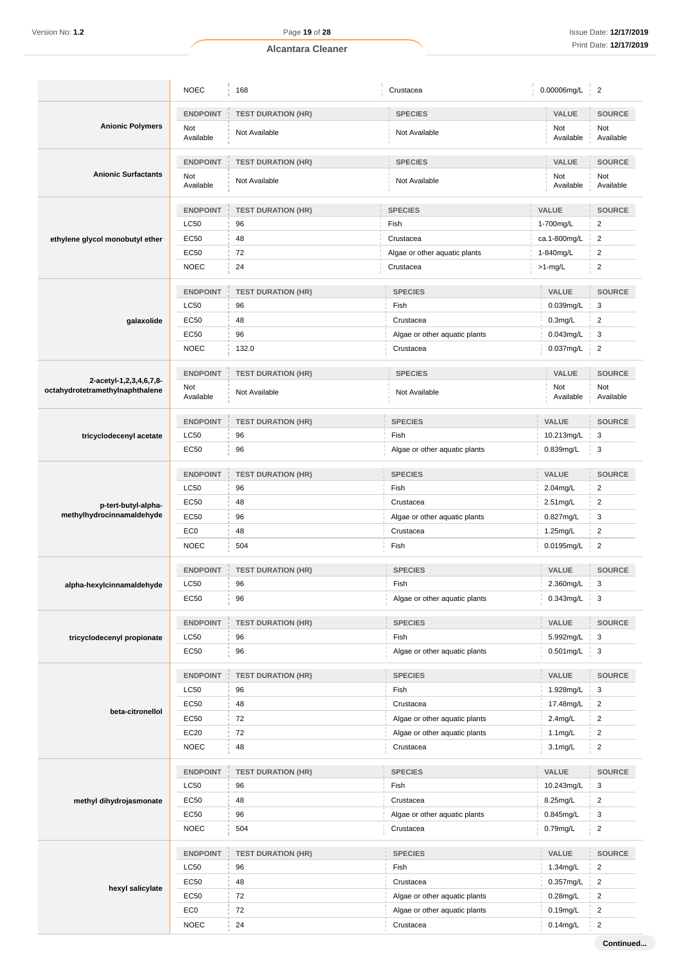| <b>ENDPOINT</b><br><b>SPECIES</b><br>VALUE<br><b>SOURCE</b><br><b>TEST DURATION (HR)</b><br><b>Anionic Polymers</b><br>Not<br>Not<br>Not<br>Not Available<br>Not Available<br>Available<br>Available<br>Available<br>VALUE<br><b>ENDPOINT</b><br><b>SOURCE</b><br><b>TEST DURATION (HR)</b><br><b>SPECIES</b><br><b>Anionic Surfactants</b><br>Not<br>Not<br>Not<br>Not Available<br>Not Available<br>Available<br>Available<br>Available<br>VALUE<br><b>ENDPOINT</b><br><b>SPECIES</b><br><b>SOURCE</b><br><b>TEST DURATION (HR)</b><br><b>LC50</b><br>$\overline{2}$<br>96<br>Fish<br>1-700mg/L<br>EC50<br>48<br>$\overline{c}$<br>Crustacea<br>ca.1-800mg/L<br>ethylene glycol monobutyl ether<br><b>EC50</b><br>72<br>$\overline{2}$<br>Algae or other aquatic plants<br>1-840mg/L<br>$\overline{2}$<br><b>NOEC</b><br>24<br>$>1$ -mg/L<br>Crustacea<br><b>ENDPOINT</b><br><b>TEST DURATION (HR)</b><br><b>SPECIES</b><br>VALUE<br><b>SOURCE</b><br><b>LC50</b><br>3<br>96<br>Fish<br>0.039mg/L<br>$\overline{\mathbf{c}}$<br>EC50<br>48<br>Crustacea<br>$0.3$ mg/L<br>galaxolide<br>96<br>3<br>EC50<br>Algae or other aquatic plants<br>0.043mg/L<br>$\overline{2}$<br><b>NOEC</b><br>132.0<br>0.037mg/L<br>Crustacea<br><b>ENDPOINT</b><br><b>SPECIES</b><br>VALUE<br><b>SOURCE</b><br><b>TEST DURATION (HR)</b><br>2-acetyl-1,2,3,4,6,7,8-<br>Not<br>Not<br>Not<br>octahydrotetramethylnaphthalene<br>Not Available<br>Not Available<br>Available<br>Available<br>Available<br><b>ENDPOINT</b><br><b>SPECIES</b><br>VALUE<br><b>SOURCE</b><br><b>TEST DURATION (HR)</b><br>3<br><b>LC50</b><br>96<br>Fish<br>10.213mg/L<br>tricyclodecenyl acetate<br>3<br>EC50<br>96<br>Algae or other aquatic plants<br>0.839mg/L<br><b>ENDPOINT</b><br><b>SPECIES</b><br>VALUE<br><b>SOURCE</b><br><b>TEST DURATION (HR)</b><br><b>LC50</b><br>Fish<br>$\overline{2}$<br>96<br>2.04mg/L<br>EC50<br>48<br>Crustacea<br>2.51mg/L<br>$\overline{2}$<br>p-tert-butyl-alpha-<br>methylhydrocinnamaldehyde<br>EC50<br>96<br>Algae or other aquatic plants<br>0.827mg/L<br>3<br>$\overline{2}$<br>EC <sub>0</sub><br>48<br>Crustacea<br>1.25mg/L<br><b>NOEC</b><br>504<br>Fish<br>0.0195mg/L<br>$\overline{2}$<br><b>ENDPOINT</b><br><b>SPECIES</b><br>VALUE<br><b>SOURCE</b><br><b>TEST DURATION (HR)</b><br><b>LC50</b><br>Fish<br>2.360mg/L<br>3<br>96<br>alpha-hexylcinnamaldehyde<br>0.343mg/L<br>EC50<br>96<br>Algae or other aquatic plants<br>$\begin{bmatrix} 3 \end{bmatrix}$<br>VALUE<br>SOURCE<br><b>ENDPOINT</b><br><b>TEST DURATION (HR)</b><br><b>SPECIES</b><br>LC50<br>5.992mg/L<br>3<br>96<br>Fish<br>tricyclodecenyl propionate<br>EC50<br>$0.501$ mg/L<br>3<br>96<br>Algae or other aquatic plants<br>SOURCE<br><b>ENDPOINT</b><br>VALUE<br><b>SPECIES</b><br><b>TEST DURATION (HR)</b><br>LC50<br>1.928mg/L<br>3<br>96<br>Fish<br>EC50<br>48<br>$\overline{2}$<br>Crustacea<br>17.48mg/L<br>beta-citronellol<br>EC50<br>72<br>$\overline{c}$<br>Algae or other aquatic plants<br>$2.4$ mg/L<br>EC20<br>72<br>$\overline{2}$<br>Algae or other aquatic plants<br>$1.1$ mg/L<br><b>NOEC</b><br>48<br>$\overline{2}$<br>Crustacea<br>$3.1$ mg/L<br><b>ENDPOINT</b><br><b>SPECIES</b><br>VALUE<br>SOURCE<br><b>TEST DURATION (HR)</b><br>LC50<br>10.243mg/L<br>3<br>96<br>Fish<br>EC50<br>48<br>8.25mg/L<br>$\overline{c}$<br>Crustacea<br>methyl dihydrojasmonate<br>EC50<br>96<br>0.845mg/L<br>3<br>Algae or other aquatic plants<br>$\overline{\mathbf{c}}$<br>504<br><b>NOEC</b><br>Crustacea<br>$0.79$ mg/L<br><b>ENDPOINT</b><br>VALUE<br>SOURCE<br><b>SPECIES</b><br><b>TEST DURATION (HR)</b><br>LC50<br>96<br>Fish<br>1.34mg/L<br>$\overline{2}$<br>EC50<br>$\overline{2}$<br>48<br>Crustacea<br>0.357mg/L<br>hexyl salicylate<br>72<br>$\overline{c}$<br>EC50<br>Algae or other aquatic plants<br>$0.28$ mg/L |  | <b>NOEC</b> | 168 | Crustacea                     | 0.00006mg/L | $\overline{2}$ |
|-----------------------------------------------------------------------------------------------------------------------------------------------------------------------------------------------------------------------------------------------------------------------------------------------------------------------------------------------------------------------------------------------------------------------------------------------------------------------------------------------------------------------------------------------------------------------------------------------------------------------------------------------------------------------------------------------------------------------------------------------------------------------------------------------------------------------------------------------------------------------------------------------------------------------------------------------------------------------------------------------------------------------------------------------------------------------------------------------------------------------------------------------------------------------------------------------------------------------------------------------------------------------------------------------------------------------------------------------------------------------------------------------------------------------------------------------------------------------------------------------------------------------------------------------------------------------------------------------------------------------------------------------------------------------------------------------------------------------------------------------------------------------------------------------------------------------------------------------------------------------------------------------------------------------------------------------------------------------------------------------------------------------------------------------------------------------------------------------------------------------------------------------------------------------------------------------------------------------------------------------------------------------------------------------------------------------------------------------------------------------------------------------------------------------------------------------------------------------------------------------------------------------------------------------------------------------------------------------------------------------------------------------------------------------------------------------------------------------------------------------------------------------------------------------------------------------------------------------------------------------------------------------------------------------------------------------------------------------------------------------------------------------------------------------------------------------------------------------------------------------------------------------------------------------------------------------------------------------------------------------------------------------------------------------------------------------------------------------------------------------------------------------------------------------------------------------------------------------------------------------------------------------------------------------------------------------------------------------------------------------------------------------------------------------------------------------------------------------------------------------------------------------------------------------------------------------------|--|-------------|-----|-------------------------------|-------------|----------------|
|                                                                                                                                                                                                                                                                                                                                                                                                                                                                                                                                                                                                                                                                                                                                                                                                                                                                                                                                                                                                                                                                                                                                                                                                                                                                                                                                                                                                                                                                                                                                                                                                                                                                                                                                                                                                                                                                                                                                                                                                                                                                                                                                                                                                                                                                                                                                                                                                                                                                                                                                                                                                                                                                                                                                                                                                                                                                                                                                                                                                                                                                                                                                                                                                                                                                                                                                                                                                                                                                                                                                                                                                                                                                                                                                                                                                                             |  |             |     |                               |             |                |
|                                                                                                                                                                                                                                                                                                                                                                                                                                                                                                                                                                                                                                                                                                                                                                                                                                                                                                                                                                                                                                                                                                                                                                                                                                                                                                                                                                                                                                                                                                                                                                                                                                                                                                                                                                                                                                                                                                                                                                                                                                                                                                                                                                                                                                                                                                                                                                                                                                                                                                                                                                                                                                                                                                                                                                                                                                                                                                                                                                                                                                                                                                                                                                                                                                                                                                                                                                                                                                                                                                                                                                                                                                                                                                                                                                                                                             |  |             |     |                               |             |                |
|                                                                                                                                                                                                                                                                                                                                                                                                                                                                                                                                                                                                                                                                                                                                                                                                                                                                                                                                                                                                                                                                                                                                                                                                                                                                                                                                                                                                                                                                                                                                                                                                                                                                                                                                                                                                                                                                                                                                                                                                                                                                                                                                                                                                                                                                                                                                                                                                                                                                                                                                                                                                                                                                                                                                                                                                                                                                                                                                                                                                                                                                                                                                                                                                                                                                                                                                                                                                                                                                                                                                                                                                                                                                                                                                                                                                                             |  |             |     |                               |             |                |
|                                                                                                                                                                                                                                                                                                                                                                                                                                                                                                                                                                                                                                                                                                                                                                                                                                                                                                                                                                                                                                                                                                                                                                                                                                                                                                                                                                                                                                                                                                                                                                                                                                                                                                                                                                                                                                                                                                                                                                                                                                                                                                                                                                                                                                                                                                                                                                                                                                                                                                                                                                                                                                                                                                                                                                                                                                                                                                                                                                                                                                                                                                                                                                                                                                                                                                                                                                                                                                                                                                                                                                                                                                                                                                                                                                                                                             |  |             |     |                               |             |                |
|                                                                                                                                                                                                                                                                                                                                                                                                                                                                                                                                                                                                                                                                                                                                                                                                                                                                                                                                                                                                                                                                                                                                                                                                                                                                                                                                                                                                                                                                                                                                                                                                                                                                                                                                                                                                                                                                                                                                                                                                                                                                                                                                                                                                                                                                                                                                                                                                                                                                                                                                                                                                                                                                                                                                                                                                                                                                                                                                                                                                                                                                                                                                                                                                                                                                                                                                                                                                                                                                                                                                                                                                                                                                                                                                                                                                                             |  |             |     |                               |             |                |
|                                                                                                                                                                                                                                                                                                                                                                                                                                                                                                                                                                                                                                                                                                                                                                                                                                                                                                                                                                                                                                                                                                                                                                                                                                                                                                                                                                                                                                                                                                                                                                                                                                                                                                                                                                                                                                                                                                                                                                                                                                                                                                                                                                                                                                                                                                                                                                                                                                                                                                                                                                                                                                                                                                                                                                                                                                                                                                                                                                                                                                                                                                                                                                                                                                                                                                                                                                                                                                                                                                                                                                                                                                                                                                                                                                                                                             |  |             |     |                               |             |                |
|                                                                                                                                                                                                                                                                                                                                                                                                                                                                                                                                                                                                                                                                                                                                                                                                                                                                                                                                                                                                                                                                                                                                                                                                                                                                                                                                                                                                                                                                                                                                                                                                                                                                                                                                                                                                                                                                                                                                                                                                                                                                                                                                                                                                                                                                                                                                                                                                                                                                                                                                                                                                                                                                                                                                                                                                                                                                                                                                                                                                                                                                                                                                                                                                                                                                                                                                                                                                                                                                                                                                                                                                                                                                                                                                                                                                                             |  |             |     |                               |             |                |
|                                                                                                                                                                                                                                                                                                                                                                                                                                                                                                                                                                                                                                                                                                                                                                                                                                                                                                                                                                                                                                                                                                                                                                                                                                                                                                                                                                                                                                                                                                                                                                                                                                                                                                                                                                                                                                                                                                                                                                                                                                                                                                                                                                                                                                                                                                                                                                                                                                                                                                                                                                                                                                                                                                                                                                                                                                                                                                                                                                                                                                                                                                                                                                                                                                                                                                                                                                                                                                                                                                                                                                                                                                                                                                                                                                                                                             |  |             |     |                               |             |                |
|                                                                                                                                                                                                                                                                                                                                                                                                                                                                                                                                                                                                                                                                                                                                                                                                                                                                                                                                                                                                                                                                                                                                                                                                                                                                                                                                                                                                                                                                                                                                                                                                                                                                                                                                                                                                                                                                                                                                                                                                                                                                                                                                                                                                                                                                                                                                                                                                                                                                                                                                                                                                                                                                                                                                                                                                                                                                                                                                                                                                                                                                                                                                                                                                                                                                                                                                                                                                                                                                                                                                                                                                                                                                                                                                                                                                                             |  |             |     |                               |             |                |
|                                                                                                                                                                                                                                                                                                                                                                                                                                                                                                                                                                                                                                                                                                                                                                                                                                                                                                                                                                                                                                                                                                                                                                                                                                                                                                                                                                                                                                                                                                                                                                                                                                                                                                                                                                                                                                                                                                                                                                                                                                                                                                                                                                                                                                                                                                                                                                                                                                                                                                                                                                                                                                                                                                                                                                                                                                                                                                                                                                                                                                                                                                                                                                                                                                                                                                                                                                                                                                                                                                                                                                                                                                                                                                                                                                                                                             |  |             |     |                               |             |                |
|                                                                                                                                                                                                                                                                                                                                                                                                                                                                                                                                                                                                                                                                                                                                                                                                                                                                                                                                                                                                                                                                                                                                                                                                                                                                                                                                                                                                                                                                                                                                                                                                                                                                                                                                                                                                                                                                                                                                                                                                                                                                                                                                                                                                                                                                                                                                                                                                                                                                                                                                                                                                                                                                                                                                                                                                                                                                                                                                                                                                                                                                                                                                                                                                                                                                                                                                                                                                                                                                                                                                                                                                                                                                                                                                                                                                                             |  |             |     |                               |             |                |
|                                                                                                                                                                                                                                                                                                                                                                                                                                                                                                                                                                                                                                                                                                                                                                                                                                                                                                                                                                                                                                                                                                                                                                                                                                                                                                                                                                                                                                                                                                                                                                                                                                                                                                                                                                                                                                                                                                                                                                                                                                                                                                                                                                                                                                                                                                                                                                                                                                                                                                                                                                                                                                                                                                                                                                                                                                                                                                                                                                                                                                                                                                                                                                                                                                                                                                                                                                                                                                                                                                                                                                                                                                                                                                                                                                                                                             |  |             |     |                               |             |                |
|                                                                                                                                                                                                                                                                                                                                                                                                                                                                                                                                                                                                                                                                                                                                                                                                                                                                                                                                                                                                                                                                                                                                                                                                                                                                                                                                                                                                                                                                                                                                                                                                                                                                                                                                                                                                                                                                                                                                                                                                                                                                                                                                                                                                                                                                                                                                                                                                                                                                                                                                                                                                                                                                                                                                                                                                                                                                                                                                                                                                                                                                                                                                                                                                                                                                                                                                                                                                                                                                                                                                                                                                                                                                                                                                                                                                                             |  |             |     |                               |             |                |
|                                                                                                                                                                                                                                                                                                                                                                                                                                                                                                                                                                                                                                                                                                                                                                                                                                                                                                                                                                                                                                                                                                                                                                                                                                                                                                                                                                                                                                                                                                                                                                                                                                                                                                                                                                                                                                                                                                                                                                                                                                                                                                                                                                                                                                                                                                                                                                                                                                                                                                                                                                                                                                                                                                                                                                                                                                                                                                                                                                                                                                                                                                                                                                                                                                                                                                                                                                                                                                                                                                                                                                                                                                                                                                                                                                                                                             |  |             |     |                               |             |                |
|                                                                                                                                                                                                                                                                                                                                                                                                                                                                                                                                                                                                                                                                                                                                                                                                                                                                                                                                                                                                                                                                                                                                                                                                                                                                                                                                                                                                                                                                                                                                                                                                                                                                                                                                                                                                                                                                                                                                                                                                                                                                                                                                                                                                                                                                                                                                                                                                                                                                                                                                                                                                                                                                                                                                                                                                                                                                                                                                                                                                                                                                                                                                                                                                                                                                                                                                                                                                                                                                                                                                                                                                                                                                                                                                                                                                                             |  |             |     |                               |             |                |
|                                                                                                                                                                                                                                                                                                                                                                                                                                                                                                                                                                                                                                                                                                                                                                                                                                                                                                                                                                                                                                                                                                                                                                                                                                                                                                                                                                                                                                                                                                                                                                                                                                                                                                                                                                                                                                                                                                                                                                                                                                                                                                                                                                                                                                                                                                                                                                                                                                                                                                                                                                                                                                                                                                                                                                                                                                                                                                                                                                                                                                                                                                                                                                                                                                                                                                                                                                                                                                                                                                                                                                                                                                                                                                                                                                                                                             |  |             |     |                               |             |                |
|                                                                                                                                                                                                                                                                                                                                                                                                                                                                                                                                                                                                                                                                                                                                                                                                                                                                                                                                                                                                                                                                                                                                                                                                                                                                                                                                                                                                                                                                                                                                                                                                                                                                                                                                                                                                                                                                                                                                                                                                                                                                                                                                                                                                                                                                                                                                                                                                                                                                                                                                                                                                                                                                                                                                                                                                                                                                                                                                                                                                                                                                                                                                                                                                                                                                                                                                                                                                                                                                                                                                                                                                                                                                                                                                                                                                                             |  |             |     |                               |             |                |
|                                                                                                                                                                                                                                                                                                                                                                                                                                                                                                                                                                                                                                                                                                                                                                                                                                                                                                                                                                                                                                                                                                                                                                                                                                                                                                                                                                                                                                                                                                                                                                                                                                                                                                                                                                                                                                                                                                                                                                                                                                                                                                                                                                                                                                                                                                                                                                                                                                                                                                                                                                                                                                                                                                                                                                                                                                                                                                                                                                                                                                                                                                                                                                                                                                                                                                                                                                                                                                                                                                                                                                                                                                                                                                                                                                                                                             |  |             |     |                               |             |                |
|                                                                                                                                                                                                                                                                                                                                                                                                                                                                                                                                                                                                                                                                                                                                                                                                                                                                                                                                                                                                                                                                                                                                                                                                                                                                                                                                                                                                                                                                                                                                                                                                                                                                                                                                                                                                                                                                                                                                                                                                                                                                                                                                                                                                                                                                                                                                                                                                                                                                                                                                                                                                                                                                                                                                                                                                                                                                                                                                                                                                                                                                                                                                                                                                                                                                                                                                                                                                                                                                                                                                                                                                                                                                                                                                                                                                                             |  |             |     |                               |             |                |
|                                                                                                                                                                                                                                                                                                                                                                                                                                                                                                                                                                                                                                                                                                                                                                                                                                                                                                                                                                                                                                                                                                                                                                                                                                                                                                                                                                                                                                                                                                                                                                                                                                                                                                                                                                                                                                                                                                                                                                                                                                                                                                                                                                                                                                                                                                                                                                                                                                                                                                                                                                                                                                                                                                                                                                                                                                                                                                                                                                                                                                                                                                                                                                                                                                                                                                                                                                                                                                                                                                                                                                                                                                                                                                                                                                                                                             |  |             |     |                               |             |                |
|                                                                                                                                                                                                                                                                                                                                                                                                                                                                                                                                                                                                                                                                                                                                                                                                                                                                                                                                                                                                                                                                                                                                                                                                                                                                                                                                                                                                                                                                                                                                                                                                                                                                                                                                                                                                                                                                                                                                                                                                                                                                                                                                                                                                                                                                                                                                                                                                                                                                                                                                                                                                                                                                                                                                                                                                                                                                                                                                                                                                                                                                                                                                                                                                                                                                                                                                                                                                                                                                                                                                                                                                                                                                                                                                                                                                                             |  |             |     |                               |             |                |
|                                                                                                                                                                                                                                                                                                                                                                                                                                                                                                                                                                                                                                                                                                                                                                                                                                                                                                                                                                                                                                                                                                                                                                                                                                                                                                                                                                                                                                                                                                                                                                                                                                                                                                                                                                                                                                                                                                                                                                                                                                                                                                                                                                                                                                                                                                                                                                                                                                                                                                                                                                                                                                                                                                                                                                                                                                                                                                                                                                                                                                                                                                                                                                                                                                                                                                                                                                                                                                                                                                                                                                                                                                                                                                                                                                                                                             |  |             |     |                               |             |                |
|                                                                                                                                                                                                                                                                                                                                                                                                                                                                                                                                                                                                                                                                                                                                                                                                                                                                                                                                                                                                                                                                                                                                                                                                                                                                                                                                                                                                                                                                                                                                                                                                                                                                                                                                                                                                                                                                                                                                                                                                                                                                                                                                                                                                                                                                                                                                                                                                                                                                                                                                                                                                                                                                                                                                                                                                                                                                                                                                                                                                                                                                                                                                                                                                                                                                                                                                                                                                                                                                                                                                                                                                                                                                                                                                                                                                                             |  |             |     |                               |             |                |
|                                                                                                                                                                                                                                                                                                                                                                                                                                                                                                                                                                                                                                                                                                                                                                                                                                                                                                                                                                                                                                                                                                                                                                                                                                                                                                                                                                                                                                                                                                                                                                                                                                                                                                                                                                                                                                                                                                                                                                                                                                                                                                                                                                                                                                                                                                                                                                                                                                                                                                                                                                                                                                                                                                                                                                                                                                                                                                                                                                                                                                                                                                                                                                                                                                                                                                                                                                                                                                                                                                                                                                                                                                                                                                                                                                                                                             |  |             |     |                               |             |                |
|                                                                                                                                                                                                                                                                                                                                                                                                                                                                                                                                                                                                                                                                                                                                                                                                                                                                                                                                                                                                                                                                                                                                                                                                                                                                                                                                                                                                                                                                                                                                                                                                                                                                                                                                                                                                                                                                                                                                                                                                                                                                                                                                                                                                                                                                                                                                                                                                                                                                                                                                                                                                                                                                                                                                                                                                                                                                                                                                                                                                                                                                                                                                                                                                                                                                                                                                                                                                                                                                                                                                                                                                                                                                                                                                                                                                                             |  |             |     |                               |             |                |
|                                                                                                                                                                                                                                                                                                                                                                                                                                                                                                                                                                                                                                                                                                                                                                                                                                                                                                                                                                                                                                                                                                                                                                                                                                                                                                                                                                                                                                                                                                                                                                                                                                                                                                                                                                                                                                                                                                                                                                                                                                                                                                                                                                                                                                                                                                                                                                                                                                                                                                                                                                                                                                                                                                                                                                                                                                                                                                                                                                                                                                                                                                                                                                                                                                                                                                                                                                                                                                                                                                                                                                                                                                                                                                                                                                                                                             |  |             |     |                               |             |                |
|                                                                                                                                                                                                                                                                                                                                                                                                                                                                                                                                                                                                                                                                                                                                                                                                                                                                                                                                                                                                                                                                                                                                                                                                                                                                                                                                                                                                                                                                                                                                                                                                                                                                                                                                                                                                                                                                                                                                                                                                                                                                                                                                                                                                                                                                                                                                                                                                                                                                                                                                                                                                                                                                                                                                                                                                                                                                                                                                                                                                                                                                                                                                                                                                                                                                                                                                                                                                                                                                                                                                                                                                                                                                                                                                                                                                                             |  |             |     |                               |             |                |
|                                                                                                                                                                                                                                                                                                                                                                                                                                                                                                                                                                                                                                                                                                                                                                                                                                                                                                                                                                                                                                                                                                                                                                                                                                                                                                                                                                                                                                                                                                                                                                                                                                                                                                                                                                                                                                                                                                                                                                                                                                                                                                                                                                                                                                                                                                                                                                                                                                                                                                                                                                                                                                                                                                                                                                                                                                                                                                                                                                                                                                                                                                                                                                                                                                                                                                                                                                                                                                                                                                                                                                                                                                                                                                                                                                                                                             |  |             |     |                               |             |                |
|                                                                                                                                                                                                                                                                                                                                                                                                                                                                                                                                                                                                                                                                                                                                                                                                                                                                                                                                                                                                                                                                                                                                                                                                                                                                                                                                                                                                                                                                                                                                                                                                                                                                                                                                                                                                                                                                                                                                                                                                                                                                                                                                                                                                                                                                                                                                                                                                                                                                                                                                                                                                                                                                                                                                                                                                                                                                                                                                                                                                                                                                                                                                                                                                                                                                                                                                                                                                                                                                                                                                                                                                                                                                                                                                                                                                                             |  |             |     |                               |             |                |
|                                                                                                                                                                                                                                                                                                                                                                                                                                                                                                                                                                                                                                                                                                                                                                                                                                                                                                                                                                                                                                                                                                                                                                                                                                                                                                                                                                                                                                                                                                                                                                                                                                                                                                                                                                                                                                                                                                                                                                                                                                                                                                                                                                                                                                                                                                                                                                                                                                                                                                                                                                                                                                                                                                                                                                                                                                                                                                                                                                                                                                                                                                                                                                                                                                                                                                                                                                                                                                                                                                                                                                                                                                                                                                                                                                                                                             |  |             |     |                               |             |                |
|                                                                                                                                                                                                                                                                                                                                                                                                                                                                                                                                                                                                                                                                                                                                                                                                                                                                                                                                                                                                                                                                                                                                                                                                                                                                                                                                                                                                                                                                                                                                                                                                                                                                                                                                                                                                                                                                                                                                                                                                                                                                                                                                                                                                                                                                                                                                                                                                                                                                                                                                                                                                                                                                                                                                                                                                                                                                                                                                                                                                                                                                                                                                                                                                                                                                                                                                                                                                                                                                                                                                                                                                                                                                                                                                                                                                                             |  |             |     |                               |             |                |
|                                                                                                                                                                                                                                                                                                                                                                                                                                                                                                                                                                                                                                                                                                                                                                                                                                                                                                                                                                                                                                                                                                                                                                                                                                                                                                                                                                                                                                                                                                                                                                                                                                                                                                                                                                                                                                                                                                                                                                                                                                                                                                                                                                                                                                                                                                                                                                                                                                                                                                                                                                                                                                                                                                                                                                                                                                                                                                                                                                                                                                                                                                                                                                                                                                                                                                                                                                                                                                                                                                                                                                                                                                                                                                                                                                                                                             |  |             |     |                               |             |                |
|                                                                                                                                                                                                                                                                                                                                                                                                                                                                                                                                                                                                                                                                                                                                                                                                                                                                                                                                                                                                                                                                                                                                                                                                                                                                                                                                                                                                                                                                                                                                                                                                                                                                                                                                                                                                                                                                                                                                                                                                                                                                                                                                                                                                                                                                                                                                                                                                                                                                                                                                                                                                                                                                                                                                                                                                                                                                                                                                                                                                                                                                                                                                                                                                                                                                                                                                                                                                                                                                                                                                                                                                                                                                                                                                                                                                                             |  |             |     |                               |             |                |
|                                                                                                                                                                                                                                                                                                                                                                                                                                                                                                                                                                                                                                                                                                                                                                                                                                                                                                                                                                                                                                                                                                                                                                                                                                                                                                                                                                                                                                                                                                                                                                                                                                                                                                                                                                                                                                                                                                                                                                                                                                                                                                                                                                                                                                                                                                                                                                                                                                                                                                                                                                                                                                                                                                                                                                                                                                                                                                                                                                                                                                                                                                                                                                                                                                                                                                                                                                                                                                                                                                                                                                                                                                                                                                                                                                                                                             |  |             |     |                               |             |                |
|                                                                                                                                                                                                                                                                                                                                                                                                                                                                                                                                                                                                                                                                                                                                                                                                                                                                                                                                                                                                                                                                                                                                                                                                                                                                                                                                                                                                                                                                                                                                                                                                                                                                                                                                                                                                                                                                                                                                                                                                                                                                                                                                                                                                                                                                                                                                                                                                                                                                                                                                                                                                                                                                                                                                                                                                                                                                                                                                                                                                                                                                                                                                                                                                                                                                                                                                                                                                                                                                                                                                                                                                                                                                                                                                                                                                                             |  |             |     |                               |             |                |
|                                                                                                                                                                                                                                                                                                                                                                                                                                                                                                                                                                                                                                                                                                                                                                                                                                                                                                                                                                                                                                                                                                                                                                                                                                                                                                                                                                                                                                                                                                                                                                                                                                                                                                                                                                                                                                                                                                                                                                                                                                                                                                                                                                                                                                                                                                                                                                                                                                                                                                                                                                                                                                                                                                                                                                                                                                                                                                                                                                                                                                                                                                                                                                                                                                                                                                                                                                                                                                                                                                                                                                                                                                                                                                                                                                                                                             |  |             |     |                               |             |                |
|                                                                                                                                                                                                                                                                                                                                                                                                                                                                                                                                                                                                                                                                                                                                                                                                                                                                                                                                                                                                                                                                                                                                                                                                                                                                                                                                                                                                                                                                                                                                                                                                                                                                                                                                                                                                                                                                                                                                                                                                                                                                                                                                                                                                                                                                                                                                                                                                                                                                                                                                                                                                                                                                                                                                                                                                                                                                                                                                                                                                                                                                                                                                                                                                                                                                                                                                                                                                                                                                                                                                                                                                                                                                                                                                                                                                                             |  |             |     |                               |             |                |
|                                                                                                                                                                                                                                                                                                                                                                                                                                                                                                                                                                                                                                                                                                                                                                                                                                                                                                                                                                                                                                                                                                                                                                                                                                                                                                                                                                                                                                                                                                                                                                                                                                                                                                                                                                                                                                                                                                                                                                                                                                                                                                                                                                                                                                                                                                                                                                                                                                                                                                                                                                                                                                                                                                                                                                                                                                                                                                                                                                                                                                                                                                                                                                                                                                                                                                                                                                                                                                                                                                                                                                                                                                                                                                                                                                                                                             |  |             |     |                               |             |                |
|                                                                                                                                                                                                                                                                                                                                                                                                                                                                                                                                                                                                                                                                                                                                                                                                                                                                                                                                                                                                                                                                                                                                                                                                                                                                                                                                                                                                                                                                                                                                                                                                                                                                                                                                                                                                                                                                                                                                                                                                                                                                                                                                                                                                                                                                                                                                                                                                                                                                                                                                                                                                                                                                                                                                                                                                                                                                                                                                                                                                                                                                                                                                                                                                                                                                                                                                                                                                                                                                                                                                                                                                                                                                                                                                                                                                                             |  |             |     |                               |             |                |
|                                                                                                                                                                                                                                                                                                                                                                                                                                                                                                                                                                                                                                                                                                                                                                                                                                                                                                                                                                                                                                                                                                                                                                                                                                                                                                                                                                                                                                                                                                                                                                                                                                                                                                                                                                                                                                                                                                                                                                                                                                                                                                                                                                                                                                                                                                                                                                                                                                                                                                                                                                                                                                                                                                                                                                                                                                                                                                                                                                                                                                                                                                                                                                                                                                                                                                                                                                                                                                                                                                                                                                                                                                                                                                                                                                                                                             |  |             |     |                               |             |                |
|                                                                                                                                                                                                                                                                                                                                                                                                                                                                                                                                                                                                                                                                                                                                                                                                                                                                                                                                                                                                                                                                                                                                                                                                                                                                                                                                                                                                                                                                                                                                                                                                                                                                                                                                                                                                                                                                                                                                                                                                                                                                                                                                                                                                                                                                                                                                                                                                                                                                                                                                                                                                                                                                                                                                                                                                                                                                                                                                                                                                                                                                                                                                                                                                                                                                                                                                                                                                                                                                                                                                                                                                                                                                                                                                                                                                                             |  |             |     |                               |             |                |
|                                                                                                                                                                                                                                                                                                                                                                                                                                                                                                                                                                                                                                                                                                                                                                                                                                                                                                                                                                                                                                                                                                                                                                                                                                                                                                                                                                                                                                                                                                                                                                                                                                                                                                                                                                                                                                                                                                                                                                                                                                                                                                                                                                                                                                                                                                                                                                                                                                                                                                                                                                                                                                                                                                                                                                                                                                                                                                                                                                                                                                                                                                                                                                                                                                                                                                                                                                                                                                                                                                                                                                                                                                                                                                                                                                                                                             |  |             |     |                               |             |                |
|                                                                                                                                                                                                                                                                                                                                                                                                                                                                                                                                                                                                                                                                                                                                                                                                                                                                                                                                                                                                                                                                                                                                                                                                                                                                                                                                                                                                                                                                                                                                                                                                                                                                                                                                                                                                                                                                                                                                                                                                                                                                                                                                                                                                                                                                                                                                                                                                                                                                                                                                                                                                                                                                                                                                                                                                                                                                                                                                                                                                                                                                                                                                                                                                                                                                                                                                                                                                                                                                                                                                                                                                                                                                                                                                                                                                                             |  |             |     |                               |             |                |
|                                                                                                                                                                                                                                                                                                                                                                                                                                                                                                                                                                                                                                                                                                                                                                                                                                                                                                                                                                                                                                                                                                                                                                                                                                                                                                                                                                                                                                                                                                                                                                                                                                                                                                                                                                                                                                                                                                                                                                                                                                                                                                                                                                                                                                                                                                                                                                                                                                                                                                                                                                                                                                                                                                                                                                                                                                                                                                                                                                                                                                                                                                                                                                                                                                                                                                                                                                                                                                                                                                                                                                                                                                                                                                                                                                                                                             |  |             |     |                               |             |                |
|                                                                                                                                                                                                                                                                                                                                                                                                                                                                                                                                                                                                                                                                                                                                                                                                                                                                                                                                                                                                                                                                                                                                                                                                                                                                                                                                                                                                                                                                                                                                                                                                                                                                                                                                                                                                                                                                                                                                                                                                                                                                                                                                                                                                                                                                                                                                                                                                                                                                                                                                                                                                                                                                                                                                                                                                                                                                                                                                                                                                                                                                                                                                                                                                                                                                                                                                                                                                                                                                                                                                                                                                                                                                                                                                                                                                                             |  |             |     |                               |             |                |
|                                                                                                                                                                                                                                                                                                                                                                                                                                                                                                                                                                                                                                                                                                                                                                                                                                                                                                                                                                                                                                                                                                                                                                                                                                                                                                                                                                                                                                                                                                                                                                                                                                                                                                                                                                                                                                                                                                                                                                                                                                                                                                                                                                                                                                                                                                                                                                                                                                                                                                                                                                                                                                                                                                                                                                                                                                                                                                                                                                                                                                                                                                                                                                                                                                                                                                                                                                                                                                                                                                                                                                                                                                                                                                                                                                                                                             |  |             |     |                               |             |                |
|                                                                                                                                                                                                                                                                                                                                                                                                                                                                                                                                                                                                                                                                                                                                                                                                                                                                                                                                                                                                                                                                                                                                                                                                                                                                                                                                                                                                                                                                                                                                                                                                                                                                                                                                                                                                                                                                                                                                                                                                                                                                                                                                                                                                                                                                                                                                                                                                                                                                                                                                                                                                                                                                                                                                                                                                                                                                                                                                                                                                                                                                                                                                                                                                                                                                                                                                                                                                                                                                                                                                                                                                                                                                                                                                                                                                                             |  |             |     |                               |             |                |
|                                                                                                                                                                                                                                                                                                                                                                                                                                                                                                                                                                                                                                                                                                                                                                                                                                                                                                                                                                                                                                                                                                                                                                                                                                                                                                                                                                                                                                                                                                                                                                                                                                                                                                                                                                                                                                                                                                                                                                                                                                                                                                                                                                                                                                                                                                                                                                                                                                                                                                                                                                                                                                                                                                                                                                                                                                                                                                                                                                                                                                                                                                                                                                                                                                                                                                                                                                                                                                                                                                                                                                                                                                                                                                                                                                                                                             |  | EC0         | 72  | Algae or other aquatic plants | 0.19mg/L    | $\overline{2}$ |
| <b>NOEC</b><br>$\overline{2}$<br>24<br>Crustacea<br>$0.14$ mg/L                                                                                                                                                                                                                                                                                                                                                                                                                                                                                                                                                                                                                                                                                                                                                                                                                                                                                                                                                                                                                                                                                                                                                                                                                                                                                                                                                                                                                                                                                                                                                                                                                                                                                                                                                                                                                                                                                                                                                                                                                                                                                                                                                                                                                                                                                                                                                                                                                                                                                                                                                                                                                                                                                                                                                                                                                                                                                                                                                                                                                                                                                                                                                                                                                                                                                                                                                                                                                                                                                                                                                                                                                                                                                                                                                             |  |             |     |                               |             |                |

**Continued...**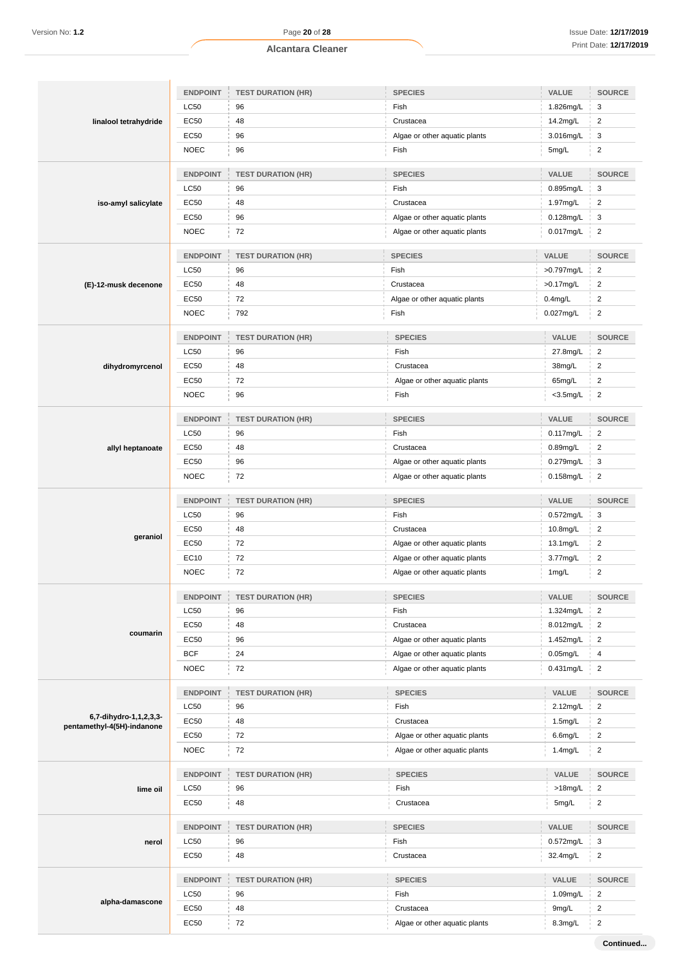| linalool tetrahydride                                | <b>ENDPOINT</b> | <b>TEST DURATION (HR)</b>     | <b>SPECIES</b>                | VALUE        | <b>SOURCE</b>           |
|------------------------------------------------------|-----------------|-------------------------------|-------------------------------|--------------|-------------------------|
|                                                      | LC50            | 96                            | Fish                          | 1.826mg/L    | 3                       |
|                                                      | EC50            | 48                            | Crustacea                     | 14.2mg/L     | $\overline{c}$          |
|                                                      | EC50            | 96                            | Algae or other aquatic plants | 3.016mg/L    | 3                       |
|                                                      | <b>NOEC</b>     | 96                            | Fish                          | 5mg/L        | $\overline{\mathbf{c}}$ |
|                                                      | <b>ENDPOINT</b> | <b>TEST DURATION (HR)</b>     | <b>SPECIES</b>                | VALUE        | SOURCE                  |
|                                                      | LC50            | 96                            | Fish                          | 0.895mg/L    | 3                       |
| iso-amyl salicylate                                  | EC50            | 48                            | Crustacea                     | 1.97mg/L     | $\overline{c}$          |
|                                                      | EC50            | 96                            | Algae or other aquatic plants | 0.128mg/L    | 3                       |
|                                                      | <b>NOEC</b>     | 72                            | Algae or other aquatic plants | 0.017mg/L    | 2                       |
|                                                      | <b>ENDPOINT</b> | <b>TEST DURATION (HR)</b>     | <b>SPECIES</b>                | VALUE        | SOURCE                  |
|                                                      | LC50            | 96                            | Fish                          | >0.797mg/L   | $\overline{c}$          |
| (E)-12-musk decenone                                 | EC50            | 48                            | Crustacea                     | >0.17mg/L    | $\overline{\mathbf{c}}$ |
|                                                      | EC50            | 72                            | Algae or other aquatic plants | $0.4$ mg/L   | $\overline{2}$          |
|                                                      | <b>NOEC</b>     | 792                           | Fish                          | 0.027mg/L    | $\overline{c}$          |
|                                                      | <b>ENDPOINT</b> | <b>TEST DURATION (HR)</b>     | <b>SPECIES</b>                | VALUE        | SOURCE                  |
|                                                      | LC50            | 96                            | Fish                          | 27.8mg/L     | $\overline{c}$          |
| dihydromyrcenol                                      | EC50            | 48                            | Crustacea                     | 38mg/L       | $\overline{2}$          |
|                                                      | EC50            | 72                            | Algae or other aquatic plants | 65mg/L       | $\overline{c}$          |
|                                                      | <b>NOEC</b>     | 96                            | Fish                          | $<$ 3.5mg/L  | $\overline{2}$          |
|                                                      | <b>ENDPOINT</b> | <b>TEST DURATION (HR)</b>     | <b>SPECIES</b>                | VALUE        | SOURCE                  |
|                                                      | LC50            | 96                            | Fish                          | 0.117mg/L    | $\overline{2}$          |
|                                                      | EC50            | 48                            | Crustacea                     | 0.89mg/L     | $\overline{2}$          |
| allyl heptanoate                                     | EC50            | 96                            | Algae or other aquatic plants | 0.279mg/L    | 3                       |
|                                                      | <b>NOEC</b>     | 72                            | Algae or other aquatic plants | $0.158$ mg/L | $\overline{\mathbf{c}}$ |
|                                                      |                 |                               |                               |              |                         |
|                                                      | <b>ENDPOINT</b> | <b>TEST DURATION (HR)</b>     | <b>SPECIES</b>                | VALUE        | SOURCE                  |
|                                                      | LC50            | 96                            | Fish                          | 0.572mg/L    | 3                       |
| geraniol                                             | EC50            | 48                            | Crustacea                     | 10.8mg/L     | $\overline{c}$          |
|                                                      | EC50            | 72                            | Algae or other aquatic plants | 13.1mg/L     | $\overline{c}$          |
|                                                      | EC10            | 72                            | Algae or other aquatic plants | 3.77mg/L     | $\overline{c}$          |
|                                                      | <b>NOEC</b>     | 72                            | Algae or other aquatic plants | 1mg/L        | $\overline{\mathbf{c}}$ |
|                                                      |                 | ENDPOINT   TEST DURATION (HR) | SPECIES                       | VALUE        | SOURCE                  |
|                                                      | <b>LC50</b>     | 96                            | Fish                          | 1.324mg/L    | $\overline{2}$          |
| coumarin                                             | EC50            | 48                            | Crustacea                     | 8.012mg/L    | $\overline{2}$          |
|                                                      | EC50            | 96                            | Algae or other aquatic plants | 1.452mg/L    | $\overline{2}$          |
|                                                      | <b>BCF</b>      | 24                            | Algae or other aquatic plants | $0.05$ mg/L  | 4                       |
|                                                      | <b>NOEC</b>     | 72                            | Algae or other aquatic plants | 0.431mg/L    | $\overline{2}$          |
|                                                      | <b>ENDPOINT</b> | <b>TEST DURATION (HR)</b>     | <b>SPECIES</b>                | VALUE        | SOURCE                  |
|                                                      | LC50            | 96                            | Fish                          | 2.12mg/L     | $\overline{2}$          |
| 6,7-dihydro-1,1,2,3,3-<br>pentamethyl-4(5H)-indanone | EC50            | 48                            | Crustacea                     | 1.5mg/L      | $\overline{\mathbf{c}}$ |
|                                                      | EC50            | 72                            | Algae or other aquatic plants | 6.6mg/L      | $\overline{c}$          |
|                                                      | NOEC            | 72                            | Algae or other aquatic plants | $1.4$ mg/L   | $\overline{c}$          |
|                                                      | <b>ENDPOINT</b> | <b>TEST DURATION (HR)</b>     | <b>SPECIES</b>                | VALUE        | SOURCE                  |
| lime oil                                             | <b>LC50</b>     | 96                            | Fish                          | >18mg/L      | $\overline{2}$          |
|                                                      | EC50            | 48                            | Crustacea                     | 5mg/L        | $\overline{c}$          |
|                                                      | <b>ENDPOINT</b> | <b>TEST DURATION (HR)</b>     | <b>SPECIES</b>                | VALUE        | <b>SOURCE</b>           |
| nerol                                                | LC50            | 96                            | Fish                          | 0.572mg/L    | 3                       |
|                                                      | EC50            | 48                            | Crustacea                     | 32.4mg/L     | $\overline{c}$          |
|                                                      | <b>ENDPOINT</b> | <b>TEST DURATION (HR)</b>     | <b>SPECIES</b>                | VALUE        | SOURCE                  |
|                                                      | LC50            | 96                            | Fish                          | 1.09mg/L     | $\overline{c}$          |
| alpha-damascone                                      |                 |                               |                               |              |                         |
|                                                      | EC50            | 48                            | Crustacea                     | 9mg/L        | $\overline{c}$          |

**Continued...**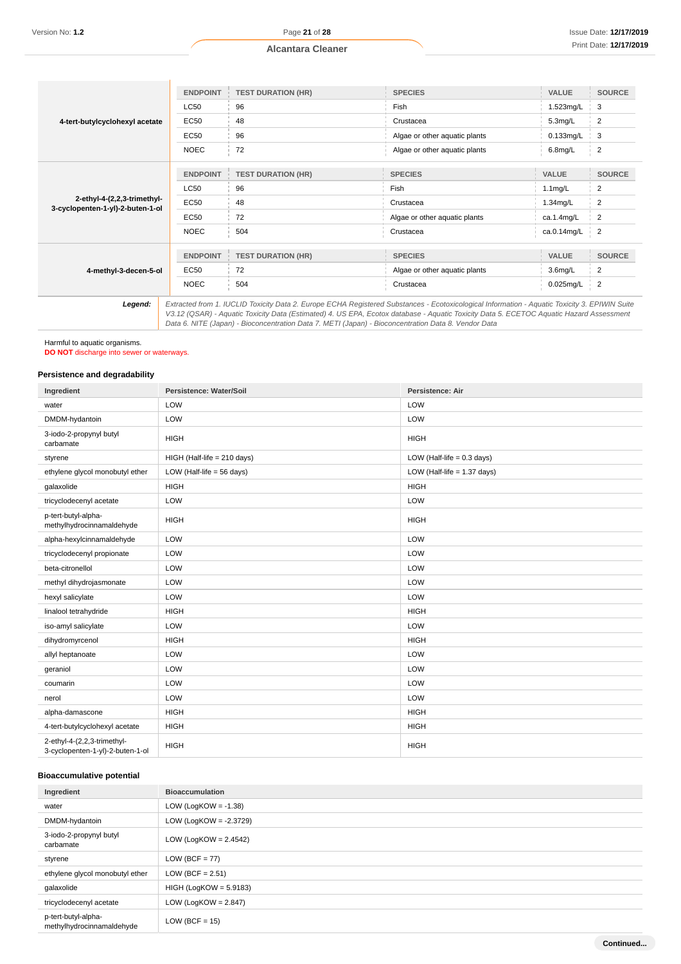|                                                                 | <b>ENDPOINT</b> | <b>TEST DURATION (HR)</b> | <b>SPECIES</b>                                                                                                                                | <b>VALUE</b> | <b>SOURCE</b>  |
|-----------------------------------------------------------------|-----------------|---------------------------|-----------------------------------------------------------------------------------------------------------------------------------------------|--------------|----------------|
|                                                                 | LC50            | 96                        | Fish                                                                                                                                          | 1.523mg/L    | 3              |
| 4-tert-butylcyclohexyl acetate                                  | <b>EC50</b>     | 48                        | Crustacea                                                                                                                                     | 5.3mg/L      | 2              |
|                                                                 | <b>EC50</b>     | 96                        | Algae or other aquatic plants                                                                                                                 | 0.133mg/L    | 3              |
|                                                                 | <b>NOEC</b>     | 72                        | Algae or other aquatic plants                                                                                                                 | $6.8$ mg/L   | $\overline{c}$ |
|                                                                 | <b>ENDPOINT</b> | <b>TEST DURATION (HR)</b> | <b>SPECIES</b>                                                                                                                                | <b>VALUE</b> | <b>SOURCE</b>  |
|                                                                 | <b>LC50</b>     | 96                        | Fish                                                                                                                                          | $1.1$ mg/L   | 2              |
| 2-ethyl-4-(2,2,3-trimethyl-<br>3-cyclopenten-1-yl)-2-buten-1-ol | <b>EC50</b>     | 48                        | Crustacea                                                                                                                                     | 1.34mg/L     | 2              |
|                                                                 | <b>EC50</b>     | 72                        | Algae or other aquatic plants                                                                                                                 | ca.1.4mg/L   | 2              |
|                                                                 | <b>NOEC</b>     | 504                       | Crustacea                                                                                                                                     | ca.0.14mg/L  | $\overline{2}$ |
|                                                                 | <b>ENDPOINT</b> | <b>TEST DURATION (HR)</b> | <b>SPECIES</b>                                                                                                                                | <b>VALUE</b> | <b>SOURCE</b>  |
| 4-methyl-3-decen-5-ol                                           | <b>EC50</b>     | 72                        | Algae or other aquatic plants                                                                                                                 | $3.6$ mg/L   | 2              |
|                                                                 | <b>NOEC</b>     | 504                       | Crustacea                                                                                                                                     | 0.025mg/L    | $\overline{2}$ |
| Legend:                                                         |                 |                           | Extracted from 1. IUCLID Toxicity Data 2. Europe ECHA Registered Substances - Ecotoxicological Information - Aquatic Toxicity 3. EPIWIN Suite |              |                |

V3.12 (QSAR) - Aquatic Toxicity Data (Estimated) 4. US EPA, Ecotox database - Aquatic Toxicity Data 5. ECETOC Aquatic Hazard Assessment Data 6. NITE (Japan) - Bioconcentration Data 7. METI (Japan) - Bioconcentration Data 8. Vendor Data

# Harmful to aquatic organisms.

**DO NOT** discharge into sewer or waterways.

#### **Persistence and degradability**

| Ingredient                                                      | Persistence: Water/Soil              | Persistence: Air              |
|-----------------------------------------------------------------|--------------------------------------|-------------------------------|
| water                                                           | LOW                                  | LOW                           |
| DMDM-hydantoin                                                  | LOW                                  | LOW                           |
| 3-iodo-2-propynyl butyl<br>carbamate                            | <b>HIGH</b>                          | <b>HIGH</b>                   |
| styrene                                                         | HIGH (Half-life = 210 days)          | LOW (Half-life $= 0.3$ days)  |
| ethylene glycol monobutyl ether                                 | LOW (Half-life = $56 \text{ days}$ ) | LOW (Half-life $= 1.37$ days) |
| galaxolide                                                      | <b>HIGH</b>                          | <b>HIGH</b>                   |
| tricyclodecenyl acetate                                         | LOW                                  | LOW                           |
| p-tert-butyl-alpha-<br>methylhydrocinnamaldehyde                | <b>HIGH</b>                          | <b>HIGH</b>                   |
| alpha-hexylcinnamaldehyde                                       | LOW                                  | LOW                           |
| tricyclodecenyl propionate                                      | LOW                                  | LOW                           |
| beta-citronellol                                                | LOW                                  | LOW                           |
| methyl dihydrojasmonate                                         | LOW                                  | LOW                           |
| hexyl salicylate                                                | LOW                                  | LOW                           |
| linalool tetrahydride                                           | <b>HIGH</b>                          | <b>HIGH</b>                   |
| iso-amyl salicylate                                             | LOW                                  | LOW                           |
| dihydromyrcenol                                                 | <b>HIGH</b>                          | <b>HIGH</b>                   |
| allyl heptanoate                                                | LOW                                  | LOW                           |
| geraniol                                                        | LOW                                  | LOW                           |
| coumarin                                                        | LOW                                  | LOW                           |
| nerol                                                           | LOW                                  | LOW                           |
| alpha-damascone                                                 | <b>HIGH</b>                          | <b>HIGH</b>                   |
| 4-tert-butylcyclohexyl acetate                                  | <b>HIGH</b>                          | <b>HIGH</b>                   |
| 2-ethyl-4-(2,2,3-trimethyl-<br>3-cyclopenten-1-yl)-2-buten-1-ol | <b>HIGH</b>                          | <b>HIGH</b>                   |

# **Bioaccumulative potential**

| Ingredient                                       | <b>Bioaccumulation</b>    |
|--------------------------------------------------|---------------------------|
| water                                            | LOW (LogKOW = $-1.38$ )   |
| DMDM-hydantoin                                   | LOW (LogKOW = $-2.3729$ ) |
| 3-iodo-2-propynyl butyl<br>carbamate             | LOW (LogKOW = $2.4542$ )  |
| styrene                                          | $LOW (BCF = 77)$          |
| ethylene glycol monobutyl ether                  | LOW (BCF = $2.51$ )       |
| galaxolide                                       | $HIGH (LogKOW = 5.9183)$  |
| tricyclodecenyl acetate                          | LOW (LogKOW = $2.847$ )   |
| p-tert-butyl-alpha-<br>methylhydrocinnamaldehyde | $LOW (BCF = 15)$          |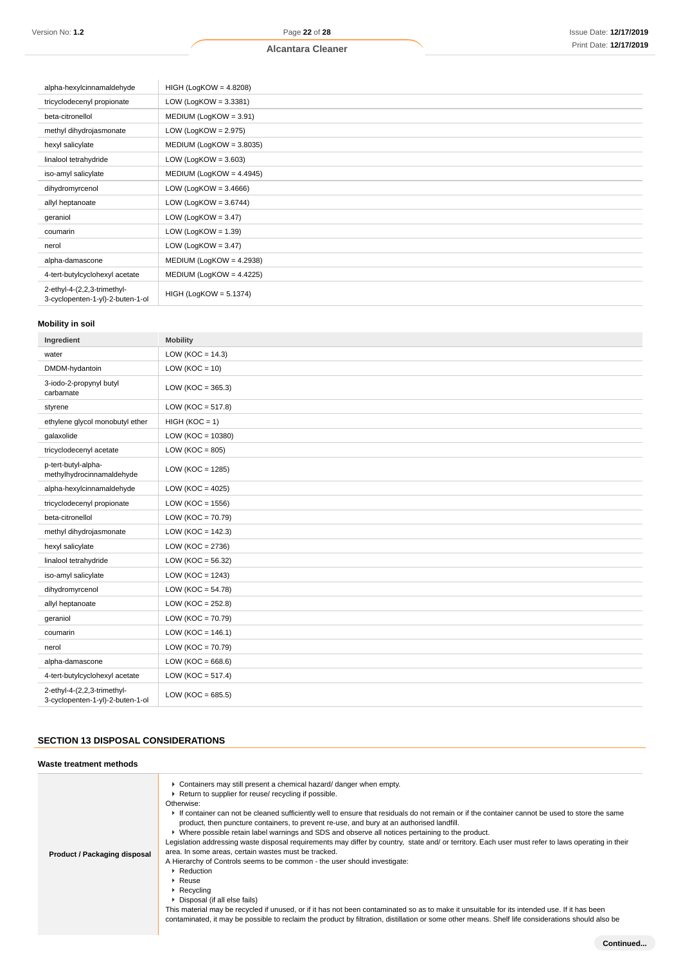| alpha-hexylcinnamaldehyde                                       | $HIGH (LogKOW = 4.8208)$   |
|-----------------------------------------------------------------|----------------------------|
| tricyclodecenyl propionate                                      | LOW (LogKOW = $3.3381$ )   |
| beta-citronellol                                                | $MEDIUM (LogKOW = 3.91)$   |
| methyl dihydrojasmonate                                         | LOW (LogKOW = $2.975$ )    |
| hexyl salicylate                                                | $MEDIUM (LogKOW = 3.8035)$ |
| linalool tetrahydride                                           | LOW (LogKOW = $3.603$ )    |
| iso-amyl salicylate                                             | MEDIUM (LogKOW = 4.4945)   |
| dihydromyrcenol                                                 | LOW (LogKOW = $3.4666$ )   |
| allyl heptanoate                                                | LOW (LogKOW = $3.6744$ )   |
| geraniol                                                        | LOW (LogKOW = $3.47$ )     |
| coumarin                                                        | LOW (LogKOW = $1.39$ )     |
| nerol                                                           | LOW (LogKOW = $3.47$ )     |
| alpha-damascone                                                 | $MEDIUM (LogKOW = 4.2938)$ |
| 4-tert-butylcyclohexyl acetate                                  | $MEDIUM (LogKOW = 4.4225)$ |
| 2-ethyl-4-(2,2,3-trimethyl-<br>3-cyclopenten-1-yl)-2-buten-1-ol | $HIGH (LogKOW = 5.1374)$   |

#### **Mobility in soil**

| Ingredient                                                      | <b>Mobility</b>       |
|-----------------------------------------------------------------|-----------------------|
| water                                                           | LOW ( $KOC = 14.3$ )  |
| DMDM-hydantoin                                                  | LOW ( $KOC = 10$ )    |
| 3-iodo-2-propynyl butyl<br>carbamate                            | LOW ( $KOC = 365.3$ ) |
| styrene                                                         | LOW ( $KOC = 517.8$ ) |
| ethylene glycol monobutyl ether                                 | $HIGH (KOC = 1)$      |
| galaxolide                                                      | LOW ( $KOC = 10380$ ) |
| tricyclodecenyl acetate                                         | LOW ( $KOC = 805$ )   |
| p-tert-butyl-alpha-<br>methylhydrocinnamaldehyde                | LOW ( $KOC = 1285$ )  |
| alpha-hexylcinnamaldehyde                                       | LOW ( $KOC = 4025$ )  |
| tricyclodecenyl propionate                                      | LOW ( $KOC = 1556$ )  |
| beta-citronellol                                                | LOW ( $KOC = 70.79$ ) |
| methyl dihydrojasmonate                                         | LOW ( $KOC = 142.3$ ) |
| hexyl salicylate                                                | LOW ( $KOC = 2736$ )  |
| linalool tetrahydride                                           | LOW ( $KOC = 56.32$ ) |
| iso-amyl salicylate                                             | LOW ( $KOC = 1243$ )  |
| dihydromyrcenol                                                 | LOW ( $KOC = 54.78$ ) |
| allyl heptanoate                                                | LOW ( $KOC = 252.8$ ) |
| geraniol                                                        | LOW ( $KOC = 70.79$ ) |
| coumarin                                                        | LOW ( $KOC = 146.1$ ) |
| nerol                                                           | LOW ( $KOC = 70.79$ ) |
| alpha-damascone                                                 | LOW ( $KOC = 668.6$ ) |
| 4-tert-butylcyclohexyl acetate                                  | $LOW (KOC = 517.4)$   |
| 2-ethyl-4-(2,2,3-trimethyl-<br>3-cyclopenten-1-yl)-2-buten-1-ol | LOW ( $KOC = 685.5$ ) |

# **SECTION 13 DISPOSAL CONSIDERATIONS**

| Waste treatment methods      |                                                                                                                                                                                                                                                                                                                                                                                                                                                                                                                                                                                                                                                                                                                                                                                                                                                                                                                                                                                                                                                                                                                                                                                                          |  |
|------------------------------|----------------------------------------------------------------------------------------------------------------------------------------------------------------------------------------------------------------------------------------------------------------------------------------------------------------------------------------------------------------------------------------------------------------------------------------------------------------------------------------------------------------------------------------------------------------------------------------------------------------------------------------------------------------------------------------------------------------------------------------------------------------------------------------------------------------------------------------------------------------------------------------------------------------------------------------------------------------------------------------------------------------------------------------------------------------------------------------------------------------------------------------------------------------------------------------------------------|--|
| Product / Packaging disposal | ► Containers may still present a chemical hazard/ danger when empty.<br>▶ Return to supplier for reuse/ recycling if possible.<br>Otherwise:<br>If container can not be cleaned sufficiently well to ensure that residuals do not remain or if the container cannot be used to store the same<br>product, then puncture containers, to prevent re-use, and bury at an authorised landfill.<br>► Where possible retain label warnings and SDS and observe all notices pertaining to the product.<br>Legislation addressing waste disposal requirements may differ by country, state and/ or territory. Each user must refer to laws operating in their<br>area. In some areas, certain wastes must be tracked.<br>A Hierarchy of Controls seems to be common - the user should investigate:<br>▶ Reduction<br>$\triangleright$ Reuse<br>$\triangleright$ Recycling<br>▶ Disposal (if all else fails)<br>This material may be recycled if unused, or if it has not been contaminated so as to make it unsuitable for its intended use. If it has been<br>contaminated, it may be possible to reclaim the product by filtration, distillation or some other means. Shelf life considerations should also be |  |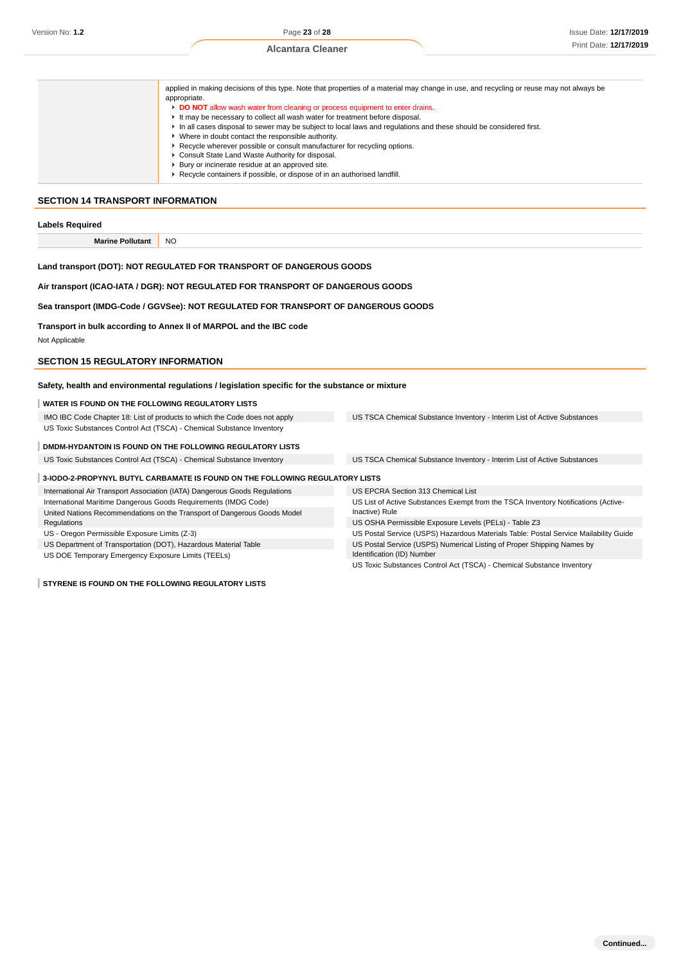|                                                            | applied in making decisions of this type. Note that properties of a material may change in use, and recycling or reuse may not always be<br>appropriate.<br>DO NOT allow wash water from cleaning or process equipment to enter drains.<br>It may be necessary to collect all wash water for treatment before disposal.<br>In all cases disposal to sewer may be subject to local laws and regulations and these should be considered first.<br>• Where in doubt contact the responsible authority.<br>▶ Recycle wherever possible or consult manufacturer for recycling options.<br>Consult State Land Waste Authority for disposal.<br>▶ Bury or incinerate residue at an approved site.<br>▶ Recycle containers if possible, or dispose of in an authorised landfill. |  |
|------------------------------------------------------------|--------------------------------------------------------------------------------------------------------------------------------------------------------------------------------------------------------------------------------------------------------------------------------------------------------------------------------------------------------------------------------------------------------------------------------------------------------------------------------------------------------------------------------------------------------------------------------------------------------------------------------------------------------------------------------------------------------------------------------------------------------------------------|--|
| SECTION 14 TRANSPORT INFORMATION<br><b>Labels Required</b> |                                                                                                                                                                                                                                                                                                                                                                                                                                                                                                                                                                                                                                                                                                                                                                          |  |
| <b>Marine Pollutant</b>                                    | <b>NO</b>                                                                                                                                                                                                                                                                                                                                                                                                                                                                                                                                                                                                                                                                                                                                                                |  |

#### **Land transport (DOT): NOT REGULATED FOR TRANSPORT OF DANGEROUS GOODS**

**Air transport (ICAO-IATA / DGR): NOT REGULATED FOR TRANSPORT OF DANGEROUS GOODS**

**Sea transport (IMDG-Code / GGVSee): NOT REGULATED FOR TRANSPORT OF DANGEROUS GOODS**

**Transport in bulk according to Annex II of MARPOL and the IBC code**

Not Applicable

#### **SECTION 15 REGULATORY INFORMATION**

**Safety, health and environmental regulations / legislation specific for the substance or mixture**

#### **WATER IS FOUND ON THE FOLLOWING REGULATORY LISTS**

IMO IBC Code Chapter 18: List of products to which the Code does not apply US Toxic Substances Control Act (TSCA) - Chemical Substance Inventory

**DMDM-HYDANTOIN IS FOUND ON THE FOLLOWING REGULATORY LISTS**

US Toxic Substances Control Act (TSCA) - Chemical Substance Inventory US TSCA Chemical Substance Inventory - Interim List of Active Substances

US TSCA Chemical Substance Inventory - Interim List of Active Substances

#### **3-IODO-2-PROPYNYL BUTYL CARBAMATE IS FOUND ON THE FOLLOWING REGULATORY LISTS**

International Air Transport Association (IATA) Dangerous Goods Regulations International Maritime Dangerous Goods Requirements (IMDG Code) United Nations Recommendations on the Transport of Dangerous Goods Model Regulations

US - Oregon Permissible Exposure Limits (Z-3)

US Department of Transportation (DOT), Hazardous Material Table

US DOE Temporary Emergency Exposure Limits (TEELs)

**STYRENE IS FOUND ON THE FOLLOWING REGULATORY LISTS**

US EPCRA Section 313 Chemical List

US List of Active Substances Exempt from the TSCA Inventory Notifications (Active-Inactive) Rule

US OSHA Permissible Exposure Levels (PELs) - Table Z3

US Postal Service (USPS) Hazardous Materials Table: Postal Service Mailability Guide US Postal Service (USPS) Numerical Listing of Proper Shipping Names by Identification (ID) Number

US Toxic Substances Control Act (TSCA) - Chemical Substance Inventory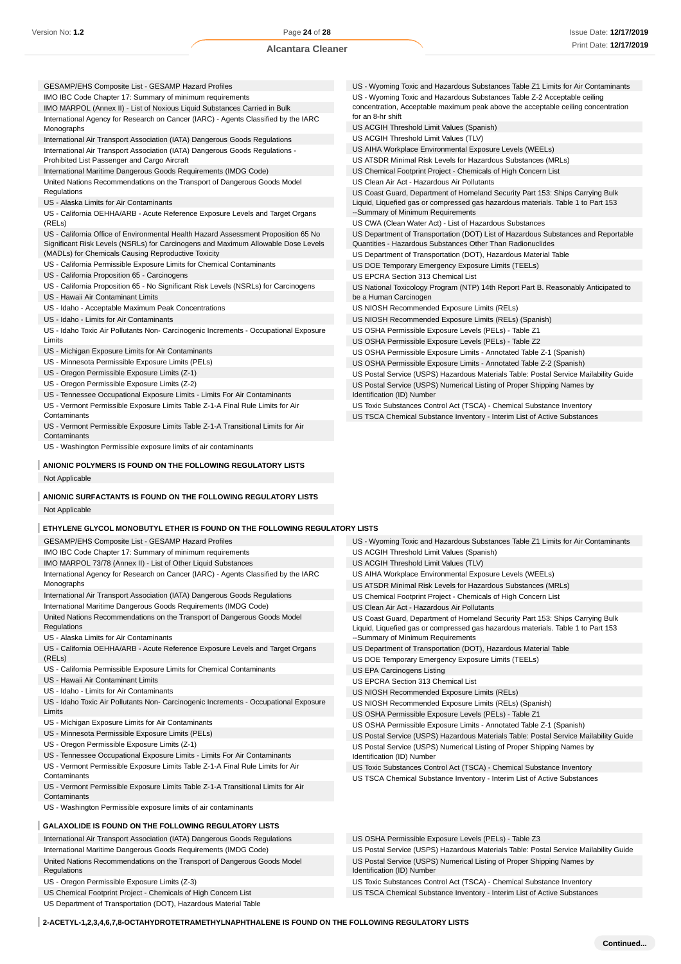- GESAMP/EHS Composite List GESAMP Hazard Profiles
- IMO IBC Code Chapter 17: Summary of minimum requirements
- IMO MARPOL (Annex II) List of Noxious Liquid Substances Carried in Bulk International Agency for Research on Cancer (IARC) - Agents Classified by the IARC Monographs
- International Air Transport Association (IATA) Dangerous Goods Regulations
- International Air Transport Association (IATA) Dangerous Goods Regulations -
- Prohibited List Passenger and Cargo Aircraft
- International Maritime Dangerous Goods Requirements (IMDG Code) United Nations Recommendations on the Transport of Dangerous Goods Model Regulations
- US Alaska Limits for Air Contaminants
- US California OEHHA/ARB Acute Reference Exposure Levels and Target Organs  $(RFIs)$
- US California Office of Environmental Health Hazard Assessment Proposition 65 No Significant Risk Levels (NSRLs) for Carcinogens and Maximum Allowable Dose Levels (MADLs) for Chemicals Causing Reproductive Toxicity
- US California Permissible Exposure Limits for Chemical Contaminants
- US California Proposition 65 Carcinogens
- US California Proposition 65 No Significant Risk Levels (NSRLs) for Carcinogens
- US Hawaii Air Contaminant Limits
- US Idaho Acceptable Maximum Peak Concentrations
- US Idaho Limits for Air Contaminants
- US Idaho Toxic Air Pollutants Non- Carcinogenic Increments Occupational Exposure Limits
- US Michigan Exposure Limits for Air Contaminants
- US Minnesota Permissible Exposure Limits (PELs)
- US Oregon Permissible Exposure Limits (Z-1)
- US Oregon Permissible Exposure Limits (Z-2)
- US Tennessee Occupational Exposure Limits Limits For Air Contaminants
- US Vermont Permissible Exposure Limits Table Z-1-A Final Rule Limits for Air **Contaminants**
- US Vermont Permissible Exposure Limits Table Z-1-A Transitional Limits for Air **Contaminants**
- US Washington Permissible exposure limits of air contaminants
- **ANIONIC POLYMERS IS FOUND ON THE FOLLOWING REGULATORY LISTS** Not Applicable

#### **ANIONIC SURFACTANTS IS FOUND ON THE FOLLOWING REGULATORY LISTS** Not Applicable

#### **ETHYLENE GLYCOL MONOBUTYL ETHER IS FOUND ON THE FOLLOWING REGULATORY LISTS**

GESAMP/EHS Composite List - GESAMP Hazard Profiles

- IMO IBC Code Chapter 17: Summary of minimum requirements
- IMO MARPOL 73/78 (Annex II) List of Other Liquid Substances
- International Agency for Research on Cancer (IARC) Agents Classified by the IARC Monographs
- International Air Transport Association (IATA) Dangerous Goods Regulations
- International Maritime Dangerous Goods Requirements (IMDG Code)
- United Nations Recommendations on the Transport of Dangerous Goods Model
- Regulations
- US Alaska Limits for Air Contaminants
- US California OEHHA/ARB Acute Reference Exposure Levels and Target Organs (RELs)
- US California Permissible Exposure Limits for Chemical Contaminants
- US Hawaii Air Contaminant Limits
- US Idaho Limits for Air Contaminants

US - Idaho Toxic Air Pollutants Non- Carcinogenic Increments - Occupational Exposure Limits

- US Michigan Exposure Limits for Air Contaminants
- US Minnesota Permissible Exposure Limits (PELs)
- US Oregon Permissible Exposure Limits (Z-1)
- US Tennessee Occupational Exposure Limits Limits For Air Contaminants
- US Vermont Permissible Exposure Limits Table Z-1-A Final Rule Limits for Air Contaminants
- US Vermont Permissible Exposure Limits Table Z-1-A Transitional Limits for Air **Contaminants**
- US Washington Permissible exposure limits of air contaminants

#### **GALAXOLIDE IS FOUND ON THE FOLLOWING REGULATORY LISTS**

International Air Transport Association (IATA) Dangerous Goods Regulations International Maritime Dangerous Goods Requirements (IMDG Code) United Nations Recommendations on the Transport of Dangerous Goods Model Regulations

- US Oregon Permissible Exposure Limits (Z-3)
- US Chemical Footprint Project Chemicals of High Concern List
- US Department of Transportation (DOT), Hazardous Material Table
- US Wyoming Toxic and Hazardous Substances Table Z1 Limits for Air Contaminants US - Wyoming Toxic and Hazardous Substances Table Z-2 Acceptable ceiling concentration, Acceptable maximum peak above the acceptable ceiling concentration for an 8-hr shift US ACGIH Threshold Limit Values (Spanish) US ACGIH Threshold Limit Values (TLV) US AIHA Workplace Environmental Exposure Levels (WEELs) US ATSDR Minimal Risk Levels for Hazardous Substances (MRLs) US Chemical Footprint Project - Chemicals of High Concern List US Clean Air Act - Hazardous Air Pollutants US Coast Guard, Department of Homeland Security Part 153: Ships Carrying Bulk Liquid, Liquefied gas or compressed gas hazardous materials. Table 1 to Part 153 --Summary of Minimum Requirements US CWA (Clean Water Act) - List of Hazardous Substances US Department of Transportation (DOT) List of Hazardous Substances and Reportable Quantities - Hazardous Substances Other Than Radionuclides US Department of Transportation (DOT), Hazardous Material Table US DOE Temporary Emergency Exposure Limits (TEELs) US EPCRA Section 313 Chemical List US National Toxicology Program (NTP) 14th Report Part B. Reasonably Anticipated to be a Human Carcinogen US NIOSH Recommended Exposure Limits (RELs) US NIOSH Recommended Exposure Limits (RELs) (Spanish) US OSHA Permissible Exposure Levels (PELs) - Table Z1 US OSHA Permissible Exposure Levels (PELs) - Table Z2 US OSHA Permissible Exposure Limits - Annotated Table Z-1 (Spanish) US OSHA Permissible Exposure Limits - Annotated Table Z-2 (Spanish) US Postal Service (USPS) Hazardous Materials Table: Postal Service Mailability Guide US Postal Service (USPS) Numerical Listing of Proper Shipping Names by
- Identification (ID) Number US Toxic Substances Control Act (TSCA) - Chemical Substance Inventory
- US TSCA Chemical Substance Inventory Interim List of Active Substances
- US Wyoming Toxic and Hazardous Substances Table Z1 Limits for Air Contaminants US ACGIH Threshold Limit Values (Spanish) US ACGIH Threshold Limit Values (TLV) US AIHA Workplace Environmental Exposure Levels (WEELs) US ATSDR Minimal Risk Levels for Hazardous Substances (MRLs) US Chemical Footprint Project - Chemicals of High Concern List US Clean Air Act - Hazardous Air Pollutants US Coast Guard, Department of Homeland Security Part 153: Ships Carrying Bulk Liquid, Liquefied gas or compressed gas hazardous materials. Table 1 to Part 153 --Summary of Minimum Requirements US Department of Transportation (DOT), Hazardous Material Table US DOE Temporary Emergency Exposure Limits (TEELs) US EPA Carcinogens Listing US EPCRA Section 313 Chemical List US NIOSH Recommended Exposure Limits (RELs) US NIOSH Recommended Exposure Limits (RELs) (Spanish) US OSHA Permissible Exposure Levels (PELs) - Table Z1 US OSHA Permissible Exposure Limits - Annotated Table Z-1 (Spanish) US Postal Service (USPS) Hazardous Materials Table: Postal Service Mailability Guide US Postal Service (USPS) Numerical Listing of Proper Shipping Names by Identification (ID) Number US Toxic Substances Control Act (TSCA) - Chemical Substance Inventory US TSCA Chemical Substance Inventory - Interim List of Active Substances
- US OSHA Permissible Exposure Levels (PELs) Table Z3
- US Postal Service (USPS) Hazardous Materials Table: Postal Service Mailability Guide US Postal Service (USPS) Numerical Listing of Proper Shipping Names by
- Identification (ID) Number US Toxic Substances Control Act (TSCA) - Chemical Substance Inventory
- US TSCA Chemical Substance Inventory Interim List of Active Substances
- **2-ACETYL-1,2,3,4,6,7,8-OCTAHYDROTETRAMETHYLNAPHTHALENE IS FOUND ON THE FOLLOWING REGULATORY LISTS**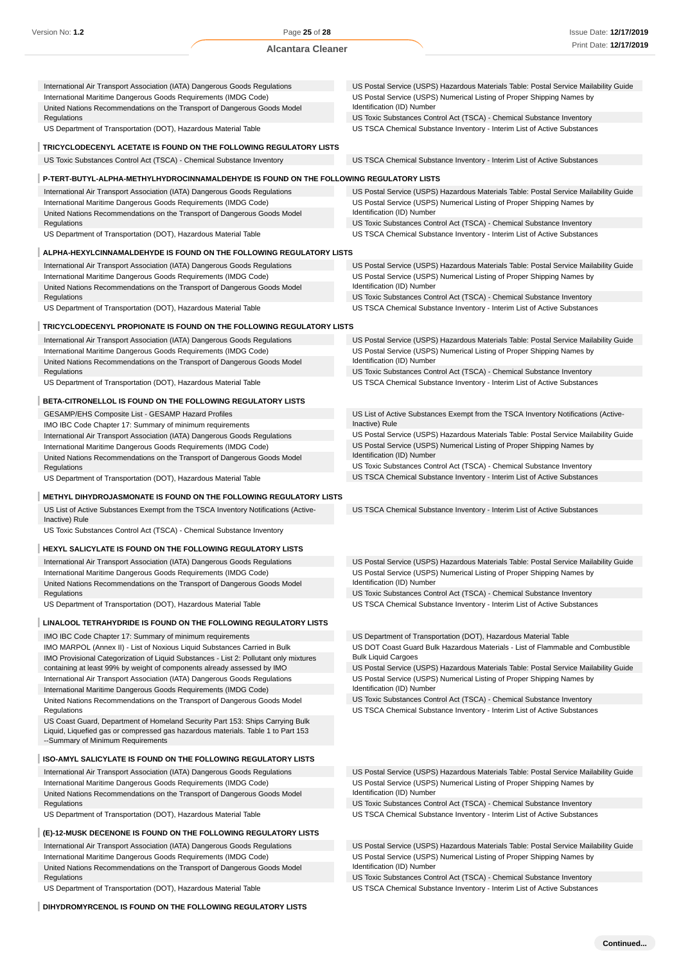| International Air Transport Association (IATA) Dangerous Goods Regulations                                                                                                                             | US Postal Service (USPS) Hazardous Materials Table: Postal Service Mailability Guide                                                               |
|--------------------------------------------------------------------------------------------------------------------------------------------------------------------------------------------------------|----------------------------------------------------------------------------------------------------------------------------------------------------|
| International Maritime Dangerous Goods Requirements (IMDG Code)<br>United Nations Recommendations on the Transport of Dangerous Goods Model                                                            | US Postal Service (USPS) Numerical Listing of Proper Shipping Names by<br>Identification (ID) Number                                               |
| Regulations                                                                                                                                                                                            | US Toxic Substances Control Act (TSCA) - Chemical Substance Inventory                                                                              |
| US Department of Transportation (DOT), Hazardous Material Table                                                                                                                                        | US TSCA Chemical Substance Inventory - Interim List of Active Substances                                                                           |
| TRICYCLODECENYL ACETATE IS FOUND ON THE FOLLOWING REGULATORY LISTS                                                                                                                                     |                                                                                                                                                    |
| US Toxic Substances Control Act (TSCA) - Chemical Substance Inventory                                                                                                                                  | US TSCA Chemical Substance Inventory - Interim List of Active Substances                                                                           |
| P-TERT-BUTYL-ALPHA-METHYLHYDROCINNAMALDEHYDE IS FOUND ON THE FOLLOWING REGULATORY LISTS                                                                                                                |                                                                                                                                                    |
| International Air Transport Association (IATA) Dangerous Goods Regulations                                                                                                                             | US Postal Service (USPS) Hazardous Materials Table: Postal Service Mailability Guide                                                               |
| International Maritime Dangerous Goods Requirements (IMDG Code)                                                                                                                                        | US Postal Service (USPS) Numerical Listing of Proper Shipping Names by                                                                             |
| United Nations Recommendations on the Transport of Dangerous Goods Model                                                                                                                               | Identification (ID) Number                                                                                                                         |
| Regulations<br>US Department of Transportation (DOT), Hazardous Material Table                                                                                                                         | US Toxic Substances Control Act (TSCA) - Chemical Substance Inventory<br>US TSCA Chemical Substance Inventory - Interim List of Active Substances  |
|                                                                                                                                                                                                        |                                                                                                                                                    |
| ALPHA-HEXYLCINNAMALDEHYDE IS FOUND ON THE FOLLOWING REGULATORY LISTS<br>International Air Transport Association (IATA) Dangerous Goods Regulations                                                     | US Postal Service (USPS) Hazardous Materials Table: Postal Service Mailability Guide                                                               |
| International Maritime Dangerous Goods Requirements (IMDG Code)                                                                                                                                        | US Postal Service (USPS) Numerical Listing of Proper Shipping Names by                                                                             |
| United Nations Recommendations on the Transport of Dangerous Goods Model                                                                                                                               | Identification (ID) Number                                                                                                                         |
| Regulations                                                                                                                                                                                            | US Toxic Substances Control Act (TSCA) - Chemical Substance Inventory                                                                              |
| US Department of Transportation (DOT), Hazardous Material Table                                                                                                                                        | US TSCA Chemical Substance Inventory - Interim List of Active Substances                                                                           |
| TRICYCLODECENYL PROPIONATE IS FOUND ON THE FOLLOWING REGULATORY LISTS                                                                                                                                  |                                                                                                                                                    |
| International Air Transport Association (IATA) Dangerous Goods Regulations                                                                                                                             | US Postal Service (USPS) Hazardous Materials Table: Postal Service Mailability Guide                                                               |
| International Maritime Dangerous Goods Requirements (IMDG Code)                                                                                                                                        | US Postal Service (USPS) Numerical Listing of Proper Shipping Names by                                                                             |
| United Nations Recommendations on the Transport of Dangerous Goods Model                                                                                                                               | Identification (ID) Number                                                                                                                         |
| Regulations                                                                                                                                                                                            | US Toxic Substances Control Act (TSCA) - Chemical Substance Inventory                                                                              |
| US Department of Transportation (DOT), Hazardous Material Table                                                                                                                                        | US TSCA Chemical Substance Inventory - Interim List of Active Substances                                                                           |
| BETA-CITRONELLOL IS FOUND ON THE FOLLOWING REGULATORY LISTS                                                                                                                                            |                                                                                                                                                    |
| GESAMP/EHS Composite List - GESAMP Hazard Profiles                                                                                                                                                     | US List of Active Substances Exempt from the TSCA Inventory Notifications (Active-<br>Inactive) Rule                                               |
| IMO IBC Code Chapter 17: Summary of minimum requirements<br>International Air Transport Association (IATA) Dangerous Goods Regulations                                                                 | US Postal Service (USPS) Hazardous Materials Table: Postal Service Mailability Guide                                                               |
| International Maritime Dangerous Goods Requirements (IMDG Code)                                                                                                                                        | US Postal Service (USPS) Numerical Listing of Proper Shipping Names by                                                                             |
| United Nations Recommendations on the Transport of Dangerous Goods Model                                                                                                                               | Identification (ID) Number                                                                                                                         |
| Regulations                                                                                                                                                                                            | US Toxic Substances Control Act (TSCA) - Chemical Substance Inventory                                                                              |
| US Department of Transportation (DOT), Hazardous Material Table                                                                                                                                        | US TSCA Chemical Substance Inventory - Interim List of Active Substances                                                                           |
| <b>METHYL DIHYDROJASMONATE IS FOUND ON THE FOLLOWING REGULATORY LISTS</b>                                                                                                                              |                                                                                                                                                    |
| US List of Active Substances Exempt from the TSCA Inventory Notifications (Active-<br>Inactive) Rule                                                                                                   | US TSCA Chemical Substance Inventory - Interim List of Active Substances                                                                           |
| US Toxic Substances Control Act (TSCA) - Chemical Substance Inventory                                                                                                                                  |                                                                                                                                                    |
| HEXYL SALICYLATE IS FOUND ON THE FOLLOWING REGULATORY LISTS                                                                                                                                            |                                                                                                                                                    |
| International Air Transport Association (IATA) Dangerous Goods Regulations                                                                                                                             | US Postal Service (USPS) Hazardous Materials Table: Postal Service Mailability Guide                                                               |
| International Maritime Dangerous Goods Requirements (IMDG Code)                                                                                                                                        | US Postal Service (USPS) Numerical Listing of Proper Shipping Names by                                                                             |
| United Nations Recommendations on the Transport of Dangerous Goods Model                                                                                                                               | Identification (ID) Number                                                                                                                         |
| Regulations<br>US Department of Transportation (DOT), Hazardous Material Table                                                                                                                         | US Toxic Substances Control Act (TSCA) - Chemical Substance Inventory<br>US TSCA Chemical Substance Inventory - Interim List of Active Substances  |
|                                                                                                                                                                                                        |                                                                                                                                                    |
| LINALOOL TETRAHYDRIDE IS FOUND ON THE FOLLOWING REGULATORY LISTS<br>IMO IBC Code Chapter 17: Summary of minimum requirements                                                                           |                                                                                                                                                    |
| IMO MARPOL (Annex II) - List of Noxious Liquid Substances Carried in Bulk                                                                                                                              | US Department of Transportation (DOT), Hazardous Material Table<br>US DOT Coast Guard Bulk Hazardous Materials - List of Flammable and Combustible |
| IMO Provisional Categorization of Liquid Substances - List 2: Pollutant only mixtures                                                                                                                  | <b>Bulk Liquid Cargoes</b>                                                                                                                         |
| containing at least 99% by weight of components already assessed by IMO                                                                                                                                | US Postal Service (USPS) Hazardous Materials Table: Postal Service Mailability Guide                                                               |
| International Air Transport Association (IATA) Dangerous Goods Regulations                                                                                                                             | US Postal Service (USPS) Numerical Listing of Proper Shipping Names by                                                                             |
| International Maritime Dangerous Goods Requirements (IMDG Code)                                                                                                                                        | Identification (ID) Number                                                                                                                         |
| United Nations Recommendations on the Transport of Dangerous Goods Model                                                                                                                               | US Toxic Substances Control Act (TSCA) - Chemical Substance Inventory                                                                              |
| Regulations                                                                                                                                                                                            | US TSCA Chemical Substance Inventory - Interim List of Active Substances                                                                           |
| US Coast Guard, Department of Homeland Security Part 153: Ships Carrying Bulk<br>Liquid, Liquefied gas or compressed gas hazardous materials. Table 1 to Part 153<br>--Summary of Minimum Requirements |                                                                                                                                                    |
| ISO-AMYL SALICYLATE IS FOUND ON THE FOLLOWING REGULATORY LISTS                                                                                                                                         |                                                                                                                                                    |
|                                                                                                                                                                                                        | US Postal Service (USPS) Hazardous Materials Table: Postal Service Mailability Guide                                                               |
| International Air Transport Association (IATA) Dangerous Goods Regulations                                                                                                                             |                                                                                                                                                    |
| International Maritime Dangerous Goods Requirements (IMDG Code)                                                                                                                                        | US Postal Service (USPS) Numerical Listing of Proper Shipping Names by                                                                             |
| United Nations Recommendations on the Transport of Dangerous Goods Model                                                                                                                               | Identification (ID) Number                                                                                                                         |
| Regulations<br>US Department of Transportation (DOT), Hazardous Material Table                                                                                                                         | US Toxic Substances Control Act (TSCA) - Chemical Substance Inventory<br>US TSCA Chemical Substance Inventory - Interim List of Active Substances  |

International Air Transport Association (IATA) Dangerous Goods Regulations International Maritime Dangerous Goods Requirements (IMDG Code) United Nations Recommendations on the Transport of Dangerous Goods Model

Regulations

US Department of Transportation (DOT), Hazardous Material Table

**DIHYDROMYRCENOL IS FOUND ON THE FOLLOWING REGULATORY LISTS**

Identification (ID) Number US Toxic Substances Control Act (TSCA) - Chemical Substance Inventory

US Postal Service (USPS) Numerical Listing of Proper Shipping Names by

US Postal Service (USPS) Hazardous Materials Table: Postal Service Mailability Guide

US TSCA Chemical Substance Inventory - Interim List of Active Substances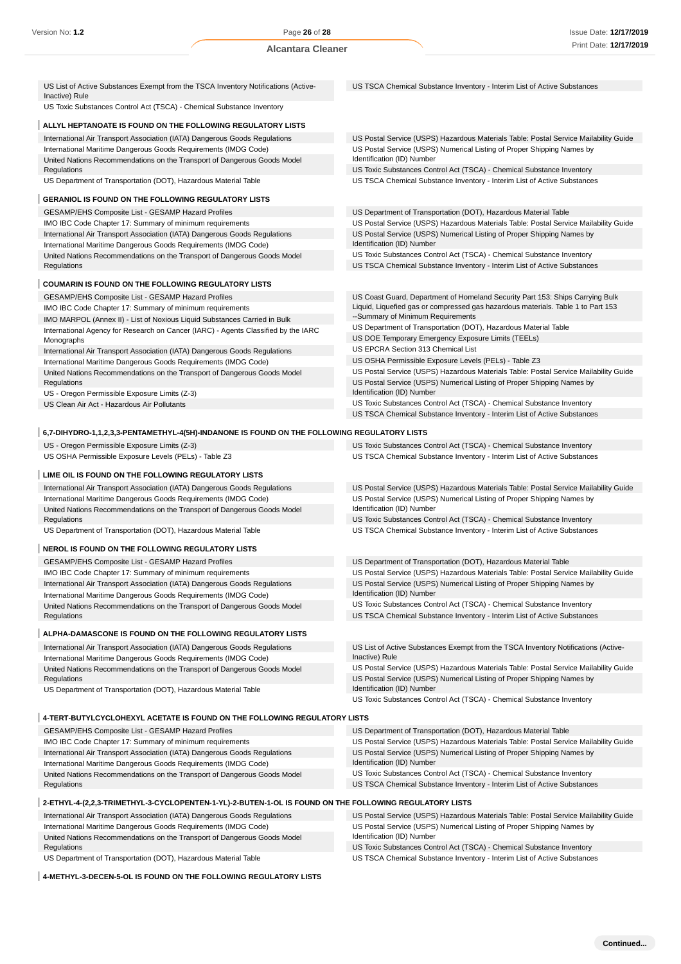| US List of Active Substances Exempt from the TSCA Inventory Notifications (Active-                                                            | US TSCA Chemical Substance Inventory - Interim List of Active Substances                                                                                       |
|-----------------------------------------------------------------------------------------------------------------------------------------------|----------------------------------------------------------------------------------------------------------------------------------------------------------------|
| Inactive) Rule<br>US Toxic Substances Control Act (TSCA) - Chemical Substance Inventory                                                       |                                                                                                                                                                |
| ALLYL HEPTANOATE IS FOUND ON THE FOLLOWING REGULATORY LISTS                                                                                   |                                                                                                                                                                |
| International Air Transport Association (IATA) Dangerous Goods Regulations                                                                    | US Postal Service (USPS) Hazardous Materials Table: Postal Service Mailability Guide                                                                           |
| International Maritime Dangerous Goods Requirements (IMDG Code)                                                                               | US Postal Service (USPS) Numerical Listing of Proper Shipping Names by                                                                                         |
| United Nations Recommendations on the Transport of Dangerous Goods Model<br>Regulations                                                       | Identification (ID) Number<br>US Toxic Substances Control Act (TSCA) - Chemical Substance Inventory                                                            |
| US Department of Transportation (DOT), Hazardous Material Table                                                                               | US TSCA Chemical Substance Inventory - Interim List of Active Substances                                                                                       |
| <b>GERANIOL IS FOUND ON THE FOLLOWING REGULATORY LISTS</b>                                                                                    |                                                                                                                                                                |
| GESAMP/EHS Composite List - GESAMP Hazard Profiles                                                                                            | US Department of Transportation (DOT), Hazardous Material Table                                                                                                |
| IMO IBC Code Chapter 17: Summary of minimum requirements                                                                                      | US Postal Service (USPS) Hazardous Materials Table: Postal Service Mailability Guide                                                                           |
| International Air Transport Association (IATA) Dangerous Goods Regulations<br>International Maritime Dangerous Goods Requirements (IMDG Code) | US Postal Service (USPS) Numerical Listing of Proper Shipping Names by<br>Identification (ID) Number                                                           |
| United Nations Recommendations on the Transport of Dangerous Goods Model                                                                      | US Toxic Substances Control Act (TSCA) - Chemical Substance Inventory                                                                                          |
| Regulations                                                                                                                                   | US TSCA Chemical Substance Inventory - Interim List of Active Substances                                                                                       |
| <b>COUMARIN IS FOUND ON THE FOLLOWING REGULATORY LISTS</b>                                                                                    |                                                                                                                                                                |
| <b>GESAMP/EHS Composite List - GESAMP Hazard Profiles</b>                                                                                     | US Coast Guard, Department of Homeland Security Part 153: Ships Carrying Bulk                                                                                  |
| IMO IBC Code Chapter 17: Summary of minimum requirements                                                                                      | Liquid, Liquefied gas or compressed gas hazardous materials. Table 1 to Part 153                                                                               |
| IMO MARPOL (Annex II) - List of Noxious Liquid Substances Carried in Bulk                                                                     | --Summary of Minimum Requirements                                                                                                                              |
| International Agency for Research on Cancer (IARC) - Agents Classified by the IARC                                                            | US Department of Transportation (DOT), Hazardous Material Table<br>US DOE Temporary Emergency Exposure Limits (TEELs)                                          |
| Monographs<br>International Air Transport Association (IATA) Dangerous Goods Regulations                                                      | US EPCRA Section 313 Chemical List                                                                                                                             |
| International Maritime Dangerous Goods Requirements (IMDG Code)                                                                               | US OSHA Permissible Exposure Levels (PELs) - Table Z3                                                                                                          |
| United Nations Recommendations on the Transport of Dangerous Goods Model                                                                      | US Postal Service (USPS) Hazardous Materials Table: Postal Service Mailability Guide                                                                           |
| Regulations                                                                                                                                   | US Postal Service (USPS) Numerical Listing of Proper Shipping Names by                                                                                         |
| US - Oregon Permissible Exposure Limits (Z-3)<br>US Clean Air Act - Hazardous Air Pollutants                                                  | Identification (ID) Number<br>US Toxic Substances Control Act (TSCA) - Chemical Substance Inventory                                                            |
|                                                                                                                                               | US TSCA Chemical Substance Inventory - Interim List of Active Substances                                                                                       |
|                                                                                                                                               |                                                                                                                                                                |
| 6,7-DIHYDRO-1,1,2,3,3-PENTAMETHYL-4(5H)-INDANONE IS FOUND ON THE FOLLOWING REGULATORY LISTS<br>US - Oregon Permissible Exposure Limits (Z-3)  |                                                                                                                                                                |
| US OSHA Permissible Exposure Levels (PELs) - Table Z3                                                                                         | US Toxic Substances Control Act (TSCA) - Chemical Substance Inventory<br>US TSCA Chemical Substance Inventory - Interim List of Active Substances              |
|                                                                                                                                               |                                                                                                                                                                |
| LIME OIL IS FOUND ON THE FOLLOWING REGULATORY LISTS                                                                                           |                                                                                                                                                                |
| International Air Transport Association (IATA) Dangerous Goods Regulations                                                                    | US Postal Service (USPS) Hazardous Materials Table: Postal Service Mailability Guide                                                                           |
| International Maritime Dangerous Goods Requirements (IMDG Code)<br>United Nations Recommendations on the Transport of Dangerous Goods Model   | US Postal Service (USPS) Numerical Listing of Proper Shipping Names by<br>Identification (ID) Number                                                           |
| Regulations                                                                                                                                   | US Toxic Substances Control Act (TSCA) - Chemical Substance Inventory                                                                                          |
| US Department of Transportation (DOT), Hazardous Material Table                                                                               | US TSCA Chemical Substance Inventory - Interim List of Active Substances                                                                                       |
| NEROL IS FOUND ON THE FOLLOWING REGULATORY LISTS                                                                                              |                                                                                                                                                                |
| GESAMP/EHS Composite List - GESAMP Hazard Profiles                                                                                            | US Department of Transportation (DOT), Hazardous Material Table                                                                                                |
| IMO IBC Code Chapter 17: Summary of minimum requirements                                                                                      | US Postal Service (USPS) Hazardous Materials Table: Postal Service Mailability Guide                                                                           |
| International Air Transport Association (IATA) Dangerous Goods Regulations                                                                    | US Postal Service (USPS) Numerical Listing of Proper Shipping Names by                                                                                         |
| International Maritime Dangerous Goods Requirements (IMDG Code)                                                                               | Identification (ID) Number<br>US Toxic Substances Control Act (TSCA) - Chemical Substance Inventory                                                            |
| United Nations Recommendations on the Transport of Dangerous Goods Model<br>Regulations                                                       | US TSCA Chemical Substance Inventory - Interim List of Active Substances                                                                                       |
|                                                                                                                                               |                                                                                                                                                                |
| ALPHA-DAMASCONE IS FOUND ON THE FOLLOWING REGULATORY LISTS                                                                                    |                                                                                                                                                                |
| International Air Transport Association (IATA) Dangerous Goods Regulations<br>International Maritime Dangerous Goods Requirements (IMDG Code) | US List of Active Substances Exempt from the TSCA Inventory Notifications (Active-<br>Inactive) Rule                                                           |
| United Nations Recommendations on the Transport of Dangerous Goods Model                                                                      | US Postal Service (USPS) Hazardous Materials Table: Postal Service Mailability Guide                                                                           |
| Regulations                                                                                                                                   | US Postal Service (USPS) Numerical Listing of Proper Shipping Names by                                                                                         |
| US Department of Transportation (DOT), Hazardous Material Table                                                                               | Identification (ID) Number<br>US Toxic Substances Control Act (TSCA) - Chemical Substance Inventory                                                            |
|                                                                                                                                               |                                                                                                                                                                |
| 4-TERT-BUTYLCYCLOHEXYL ACETATE IS FOUND ON THE FOLLOWING REGULATORY LISTS                                                                     |                                                                                                                                                                |
| GESAMP/EHS Composite List - GESAMP Hazard Profiles                                                                                            | US Department of Transportation (DOT), Hazardous Material Table                                                                                                |
| IMO IBC Code Chapter 17: Summary of minimum requirements<br>International Air Transport Association (IATA) Dangerous Goods Regulations        | US Postal Service (USPS) Hazardous Materials Table: Postal Service Mailability Guide<br>US Postal Service (USPS) Numerical Listing of Proper Shipping Names by |
| International Maritime Dangerous Goods Requirements (IMDG Code)                                                                               | Identification (ID) Number                                                                                                                                     |
| United Nations Recommendations on the Transport of Dangerous Goods Model                                                                      | US Toxic Substances Control Act (TSCA) - Chemical Substance Inventory                                                                                          |
| Regulations                                                                                                                                   | US TSCA Chemical Substance Inventory - Interim List of Active Substances                                                                                       |
| 2-ETHYL-4-(2,2,3-TRIMETHYL-3-CYCLOPENTEN-1-YL)-2-BUTEN-1-OL IS FOUND ON THE FOLLOWING REGULATORY LISTS                                        |                                                                                                                                                                |
| International Air Transport Association (IATA) Dangerous Goods Regulations                                                                    | US Postal Service (USPS) Hazardous Materials Table: Postal Service Mailability Guide                                                                           |
| International Maritime Dangerous Goods Requirements (IMDG Code)                                                                               | US Postal Service (USPS) Numerical Listing of Proper Shipping Names by                                                                                         |
| United Nations Recommendations on the Transport of Dangerous Goods Model                                                                      | Identification (ID) Number                                                                                                                                     |
| Regulations                                                                                                                                   | US Toxic Substances Control Act (TSCA) - Chemical Substance Inventory                                                                                          |
| US Department of Transportation (DOT), Hazardous Material Table                                                                               | US TSCA Chemical Substance Inventory - Interim List of Active Substances                                                                                       |

**4-METHYL-3-DECEN-5-OL IS FOUND ON THE FOLLOWING REGULATORY LISTS**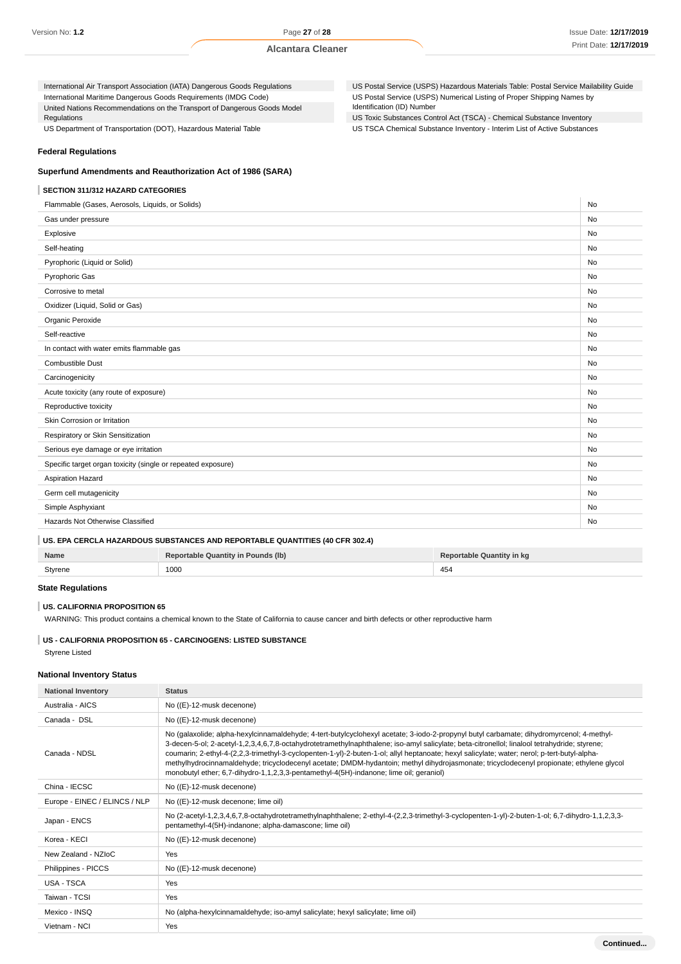International Air Transport Association (IATA) Dangerous Goods Regulations International Maritime Dangerous Goods Requirements (IMDG Code) United Nations Recommendations on the Transport of Dangerous Goods Model Regulations

US Department of Transportation (DOT), Hazardous Material Table

US Postal Service (USPS) Hazardous Materials Table: Postal Service Mailability Guide US Postal Service (USPS) Numerical Listing of Proper Shipping Names by Identification (ID) Number

US Toxic Substances Control Act (TSCA) - Chemical Substance Inventory

US TSCA Chemical Substance Inventory - Interim List of Active Substances

#### **Federal Regulations**

# **Superfund Amendments and Reauthorization Act of 1986 (SARA)**

#### **SECTION 311/312 HAZARD CATEGORIES**

Flammable (Gases, Aerosols, Liquids, or Solids) No was a statement of the statement of the statement of the statement of the No No Gas under pressure **No. 2006** No. 2006 No. 2006 No. 2006 No. 2006 No. 2006 No. 2006 No. 2006 No. 2006 No. 2006 No Explosive No Self-heating No Pyrophoric (Liquid or Solid) No Pyrophoric Gas No. 2006. In the set of the set of the set of the set of the set of the set of the set of the set of the set of the set of the set of the set of the set of the set of the set of the set of the set of the set Corrosive to metal No contract the contract of the contract of the contract of the contract of the contract of  $\sim$  No contract of the contract of the contract of the contract of the contract of the contract of the contrac Oxidizer (Liquid, Solid or Gas) No Organic Peroxide No. 2006 No. 2007 No. 2008 No. 2008 No. 2008 No. 2008 No. 2008 No. 2008 No. 2009 No. 2008 No. 2009 No. 2009 No. 2009 No. 2009 No. 2009 No. 2009 No. 2009 No. 2009 No. 2009 No. 2009 No. 2009 No. 2009 No. 200 Self-reactive No. No. 2006. In the self-reactive No. 2006. In the self-reactive No. 2006. In the Self-reactive In contact with water emits flammable gas Combustible Dust No contract the United States of the United States of No. No contract the No contract of No Contract in No Contract of No Contract in No Contract in No Contract in No Contract in No Contract in No Contract Carcinogenicity No Acute toxicity (any route of exposure) No contract the state of exposure of exposure of exposure of exposure of  $\sim$  No contract to  $\sim$  No contract to  $\sim$  No contract to  $\sim$  No contract to  $\sim$  No contract to  $\sim$  No co Reproductive toxicity No. No. 2012 19:30 No. 2012 19:30:40 No. 2012 19:30:40 No. 2012 19:30:40 No. 2013 19:30:40 No. 2013 19:30:40 No. 2014 19:30:40 No. 2014 19:30:40 No. 2014 19:30:40 No. 2014 19:30:40 No. 2014 19:30:40 N Skin Corrosion or Irritation No Respiratory or Skin Sensitization No. No. 2012 12:30 No. 2012 12:30 No. 2012 12:30 No. 2012 12:30 No. 2013 No. 2013 Serious eye damage or eye irritation No was a series of the series of the series of the series of the series of the series of the series of the series of the series of the series of the series of the series of the series o Specific target organ toxicity (single or repeated exposure) No new state of the state of the state of the state of the state of the state of the state of the state of the state of the state of the state of the state of th Aspiration Hazard No Contract the Contract of the Contract of the Contract of the Contract of No Contract of No Germ cell mutagenicity No. No. 2012 12:00:00 No. 2012 12:00:00 No. 2012 12:00:00 No. 2012 12:00:00 No. 2012 12:00:00 No. 2012 12:00:00 No. 2012 12:00:00 No. 2012 12:00:00 No. 2012 12:00:00 No. 2012 12:00:00 No. 2012 12:00: Simple Asphyxiant No Changes and Simple Asphyxiant No Changes and Simple Asphyxiant No Changes and No Changes and No Changes and No Changes and No Changes and No Changes and No Changes and No Changes and No Changes and No Hazards Not Otherwise Classified No

#### **US. EPA CERCLA HAZARDOUS SUBSTANCES AND REPORTABLE QUANTITIES (40 CFR 302.4)**

| Name    | Reportable Quantity in Pounds (lb) | Reportable Quantity in kg |
|---------|------------------------------------|---------------------------|
| Styrene | 1000                               | 454                       |

#### **State Regulations**

#### **US. CALIFORNIA PROPOSITION 65**

WARNING: This product contains a chemical known to the State of California to cause cancer and birth defects or other reproductive harm

#### **US - CALIFORNIA PROPOSITION 65 - CARCINOGENS: LISTED SUBSTANCE** Styrene Listed

#### **National Inventory Status**

| <b>National Inventory</b>     | <b>Status</b>                                                                                                                                                                                                                                                                                                                                                                                                                                                                                                                                                                                                                                                                  |  |  |
|-------------------------------|--------------------------------------------------------------------------------------------------------------------------------------------------------------------------------------------------------------------------------------------------------------------------------------------------------------------------------------------------------------------------------------------------------------------------------------------------------------------------------------------------------------------------------------------------------------------------------------------------------------------------------------------------------------------------------|--|--|
| Australia - AICS              | No ((E)-12-musk decenone)                                                                                                                                                                                                                                                                                                                                                                                                                                                                                                                                                                                                                                                      |  |  |
| Canada - DSL                  | No ((E)-12-musk decenone)                                                                                                                                                                                                                                                                                                                                                                                                                                                                                                                                                                                                                                                      |  |  |
| Canada - NDSL                 | No (galaxolide; alpha-hexylcinnamaldehyde; 4-tert-butylcyclohexyl acetate; 3-iodo-2-propynyl butyl carbamate; dihydromyrcenol; 4-methyl-<br>3-decen-5-ol; 2-acetyl-1,2,3,4,6,7,8-octahydrotetramethylnaphthalene; iso-amyl salicylate; beta-citronellol; linalool tetrahydride; styrene;<br>coumarin; 2-ethyl-4-(2,2,3-trimethyl-3-cyclopenten-1-yl)-2-buten-1-ol; allyl heptanoate; hexyl salicylate; water; nerol; p-tert-butyl-alpha-<br>methylhydrocinnamaldehyde; tricyclodecenyl acetate; DMDM-hydantoin; methyl dihydrojasmonate; tricyclodecenyl propionate; ethylene glycol<br>monobutyl ether; 6,7-dihydro-1,1,2,3,3-pentamethyl-4(5H)-indanone; lime oil; geraniol) |  |  |
| China - IECSC                 | No ((E)-12-musk decenone)                                                                                                                                                                                                                                                                                                                                                                                                                                                                                                                                                                                                                                                      |  |  |
| Europe - EINEC / ELINCS / NLP | No ((E)-12-musk decenone; lime oil)                                                                                                                                                                                                                                                                                                                                                                                                                                                                                                                                                                                                                                            |  |  |
| Japan - ENCS                  | No (2-acetyl-1,2,3,4,6,7,8-octahydrotetramethylnaphthalene; 2-ethyl-4-(2,2,3-trimethyl-3-cyclopenten-1-yl)-2-buten-1-ol; 6,7-dihydro-1,1,2,3,3-<br>pentamethyl-4(5H)-indanone; alpha-damascone; lime oil)                                                                                                                                                                                                                                                                                                                                                                                                                                                                      |  |  |
| Korea - KECI                  | No ((E)-12-musk decenone)                                                                                                                                                                                                                                                                                                                                                                                                                                                                                                                                                                                                                                                      |  |  |
| New Zealand - NZIoC           | Yes                                                                                                                                                                                                                                                                                                                                                                                                                                                                                                                                                                                                                                                                            |  |  |
| Philippines - PICCS           | No ((E)-12-musk decenone)                                                                                                                                                                                                                                                                                                                                                                                                                                                                                                                                                                                                                                                      |  |  |
| USA - TSCA                    | Yes                                                                                                                                                                                                                                                                                                                                                                                                                                                                                                                                                                                                                                                                            |  |  |
| Taiwan - TCSI                 | Yes                                                                                                                                                                                                                                                                                                                                                                                                                                                                                                                                                                                                                                                                            |  |  |
| Mexico - INSQ                 | No (alpha-hexylcinnamaldehyde; iso-amyl salicylate; hexyl salicylate; lime oil)                                                                                                                                                                                                                                                                                                                                                                                                                                                                                                                                                                                                |  |  |
| Vietnam - NCI                 | Yes                                                                                                                                                                                                                                                                                                                                                                                                                                                                                                                                                                                                                                                                            |  |  |